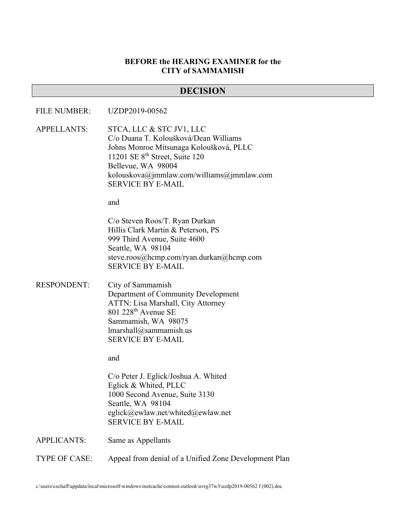#### **BEFORE the HEARING EXAMINER for the CITY of SAMMAMISH**

#### **DECISION**

#### FILE NUMBER: UZDP2019-00562

APPELLANTS: STCA, LLC & STC JV1, LLC C/o Duana T. Koloušková/Dean Williams Johns Monroe Mitsunaga Koloušková, PLLC 11201 SE 8th Street, Suite 120 Bellevue, WA 98004 kolouskova@jmmlaw.com/williams@jmmlaw.com SERVICE BY E-MAIL

and

C/o Steven Roos/T. Ryan Durkan Hillis Clark Martin & Peterson, PS 999 Third Avenue, Suite 4600 Seattle, WA 98104 steve.roos@hcmp.com/ryan.durkan@hcmp.com SERVICE BY E-MAIL

RESPONDENT: City of Sammamish Department of Community Development ATTN: Lisa Marshall, City Attorney 801 228th Avenue SE Sammamish, WA 98075 lmarshall@sammamish.us SERVICE BY E-MAIL

and

C/o Peter J. Eglick/Joshua A. Whited Eglick & Whited, PLLC 1000 Second Avenue, Suite 3130 Seattle, WA 98104 eglick@ewlaw.net/whited@ewlaw.net SERVICE BY E-MAIL

APPLICANTS: Same as Appellants

TYPE OF CASE: Appeal from denial of a Unified Zone Development Plan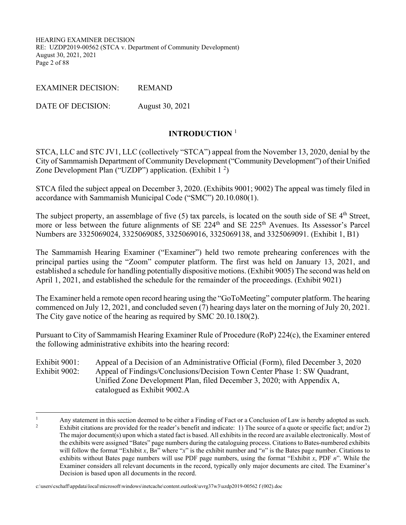HEARING EXAMINER DECISION RE: UZDP2019-00562 (STCA v. Department of Community Development) August 30, 2021, 2021 Page 2 of 88

EXAMINER DECISION: REMAND

DATE OF DECISION: August 30, 2021

#### **INTRODUCTION** <sup>1</sup>

STCA, LLC and STC JV1, LLC (collectively "STCA") appeal from the November 13, 2020, denial by the City of Sammamish Department of Community Development ("Community Development") of their Unified Zone Development Plan ("UZDP") application. (Exhibit  $1<sup>2</sup>$ )

STCA filed the subject appeal on December 3, 2020. (Exhibits 9001; 9002) The appeal was timely filed in accordance with Sammamish Municipal Code ("SMC") 20.10.080(1).

The subject property, an assemblage of five (5) tax parcels, is located on the south side of SE 4<sup>th</sup> Street, more or less between the future alignments of SE 224<sup>th</sup> and SE 225<sup>th</sup> Avenues. Its Assessor's Parcel Numbers are 3325069024, 3325069085, 3325069016, 3325069138, and 3325069091. (Exhibit 1, B1)

The Sammamish Hearing Examiner ("Examiner") held two remote prehearing conferences with the principal parties using the "Zoom" computer platform. The first was held on January 13, 2021, and established a schedule for handling potentially dispositive motions. (Exhibit 9005) The second was held on April 1, 2021, and established the schedule for the remainder of the proceedings. (Exhibit 9021)

The Examiner held a remote open record hearing using the "GoToMeeting" computer platform. The hearing commenced on July 12, 2021, and concluded seven (7) hearing days later on the morning of July 20, 2021. The City gave notice of the hearing as required by SMC 20.10.180(2).

Pursuant to City of Sammamish Hearing Examiner Rule of Procedure (RoP) 224(c), the Examiner entered the following administrative exhibits into the hearing record:

Exhibit 9001: Appeal of a Decision of an Administrative Official (Form), filed December 3, 2020 Exhibit 9002: Appeal of Findings/Conclusions/Decision Town Center Phase 1: SW Quadrant, Unified Zone Development Plan, filed December 3, 2020; with Appendix A, catalogued as Exhibit 9002.A

<sup>1</sup> Any statement in this section deemed to be either a Finding of Fact or a Conclusion of Law is hereby adopted as such.<br><sup>2</sup> Exhibit citations are provided for the reader's henefit and indicate: 1) The source of a quote or s Exhibit citations are provided for the reader's benefit and indicate: 1) The source of a quote or specific fact; and/or 2) The major document(s) upon which a stated fact is based. All exhibits in the record are available electronically. Most of the exhibits were assigned "Bates" page numbers during the cataloguing process. Citations to Bates-numbered exhibits will follow the format "Exhibit  $x$ ,  $Bn$ " where " $x$ " is the exhibit number and " $n$ " is the Bates page number. Citations to exhibits without Bates page numbers will use PDF page numbers, using the format "Exhibit *x*, PDF *n*". While the Examiner considers all relevant documents in the record, typically only major documents are cited. The Examiner's Decision is based upon all documents in the record.

c:\users\cschaff\appdata\local\microsoft\windows\inetcache\content.outlook\uvrg37w3\uzdp2019-00562 f (002).doc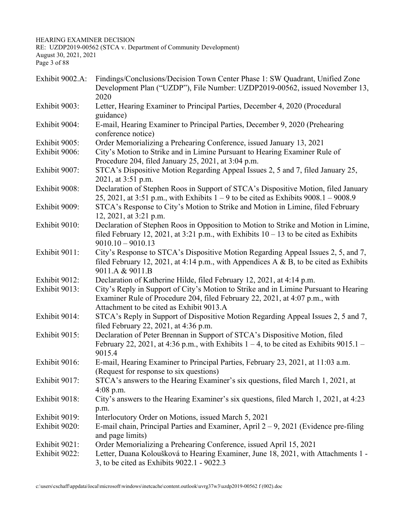HEARING EXAMINER DECISION

RE: UZDP2019-00562 (STCA v. Department of Community Development) August 30, 2021, 2021

Page 3 of 88

| Findings/Conclusions/Decision Town Center Phase 1: SW Quadrant, Unified Zone<br>Development Plan ("UZDP"), File Number: UZDP2019-00562, issued November 13,<br>2020                                             |
|-----------------------------------------------------------------------------------------------------------------------------------------------------------------------------------------------------------------|
| Letter, Hearing Examiner to Principal Parties, December 4, 2020 (Procedural<br>guidance)                                                                                                                        |
| E-mail, Hearing Examiner to Principal Parties, December 9, 2020 (Prehearing<br>conference notice)                                                                                                               |
| Order Memorializing a Prehearing Conference, issued January 13, 2021                                                                                                                                            |
| City's Motion to Strike and in Limine Pursuant to Hearing Examiner Rule of<br>Procedure 204, filed January 25, 2021, at 3:04 p.m.                                                                               |
| STCA's Dispositive Motion Regarding Appeal Issues 2, 5 and 7, filed January 25,<br>2021, at 3:51 p.m.                                                                                                           |
| Declaration of Stephen Roos in Support of STCA's Dispositive Motion, filed January<br>25, 2021, at 3:51 p.m., with Exhibits $1 - 9$ to be cited as Exhibits 9008.1 – 9008.9                                     |
| STCA's Response to City's Motion to Strike and Motion in Limine, filed February<br>12, 2021, at 3:21 p.m.                                                                                                       |
| Declaration of Stephen Roos in Opposition to Motion to Strike and Motion in Limine,<br>filed February 12, 2021, at 3:21 p.m., with Exhibits $10 - 13$ to be cited as Exhibits<br>$9010.10 - 9010.13$            |
| City's Response to STCA's Dispositive Motion Regarding Appeal Issues 2, 5, and 7,<br>filed February 12, 2021, at 4:14 p.m., with Appendices A & B, to be cited as Exhibits<br>9011.A & 9011.B                   |
| Declaration of Katherine Hilde, filed February 12, 2021, at 4:14 p.m.                                                                                                                                           |
| City's Reply in Support of City's Motion to Strike and in Limine Pursuant to Hearing<br>Examiner Rule of Procedure 204, filed February 22, 2021, at 4:07 p.m., with<br>Attachment to be cited as Exhibit 9013.A |
| STCA's Reply in Support of Dispositive Motion Regarding Appeal Issues 2, 5 and 7,<br>filed February 22, 2021, at 4:36 p.m.                                                                                      |
| Declaration of Peter Brennan in Support of STCA's Dispositive Motion, filed<br>February 22, 2021, at 4:36 p.m., with Exhibits $1 - 4$ , to be cited as Exhibits 9015.1 –<br>9015.4                              |
| E-mail, Hearing Examiner to Principal Parties, February 23, 2021, at 11:03 a.m.<br>(Request for response to six questions)                                                                                      |
| STCA's answers to the Hearing Examiner's six questions, filed March 1, 2021, at<br>$4:08$ p.m.                                                                                                                  |
| City's answers to the Hearing Examiner's six questions, filed March 1, 2021, at 4:23<br>p.m.                                                                                                                    |
| Interlocutory Order on Motions, issued March 5, 2021                                                                                                                                                            |
| E-mail chain, Principal Parties and Examiner, April $2 - 9$ , 2021 (Evidence pre-filing<br>and page limits)                                                                                                     |
| Order Memorializing a Prehearing Conference, issued April 15, 2021                                                                                                                                              |
| Letter, Duana Koloušková to Hearing Examiner, June 18, 2021, with Attachments 1 -<br>3, to be cited as Exhibits 9022.1 - 9022.3                                                                                 |
|                                                                                                                                                                                                                 |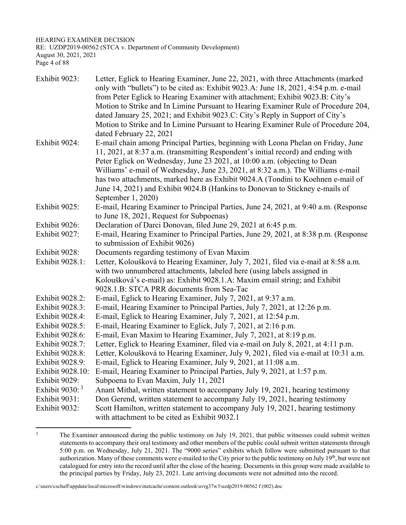HEARING EXAMINER DECISION RE: UZDP2019-00562 (STCA v. Department of Community Development) August 30, 2021, 2021 Page 4 of 88

| Exhibit 9023:     | Letter, Eglick to Hearing Examiner, June 22, 2021, with three Attachments (marked<br>only with "bullets") to be cited as: Exhibit 9023.A: June 18, 2021, 4:54 p.m. e-mail |
|-------------------|---------------------------------------------------------------------------------------------------------------------------------------------------------------------------|
|                   | from Peter Eglick to Hearing Examiner with attachment; Exhibit 9023.B: City's                                                                                             |
|                   | Motion to Strike and In Limine Pursuant to Hearing Examiner Rule of Procedure 204,                                                                                        |
|                   | dated January 25, 2021; and Exhibit 9023.C: City's Reply in Support of City's                                                                                             |
|                   | Motion to Strike and In Limine Pursuant to Hearing Examiner Rule of Procedure 204,                                                                                        |
|                   | dated February 22, 2021                                                                                                                                                   |
| Exhibit 9024:     | E-mail chain among Principal Parties, beginning with Leona Phelan on Friday, June                                                                                         |
|                   | 11, 2021, at 8:37 a.m. (transmitting Respondent's initial record) and ending with                                                                                         |
|                   | Peter Eglick on Wednesday, June 23 2021, at 10:00 a.m. (objecting to Dean                                                                                                 |
|                   | Williams' e-mail of Wednesday, June 23, 2021, at 8:32 a.m.). The Williams e-mail                                                                                          |
|                   | has two attachments, marked here as Exhibit 9024.A (Tondini to Koehnen e-mail of                                                                                          |
|                   | June 14, 2021) and Exhibit 9024.B (Hankins to Donovan to Stickney e-mails of                                                                                              |
|                   | September 1, 2020)                                                                                                                                                        |
| Exhibit 9025:     | E-mail, Hearing Examiner to Principal Parties, June 24, 2021, at 9:40 a.m. (Response                                                                                      |
|                   | to June 18, 2021, Request for Subpoenas)                                                                                                                                  |
| Exhibit 9026:     | Declaration of Darci Donovan, filed June 29, 2021 at 6:45 p.m.                                                                                                            |
| Exhibit 9027:     | E-mail, Hearing Examiner to Principal Parties, June 29, 2021, at 8:38 p.m. (Response                                                                                      |
|                   | to submission of Exhibit 9026)                                                                                                                                            |
| Exhibit 9028:     | Documents regarding testimony of Evan Maxim                                                                                                                               |
| Exhibit 9028.1:   | Letter, Koloušková to Hearing Examiner, July 7, 2021, filed via e-mail at 8:58 a.m.                                                                                       |
|                   | with two unnumbered attachments, labeled here (using labels assigned in                                                                                                   |
|                   | Koloušková's e-mail) as: Exhibit 9028.1.A: Maxim email string; and Exhibit                                                                                                |
|                   | 9028.1.B: STCA PRR documents from Sea-Tac                                                                                                                                 |
| Exhibit 9028.2:   | E-mail, Eglick to Hearing Examiner, July 7, 2021, at 9:37 a.m.                                                                                                            |
| Exhibit 9028.3:   | E-mail, Hearing Examiner to Principal Parties, July 7, 2021, at 12:26 p.m.                                                                                                |
| Exhibit 9028.4:   | E-mail, Eglick to Hearing Examiner, July 7, 2021, at 12:54 p.m.                                                                                                           |
| Exhibit 9028.5:   | E-mail, Hearing Examiner to Eglick, July 7, 2021, at 2:16 p.m.                                                                                                            |
| Exhibit 9028.6:   | E-mail, Evan Maxim to Hearing Examiner, July 7, 2021, at 8:19 p.m.                                                                                                        |
| Exhibit 9028.7:   | Letter, Eglick to Hearing Examiner, filed via e-mail on July 8, 2021, at 4:11 p.m.                                                                                        |
| Exhibit 9028.8:   | Letter, Koloušková to Hearing Examiner, July 9, 2021, filed via e-mail at 10:31 a.m.                                                                                      |
| Exhibit 9028.9:   | E-mail, Eglick to Hearing Examiner, July 9, 2021, at 11:08 a.m.                                                                                                           |
| Exhibit 9028.10:  | E-mail, Hearing Examiner to Principal Parties, July 9, 2021, at 1:57 p.m.                                                                                                 |
| Exhibit 9029:     | Subpoena to Evan Maxim, July 11, 2021                                                                                                                                     |
| Exhibit 9030: $3$ | Anant Mithal, written statement to accompany July 19, 2021, hearing testimony                                                                                             |
| Exhibit 9031:     | Don Gerend, written statement to accompany July 19, 2021, hearing testimony                                                                                               |
| Exhibit 9032:     | Scott Hamilton, written statement to accompany July 19, 2021, hearing testimony                                                                                           |
|                   | with attachment to be cited as Exhibit 9032.1                                                                                                                             |

<sup>3</sup> The Examiner announced during the public testimony on July 19, 2021, that public witnesses could submit written statements to accompany their oral testimony and other members of the public could submit written statements through 5:00 p.m. on Wednesday, July 21, 2021. The "9000 series" exhibits which follow were submitted pursuant to that authorization. Many of these comments were e-mailed to the City prior to the public testimony on July  $19<sup>th</sup>$ , but were not catalogued for entry into the record until after the close of the hearing. Documents in this group were made available to the principal parties by Friday, July 23, 2021. Late arriving documents were not admitted into the record.

c:\users\cschaff\appdata\local\microsoft\windows\inetcache\content.outlook\uvrg37w3\uzdp2019-00562 f (002).doc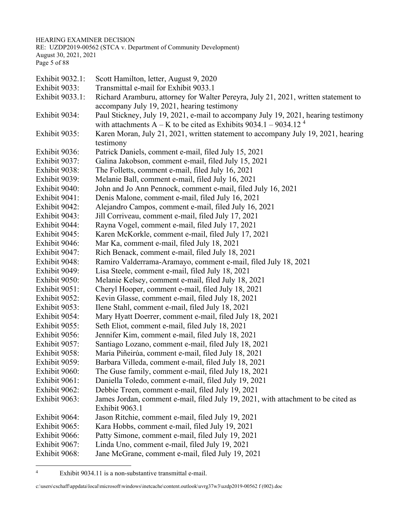HEARING EXAMINER DECISION

RE: UZDP2019-00562 (STCA v. Department of Community Development) August 30, 2021, 2021 Page 5 of 88

Exhibit 9032.1: Scott Hamilton, letter, August 9, 2020 Exhibit 9033: Transmittal e-mail for Exhibit 9033.1 Exhibit 9033.1: Richard Aramburu, attorney for Walter Pereyra, July 21, 2021, written statement to accompany July 19, 2021, hearing testimony Exhibit 9034: Paul Stickney, July 19, 2021, e-mail to accompany July 19, 2021, hearing testimony with attachments  $A - K$  to be cited as Exhibits 9034.1 – 9034.12<sup>4</sup> Exhibit 9035: Karen Moran, July 21, 2021, written statement to accompany July 19, 2021, hearing testimony Exhibit 9036: Patrick Daniels, comment e-mail, filed July 15, 2021 Exhibit 9037: Galina Jakobson, comment e-mail, filed July 15, 2021 Exhibit 9038: The Folletts, comment e-mail, filed July 16, 2021 Exhibit 9039: Melanie Ball, comment e-mail, filed July 16, 2021 Exhibit 9040: John and Jo Ann Pennock, comment e-mail, filed July 16, 2021 Exhibit 9041: Denis Malone, comment e-mail, filed July 16, 2021 Exhibit 9042: Alejandro Campos, comment e-mail, filed July 16, 2021 Exhibit 9043: Jill Corriveau, comment e-mail, filed July 17, 2021 Exhibit 9044: Rayna Vogel, comment e-mail, filed July 17, 2021 Exhibit 9045: Karen McKorkle, comment e-mail, filed July 17, 2021 Exhibit 9046: Mar Ka, comment e-mail, filed July 18, 2021 Exhibit 9047: Rich Benack, comment e-mail, filed July 18, 2021 Exhibit 9048: Ramiro Valderrama-Aramayo, comment e-mail, filed July 18, 2021 Exhibit 9049: Lisa Steele, comment e-mail, filed July 18, 2021 Exhibit 9050: Melanie Kelsey, comment e-mail, filed July 18, 2021 Exhibit 9051: Cheryl Hooper, comment e-mail, filed July 18, 2021 Exhibit 9052: Kevin Glasse, comment e-mail, filed July 18, 2021 Exhibit 9053: Ilene Stahl, comment e-mail, filed July 18, 2021 Exhibit 9054: Mary Hyatt Doerrer, comment e-mail, filed July 18, 2021 Exhibit 9055: Seth Eliot, comment e-mail, filed July 18, 2021 Exhibit 9056: Jennifer Kim, comment e-mail, filed July 18, 2021 Exhibit 9057: Santiago Lozano, comment e-mail, filed July 18, 2021 Exhibit 9058: Maria Piñeirúa, comment e-mail, filed July 18, 2021 Exhibit 9059: Barbara Villeda, comment e-mail, filed July 18, 2021 Exhibit 9060: The Guse family, comment e-mail, filed July 18, 2021 Exhibit 9061: Daniella Toledo, comment e-mail, filed July 19, 2021 Exhibit 9062: Debbie Treen, comment e-mail, filed July 19, 2021 Exhibit 9063: James Jordan, comment e-mail, filed July 19, 2021, with attachment to be cited as Exhibit 9063.1 Exhibit 9064: Jason Ritchie, comment e-mail, filed July 19, 2021 Exhibit 9065: Kara Hobbs, comment e-mail, filed July 19, 2021 Exhibit 9066: Patty Simone, comment e-mail, filed July 19, 2021 Exhibit 9067: Linda Uno, comment e-mail, filed July 19, 2021 Exhibit 9068: Jane McGrane, comment e-mail, filed July 19, 2021

<sup>4</sup> Exhibit 9034.11 is a non-substantive transmittal e-mail.

c:\users\cschaff\appdata\local\microsoft\windows\inetcache\content.outlook\uvrg37w3\uzdp2019-00562 f (002).doc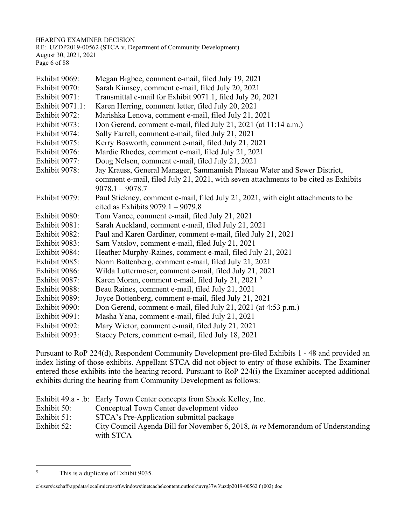HEARING EXAMINER DECISION RE: UZDP2019-00562 (STCA v. Department of Community Development) August 30, 2021, 2021 Page 6 of 88

| Exhibit 9069:   | Megan Bigbee, comment e-mail, filed July 19, 2021                                   |
|-----------------|-------------------------------------------------------------------------------------|
| Exhibit 9070:   | Sarah Kimsey, comment e-mail, filed July 20, 2021                                   |
| Exhibit 9071:   | Transmittal e-mail for Exhibit 9071.1, filed July 20, 2021                          |
| Exhibit 9071.1: | Karen Herring, comment letter, filed July 20, 2021                                  |
| Exhibit 9072:   | Marishka Lenova, comment e-mail, filed July 21, 2021                                |
| Exhibit 9073:   | Don Gerend, comment e-mail, filed July 21, 2021 (at 11:14 a.m.)                     |
| Exhibit 9074:   | Sally Farrell, comment e-mail, filed July 21, 2021                                  |
| Exhibit 9075:   | Kerry Bosworth, comment e-mail, filed July 21, 2021                                 |
| Exhibit 9076:   | Mardie Rhodes, comment e-mail, filed July 21, 2021                                  |
| Exhibit 9077:   | Doug Nelson, comment e-mail, filed July 21, 2021                                    |
| Exhibit 9078:   | Jay Krauss, General Manager, Sammamish Plateau Water and Sewer District,            |
|                 | comment e-mail, filed July 21, 2021, with seven attachments to be cited as Exhibits |
|                 | $9078.1 - 9078.7$                                                                   |
| Exhibit 9079:   | Paul Stickney, comment e-mail, filed July 21, 2021, with eight attachments to be    |
|                 | cited as Exhibits $9079.1 - 9079.8$                                                 |
| Exhibit 9080:   | Tom Vance, comment e-mail, filed July 21, 2021                                      |
| Exhibit 9081:   | Sarah Auckland, comment e-mail, filed July 21, 2021                                 |
| Exhibit 9082:   | Paul and Karen Gardiner, comment e-mail, filed July 21, 2021                        |
| Exhibit 9083:   | Sam Vatslov, comment e-mail, filed July 21, 2021                                    |
| Exhibit 9084:   | Heather Murphy-Raines, comment e-mail, filed July 21, 2021                          |
| Exhibit 9085:   | Norm Bottenberg, comment e-mail, filed July 21, 2021                                |
| Exhibit 9086:   | Wilda Luttermoser, comment e-mail, filed July 21, 2021                              |
| Exhibit 9087:   | Karen Moran, comment e-mail, filed July 21, 2021 <sup>5</sup>                       |
| Exhibit 9088:   | Beau Raines, comment e-mail, filed July 21, 2021                                    |
| Exhibit 9089:   | Joyce Bottenberg, comment e-mail, filed July 21, 2021                               |
| Exhibit 9090:   | Don Gerend, comment e-mail, filed July 21, 2021 (at 4:53 p.m.)                      |
| Exhibit 9091:   | Masha Yana, comment e-mail, filed July 21, 2021                                     |
| Exhibit 9092:   | Mary Wictor, comment e-mail, filed July 21, 2021                                    |
| Exhibit 9093:   | Stacey Peters, comment e-mail, filed July 18, 2021                                  |

Pursuant to RoP 224(d), Respondent Community Development pre-filed Exhibits 1 - 48 and provided an index listing of those exhibits. Appellant STCA did not object to entry of those exhibits. The Examiner entered those exhibits into the hearing record. Pursuant to RoP 224(i) the Examiner accepted additional exhibits during the hearing from Community Development as follows:

|             | Exhibit 49.a - .b: Early Town Center concepts from Shook Kelley, Inc.                                |
|-------------|------------------------------------------------------------------------------------------------------|
| Exhibit 50: | Conceptual Town Center development video                                                             |
| Exhibit 51: | STCA's Pre-Application submittal package                                                             |
| Exhibit 52: | City Council Agenda Bill for November 6, 2018, <i>in re</i> Memorandum of Understanding<br>with STCA |

<sup>5</sup> This is a duplicate of Exhibit 9035.

c:\users\cschaff\appdata\local\microsoft\windows\inetcache\content.outlook\uvrg37w3\uzdp2019-00562 f (002).doc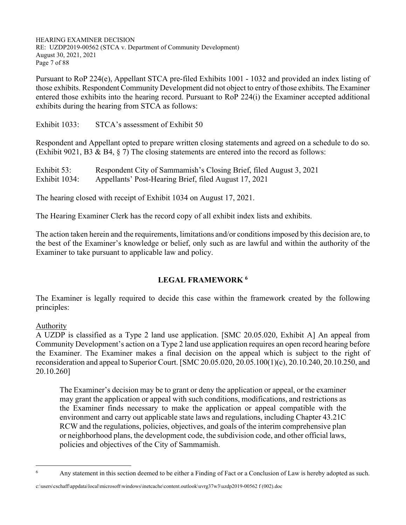HEARING EXAMINER DECISION RE: UZDP2019-00562 (STCA v. Department of Community Development) August 30, 2021, 2021 Page 7 of 88

Pursuant to RoP 224(e), Appellant STCA pre-filed Exhibits 1001 - 1032 and provided an index listing of those exhibits. Respondent Community Development did not object to entry of those exhibits. The Examiner entered those exhibits into the hearing record. Pursuant to RoP 224(i) the Examiner accepted additional exhibits during the hearing from STCA as follows:

Exhibit 1033: STCA's assessment of Exhibit 50

Respondent and Appellant opted to prepare written closing statements and agreed on a schedule to do so. (Exhibit 9021, B3 & B4, § 7) The closing statements are entered into the record as follows:

Exhibit 53: Respondent City of Sammamish's Closing Brief, filed August 3, 2021 Exhibit 1034: Appellants' Post-Hearing Brief, filed August 17, 2021

The hearing closed with receipt of Exhibit 1034 on August 17, 2021.

The Hearing Examiner Clerk has the record copy of all exhibit index lists and exhibits.

The action taken herein and the requirements, limitations and/or conditions imposed by this decision are, to the best of the Examiner's knowledge or belief, only such as are lawful and within the authority of the Examiner to take pursuant to applicable law and policy.

# **LEGAL FRAMEWORK 6**

The Examiner is legally required to decide this case within the framework created by the following principles:

#### Authority

A UZDP is classified as a Type 2 land use application. [SMC 20.05.020, Exhibit A] An appeal from Community Development's action on a Type 2 land use application requires an open record hearing before the Examiner. The Examiner makes a final decision on the appeal which is subject to the right of reconsideration and appeal to Superior Court. [SMC 20.05.020, 20.05.100(1)(c), 20.10.240, 20.10.250, and 20.10.260]

The Examiner's decision may be to grant or deny the application or appeal, or the examiner may grant the application or appeal with such conditions, modifications, and restrictions as the Examiner finds necessary to make the application or appeal compatible with the environment and carry out applicable state laws and regulations, including Chapter 43.21C RCW and the regulations, policies, objectives, and goals of the interim comprehensive plan or neighborhood plans, the development code, the subdivision code, and other official laws, policies and objectives of the City of Sammamish.

c:\users\cschaff\appdata\local\microsoft\windows\inetcache\content.outlook\uvrg37w3\uzdp2019-00562 f (002).doc

<sup>6</sup> Any statement in this section deemed to be either a Finding of Fact or a Conclusion of Law is hereby adopted as such.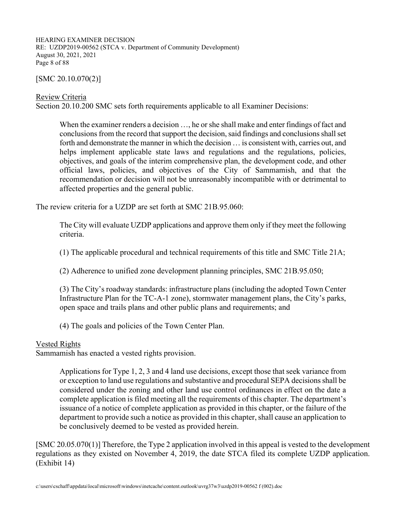HEARING EXAMINER DECISION RE: UZDP2019-00562 (STCA v. Department of Community Development) August 30, 2021, 2021 Page 8 of 88

 $[SMC 20.10.070(2)]$ 

Review Criteria

Section 20.10.200 SMC sets forth requirements applicable to all Examiner Decisions:

When the examiner renders a decision …, he or she shall make and enter findings of fact and conclusions from the record that support the decision, said findings and conclusions shall set forth and demonstrate the manner in which the decision … is consistent with, carries out, and helps implement applicable state laws and regulations and the regulations, policies, objectives, and goals of the interim comprehensive plan, the development code, and other official laws, policies, and objectives of the City of Sammamish, and that the recommendation or decision will not be unreasonably incompatible with or detrimental to affected properties and the general public.

The review criteria for a UZDP are set forth at SMC 21B.95.060:

The City will evaluate UZDP applications and approve them only if they meet the following criteria.

(1) The applicable procedural and technical requirements of this title and SMC Title 21A;

(2) Adherence to unified zone development planning principles, SMC 21B.95.050;

(3) The City's roadway standards: infrastructure plans (including the adopted Town Center Infrastructure Plan for the TC-A-1 zone), stormwater management plans, the City's parks, open space and trails plans and other public plans and requirements; and

(4) The goals and policies of the Town Center Plan.

#### Vested Rights

Sammamish has enacted a vested rights provision.

Applications for Type 1, 2, 3 and 4 land use decisions, except those that seek variance from or exception to land use regulations and substantive and procedural SEPA decisions shall be considered under the zoning and other land use control ordinances in effect on the date a complete application is filed meeting all the requirements of this chapter. The department's issuance of a notice of complete application as provided in this chapter, or the failure of the department to provide such a notice as provided in this chapter, shall cause an application to be conclusively deemed to be vested as provided herein.

[SMC 20.05.070(1)] Therefore, the Type 2 application involved in this appeal is vested to the development regulations as they existed on November 4, 2019, the date STCA filed its complete UZDP application. (Exhibit 14)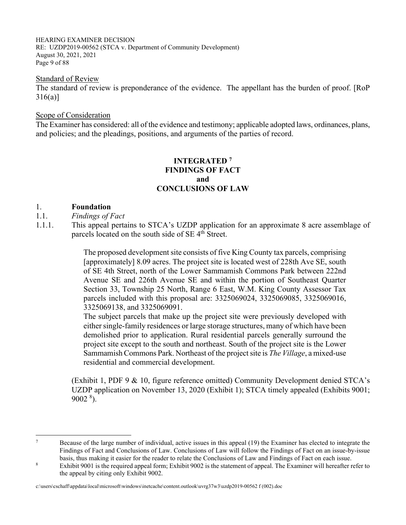HEARING EXAMINER DECISION RE: UZDP2019-00562 (STCA v. Department of Community Development) August 30, 2021, 2021 Page 9 of 88

#### Standard of Review

The standard of review is preponderance of the evidence. The appellant has the burden of proof. [RoP 316(a)]

#### Scope of Consideration

The Examiner has considered: all of the evidence and testimony; applicable adopted laws, ordinances, plans, and policies; and the pleadings, positions, and arguments of the parties of record.

## **INTEGRATED 7 FINDINGS OF FACT and CONCLUSIONS OF LAW**

#### 1. **Foundation**

- 1.1. *Findings of Fact*
- 1.1.1. This appeal pertains to STCA's UZDP application for an approximate 8 acre assemblage of parcels located on the south side of SE 4<sup>th</sup> Street.

The proposed development site consists of five King County tax parcels, comprising [approximately] 8.09 acres. The project site is located west of 228th Ave SE, south of SE 4th Street, north of the Lower Sammamish Commons Park between 222nd Avenue SE and 226th Avenue SE and within the portion of Southeast Quarter Section 33, Township 25 North, Range 6 East, W.M. King County Assessor Tax parcels included with this proposal are: 3325069024, 3325069085, 3325069016, 3325069138, and 3325069091.

The subject parcels that make up the project site were previously developed with either single-family residences or large storage structures, many of which have been demolished prior to application. Rural residential parcels generally surround the project site except to the south and northeast. South of the project site is the Lower Sammamish Commons Park. Northeast of the project site is *The Village*, a mixed-use residential and commercial development.

 (Exhibit 1, PDF 9 & 10, figure reference omitted) Community Development denied STCA's UZDP application on November 13, 2020 (Exhibit 1); STCA timely appealed (Exhibits 9001; 9002 <sup>8</sup> ).

<sup>7</sup> Because of the large number of individual, active issues in this appeal (19) the Examiner has elected to integrate the Findings of Fact and Conclusions of Law. Conclusions of Law will follow the Findings of Fact on an issue-by-issue basis, thus making it easier for the reader to relate the Conclusions of Law and Findings of Fact on each issue.<br><sup>8</sup>

Exhibit 9001 is the required appeal form; Exhibit 9002 is the statement of appeal. The Examiner will hereafter refer to the appeal by citing only Exhibit 9002.

c:\users\cschaff\appdata\local\microsoft\windows\inetcache\content.outlook\uvrg37w3\uzdp2019-00562 f (002).doc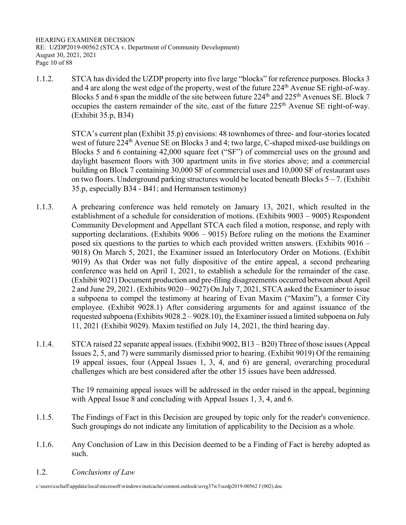HEARING EXAMINER DECISION RE: UZDP2019-00562 (STCA v. Department of Community Development) August 30, 2021, 2021 Page 10 of 88

1.1.2. STCA has divided the UZDP property into five large "blocks" for reference purposes. Blocks 3 and 4 are along the west edge of the property, west of the future 224<sup>th</sup> Avenue SE right-of-way. Blocks 5 and 6 span the middle of the site between future 224<sup>th</sup> and 225<sup>th</sup> Avenues SE. Block 7 occupies the eastern remainder of the site, east of the future 225<sup>th</sup> Avenue SE right-of-way. (Exhibit 35.p, B34)

> STCA's current plan (Exhibit 35.p) envisions: 48 townhomes of three- and four-stories located west of future 224<sup>th</sup> Avenue SE on Blocks 3 and 4; two large, C-shaped mixed-use buildings on Blocks 5 and 6 containing 42,000 square feet ("SF") of commercial uses on the ground and daylight basement floors with 300 apartment units in five stories above; and a commercial building on Block 7 containing 30,000 SF of commercial uses and 10,000 SF of restaurant uses on two floors. Underground parking structures would be located beneath Blocks  $5 - 7$ . (Exhibit 35.p, especially B34 - B41; and Hermansen testimony)

- 1.1.3. A prehearing conference was held remotely on January 13, 2021, which resulted in the establishment of a schedule for consideration of motions. (Exhibits 9003 – 9005) Respondent Community Development and Appellant STCA each filed a motion, response, and reply with supporting declarations. (Exhibits  $9006 - 9015$ ) Before ruling on the motions the Examiner posed six questions to the parties to which each provided written answers. (Exhibits 9016 – 9018) On March 5, 2021, the Examiner issued an Interlocutory Order on Motions. (Exhibit 9019) As that Order was not fully dispositive of the entire appeal, a second prehearing conference was held on April 1, 2021, to establish a schedule for the remainder of the case. (Exhibit 9021) Document production and pre-filing disagreements occurred between about April 2 and June 29, 2021. (Exhibits 9020 – 9027) On July 7, 2021, STCA asked the Examiner to issue a subpoena to compel the testimony at hearing of Evan Maxim ("Maxim"), a former City employee. (Exhibit 9028.1) After considering arguments for and against issuance of the requested subpoena (Exhibits 9028.2 – 9028.10), the Examiner issued a limited subpoena on July 11, 2021 (Exhibit 9029). Maxim testified on July 14, 2021, the third hearing day.
- 1.1.4. STCA raised 22 separate appeal issues. (Exhibit 9002, B13 B20) Three of those issues (Appeal Issues 2, 5, and 7) were summarily dismissed prior to hearing. (Exhibit 9019) Of the remaining 19 appeal issues, four (Appeal Issues 1, 3, 4, and 6) are general, overarching procedural challenges which are best considered after the other 15 issues have been addressed.

 The 19 remaining appeal issues will be addressed in the order raised in the appeal, beginning with Appeal Issue 8 and concluding with Appeal Issues 1, 3, 4, and 6.

- 1.1.5. The Findings of Fact in this Decision are grouped by topic only for the reader's convenience. Such groupings do not indicate any limitation of applicability to the Decision as a whole.
- 1.1.6. Any Conclusion of Law in this Decision deemed to be a Finding of Fact is hereby adopted as such.
- 1.2. *Conclusions of Law*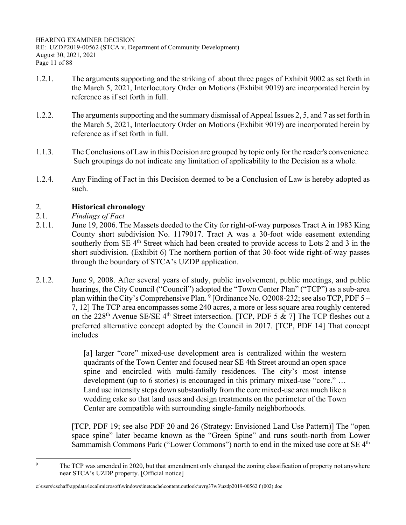- 1.2.1. The arguments supporting and the striking of about three pages of Exhibit 9002 as set forth in the March 5, 2021, Interlocutory Order on Motions (Exhibit 9019) are incorporated herein by reference as if set forth in full.
- 1.2.2. The arguments supporting and the summary dismissal of Appeal Issues 2, 5, and 7 as set forth in the March 5, 2021, Interlocutory Order on Motions (Exhibit 9019) are incorporated herein by reference as if set forth in full.
- 1.1.3. The Conclusions of Law in this Decision are grouped by topic only for the reader's convenience. Such groupings do not indicate any limitation of applicability to the Decision as a whole.
- 1.2.4. Any Finding of Fact in this Decision deemed to be a Conclusion of Law is hereby adopted as such.

# 2. **Historical chronology**

- 2.1. *Findings of Fact*
- 2.1.1. June 19, 2006. The Massets deeded to the City for right-of-way purposes Tract A in 1983 King County short subdivision No. 1179017. Tract A was a 30-foot wide easement extending southerly from SE  $4<sup>th</sup>$  Street which had been created to provide access to Lots 2 and 3 in the short subdivision. (Exhibit 6) The northern portion of that 30-foot wide right-of-way passes through the boundary of STCA's UZDP application.
- 2.1.2. June 9, 2008. After several years of study, public involvement, public meetings, and public hearings, the City Council ("Council") adopted the "Town Center Plan" ("TCP") as a sub-area plan within the City's Comprehensive Plan.  $9$  [Ordinance No. O2008-232; see also TCP, PDF 5 – 7, 12] The TCP area encompasses some 240 acres, a more or less square area roughly centered on the 228<sup>th</sup> Avenue SE/SE 4<sup>th</sup> Street intersection. [TCP, PDF 5 & 7] The TCP fleshes out a preferred alternative concept adopted by the Council in 2017. [TCP, PDF 14] That concept includes

[a] larger "core" mixed-use development area is centralized within the western quadrants of the Town Center and focused near SE 4th Street around an open space spine and encircled with multi-family residences. The city's most intense development (up to 6 stories) is encouraged in this primary mixed-use "core." … Land use intensity steps down substantially from the core mixed-use area much like a wedding cake so that land uses and design treatments on the perimeter of the Town Center are compatible with surrounding single-family neighborhoods.

[TCP, PDF 19; see also PDF 20 and 26 (Strategy: Envisioned Land Use Pattern)] The "open space spine" later became known as the "Green Spine" and runs south-north from Lower Sammamish Commons Park ("Lower Commons") north to end in the mixed use core at SE 4<sup>th</sup>

<sup>9</sup> The TCP was amended in 2020, but that amendment only changed the zoning classification of property not anywhere near STCA's UZDP property. [Official notice]

c:\users\cschaff\appdata\local\microsoft\windows\inetcache\content.outlook\uvrg37w3\uzdp2019-00562 f (002).doc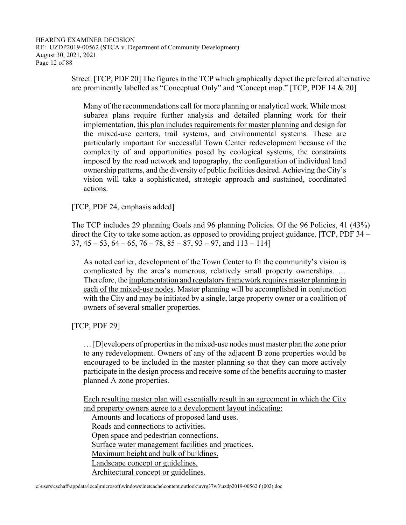Street. [TCP, PDF 20] The figures in the TCP which graphically depict the preferred alternative are prominently labelled as "Conceptual Only" and "Concept map." [TCP, PDF 14 & 20]

Many of the recommendations call for more planning or analytical work. While most subarea plans require further analysis and detailed planning work for their implementation, this plan includes requirements for master planning and design for the mixed-use centers, trail systems, and environmental systems. These are particularly important for successful Town Center redevelopment because of the complexity of and opportunities posed by ecological systems, the constraints imposed by the road network and topography, the configuration of individual land ownership patterns, and the diversity of public facilities desired. Achieving the City's vision will take a sophisticated, strategic approach and sustained, coordinated actions.

[TCP, PDF 24, emphasis added]

 The TCP includes 29 planning Goals and 96 planning Policies. Of the 96 Policies, 41 (43%) direct the City to take some action, as opposed to providing project guidance. [TCP, PDF 34 –  $37, 45 - 53, 64 - 65, 76 - 78, 85 - 87, 93 - 97,$  and  $113 - 114$ 

As noted earlier, development of the Town Center to fit the community's vision is complicated by the area's numerous, relatively small property ownerships. … Therefore, the implementation and regulatory framework requires master planning in each of the mixed-use nodes. Master planning will be accomplished in conjunction with the City and may be initiated by a single, large property owner or a coalition of owners of several smaller properties.

[TCP, PDF 29]

… [D]evelopers of properties in the mixed-use nodes must master plan the zone prior to any redevelopment. Owners of any of the adjacent B zone properties would be encouraged to be included in the master planning so that they can more actively participate in the design process and receive some of the benefits accruing to master planned A zone properties.

Each resulting master plan will essentially result in an agreement in which the City and property owners agree to a development layout indicating:

Amounts and locations of proposed land uses.

Roads and connections to activities.

Open space and pedestrian connections.

Surface water management facilities and practices.

Maximum height and bulk of buildings.

Landscape concept or guidelines.

Architectural concept or guidelines.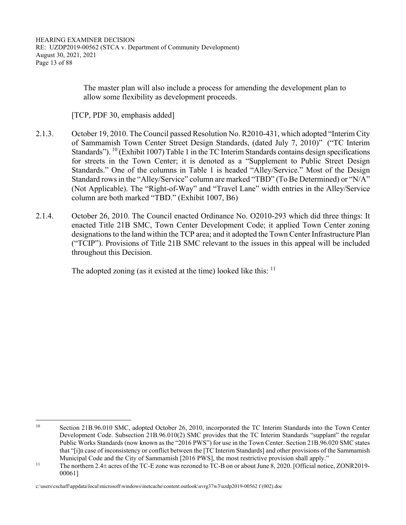The master plan will also include a process for amending the development plan to allow some flexibility as development proceeds.

[TCP, PDF 30, emphasis added]

- 2.1.3. October 19, 2010. The Council passed Resolution No. R2010-431, which adopted "Interim City of Sammamish Town Center Street Design Standards, (dated July 7, 2010)" ("TC Interim Standards"). <sup>10</sup> (Exhibit 1007) Table 1 in the TC Interim Standards contains design specifications for streets in the Town Center; it is denoted as a "Supplement to Public Street Design Standards." One of the columns in Table 1 is headed "Alley/Service." Most of the Design Standard rows in the "Alley/Service" column are marked "TBD" (To Be Determined) or "N/A" (Not Applicable). The "Right-of-Way" and "Travel Lane" width entries in the Alley/Service column are both marked "TBD." (Exhibit 1007, B6)
- 2.1.4. October 26, 2010. The Council enacted Ordinance No. O2010-293 which did three things: It enacted Title 21B SMC, Town Center Development Code; it applied Town Center zoning designations to the land within the TCP area; and it adopted the Town Center Infrastructure Plan ("TCIP"). Provisions of Title 21B SMC relevant to the issues in this appeal will be included throughout this Decision.

The adopted zoning (as it existed at the time) looked like this:  $11$ 

<sup>&</sup>lt;sup>10</sup> Section 21B.96.010 SMC, adopted October 26, 2010, incorporated the TC Interim Standards into the Town Center Development Code. Subsection 21B.96.010(2) SMC provides that the TC Interim Standards "supplant" the regular Public Works Standards (now known as the "2016 PWS") for use in the Town Center. Section 21B.96.020 SMC states that "[i]n case of inconsistency or conflict between the [TC Interim Standards] and other provisions of the Sammamish

Municipal Code and the City of Sammamish [2016 PWS], the most restrictive provision shall apply."<br><sup>11</sup> The northern 2.4± acres of the TC-E zone was rezoned to TC-B on or about June 8, 2020. [Official notice, ZONR2019-00061]

c:\users\cschaff\appdata\local\microsoft\windows\inetcache\content.outlook\uvrg37w3\uzdp2019-00562 f (002).doc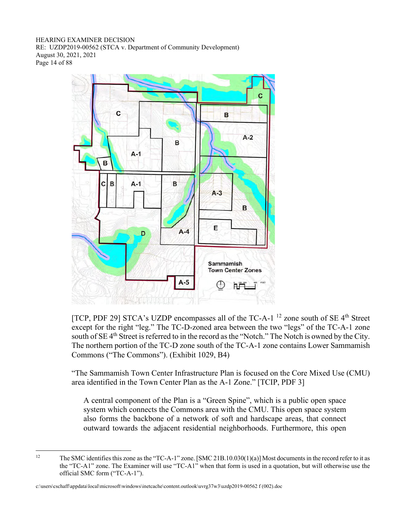HEARING EXAMINER DECISION RE: UZDP2019-00562 (STCA v. Department of Community Development) August 30, 2021, 2021 Page 14 of 88



[TCP, PDF 29] STCA's UZDP encompasses all of the TC-A-1<sup>12</sup> zone south of SE  $4<sup>th</sup>$  Street except for the right "leg." The TC-D-zoned area between the two "legs" of the TC-A-1 zone south of SE 4<sup>th</sup> Street is referred to in the record as the "Notch." The Notch is owned by the City. The northern portion of the TC-D zone south of the TC-A-1 zone contains Lower Sammamish Commons ("The Commons"). (Exhibit 1029, B4)

 "The Sammamish Town Center Infrastructure Plan is focused on the Core Mixed Use (CMU) area identified in the Town Center Plan as the A-1 Zone." [TCIP, PDF 3]

A central component of the Plan is a "Green Spine", which is a public open space system which connects the Commons area with the CMU. This open space system also forms the backbone of a network of soft and hardscape areas, that connect outward towards the adjacent residential neighborhoods. Furthermore, this open

<sup>&</sup>lt;sup>12</sup> The SMC identifies this zone as the "TC-A-1" zone. [SMC 21B.10.030(1)(a)] Most documents in the record refer to it as the "TC-A1" zone. The Examiner will use "TC-A1" when that form is used in a quotation, but will otherwise use the official SMC form ("TC-A-1").

c:\users\cschaff\appdata\local\microsoft\windows\inetcache\content.outlook\uvrg37w3\uzdp2019-00562 f (002).doc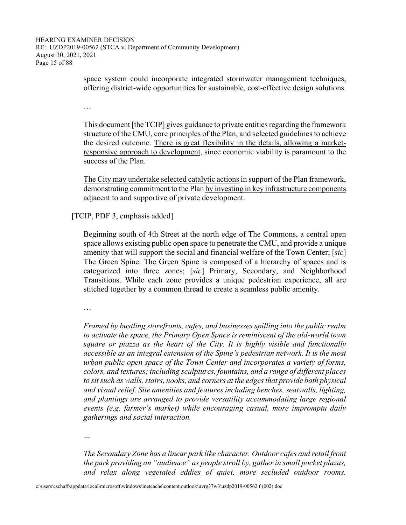space system could incorporate integrated stormwater management techniques, offering district-wide opportunities for sustainable, cost-effective design solutions.

…

This document [the TCIP] gives guidance to private entities regarding the framework structure of the CMU, core principles of the Plan, and selected guidelines to achieve the desired outcome. There is great flexibility in the details, allowing a marketresponsive approach to development, since economic viability is paramount to the success of the Plan.

The City may undertake selected catalytic actions in support of the Plan framework, demonstrating commitment to the Plan by investing in key infrastructure components adjacent to and supportive of private development.

[TCIP, PDF 3, emphasis added]

Beginning south of 4th Street at the north edge of The Commons, a central open space allows existing public open space to penetrate the CMU, and provide a unique amenity that will support the social and financial welfare of the Town Center; [*sic*] The Green Spine. The Green Spine is composed of a hierarchy of spaces and is categorized into three zones; [*sic*] Primary, Secondary, and Neighborhood Transitions. While each zone provides a unique pedestrian experience, all are stitched together by a common thread to create a seamless public amenity.

…

*Framed by bustling storefronts, cafes, and businesses spilling into the public realm to activate the space, the Primary Open Space is reminiscent of the old-world town square or piazza as the heart of the City. It is highly visible and functionally accessible as an integral extension of the Spine's pedestrian network. It is the most urban public open space of the Town Center and incorporates a variety of forms, colors, and textures; including sculptures, fountains, and a range of different places to sit such as walls, stairs, nooks, and corners at the edges that provide both physical and visual relief. Site amenities and features including benches, seatwalls, lighting, and plantings are arranged to provide versatility accommodating large regional events (e.g. farmer's market) while encouraging casual, more impromptu daily gatherings and social interaction.* 

*…* 

*The Secondary Zone has a linear park like character. Outdoor cafes and retail front the park providing an "audience" as people stroll by, gather in small pocket plazas, and relax along vegetated eddies of quiet, more secluded outdoor rooms.*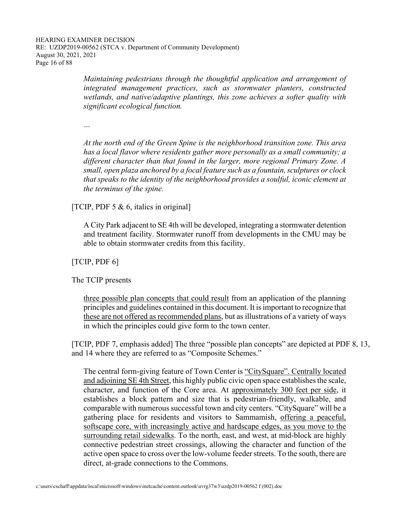*Maintaining pedestrians through the thoughtful application and arrangement of integrated management practices, such as stormwater planters, constructed wetlands, and native/adaptive plantings, this zone achieves a softer quality with significant ecological function.* 

*…* 

*At the north end of the Green Spine is the neighborhood transition zone. This area has a local flavor where residents gather more personally as a small community; a different character than that found in the larger, more regional Primary Zone. A small, open plaza anchored by a focal feature such as a fountain, sculptures or clock that speaks to the identity of the neighborhood provides a soulful, iconic element at the terminus of the spine.*

[TCIP, PDF 5  $\&$  6, italics in original]

A City Park adjacent to SE 4th will be developed, integrating a stormwater detention and treatment facility. Stormwater runoff from developments in the CMU may be able to obtain stormwater credits from this facility.

[TCIP, PDF 6]

The TCIP presents

three possible plan concepts that could result from an application of the planning principles and guidelines contained in this document. It is important to recognize that these are not offered as recommended plans, but as illustrations of a variety of ways in which the principles could give form to the town center.

[TCIP, PDF 7, emphasis added] The three "possible plan concepts" are depicted at PDF 8, 13, and 14 where they are referred to as "Composite Schemes."

The central form-giving feature of Town Center is "CitySquare". Centrally located and adjoining SE 4th Street, this highly public civic open space establishes the scale, character, and function of the Core area. At approximately 300 feet per side, it establishes a block pattern and size that is pedestrian-friendly, walkable, and comparable with numerous successful town and city centers. "CitySquare" will be a gathering place for residents and visitors to Sammamish, offering a peaceful, softscape core, with increasingly active and hardscape edges, as you move to the surrounding retail sidewalks. To the north, east, and west, at mid-block are highly connective pedestrian street crossings, allowing the character and function of the active open space to cross over the low-volume feeder streets. To the south, there are direct, at-grade connections to the Commons.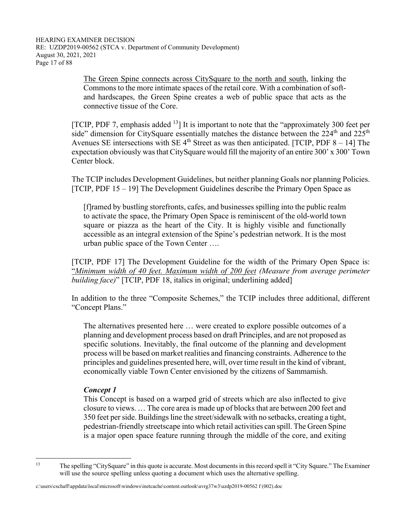The Green Spine connects across CitySquare to the north and south, linking the Commons to the more intimate spaces of the retail core. With a combination of softand hardscapes, the Green Spine creates a web of public space that acts as the connective tissue of the Core.

[TCIP, PDF 7, emphasis added  $^{13}$ ] It is important to note that the "approximately 300 feet per side" dimension for CitySquare essentially matches the distance between the  $224<sup>th</sup>$  and  $225<sup>th</sup>$ Avenues SE intersections with SE  $4<sup>th</sup>$  Street as was then anticipated. [TCIP, PDF  $8 - 14$ ] The expectation obviously was that CitySquare would fill the majority of an entire 300' x 300' Town Center block.

 The TCIP includes Development Guidelines, but neither planning Goals nor planning Policies. [TCIP, PDF 15 – 19] The Development Guidelines describe the Primary Open Space as

[f]ramed by bustling storefronts, cafes, and businesses spilling into the public realm to activate the space, the Primary Open Space is reminiscent of the old-world town square or piazza as the heart of the City. It is highly visible and functionally accessible as an integral extension of the Spine's pedestrian network. It is the most urban public space of the Town Center ….

 [TCIP, PDF 17] The Development Guideline for the width of the Primary Open Space is: "*Minimum width of 40 feet. Maximum width of 200 feet (Measure from average perimeter building face)*" [TCIP, PDF 18, italics in original; underlining added]

 In addition to the three "Composite Schemes," the TCIP includes three additional, different "Concept Plans."

The alternatives presented here … were created to explore possible outcomes of a planning and development process based on draft Principles, and are not proposed as specific solutions. Inevitably, the final outcome of the planning and development process will be based on market realities and financing constraints. Adherence to the principles and guidelines presented here, will, over time result in the kind of vibrant, economically viable Town Center envisioned by the citizens of Sammamish.

#### *Concept 1*

This Concept is based on a warped grid of streets which are also inflected to give closure to views. … The core area is made up of blocks that are between 200 feet and 350 feet per side. Buildings line the street/sidewalk with no setbacks, creating a tight, pedestrian-friendly streetscape into which retail activities can spill. The Green Spine is a major open space feature running through the middle of the core, and exiting

<sup>13</sup> The spelling "CitySquare" in this quote is accurate. Most documents in this record spell it "City Square." The Examiner will use the source spelling unless quoting a document which uses the alternative spelling.

c:\users\cschaff\appdata\local\microsoft\windows\inetcache\content.outlook\uvrg37w3\uzdp2019-00562 f (002).doc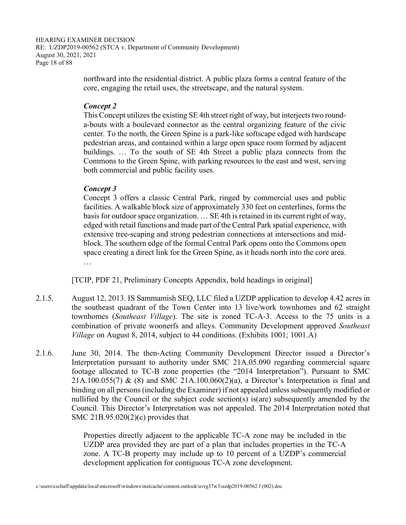HEARING EXAMINER DECISION RE: UZDP2019-00562 (STCA v. Department of Community Development) August 30, 2021, 2021 Page 18 of 88

> northward into the residential district. A public plaza forms a central feature of the core, engaging the retail uses, the streetscape, and the natural system.

### *Concept 2*

This Concept utilizes the existing SE 4th street right of way, but interjects two rounda-bouts with a boulevard connector as the central organizing feature of the civic center. To the north, the Green Spine is a park-like softscape edged with hardscape pedestrian areas, and contained within a large open space room formed by adjacent buildings. … To the south of SE 4th Street a public plaza connects from the Commons to the Green Spine, with parking resources to the east and west, serving both commercial and public facility uses.

## *Concept 3*

Concept 3 offers a classic Central Park, ringed by commercial uses and public facilities. A walkable block size of approximately 330 feet on centerlines, forms the basis for outdoor space organization. … SE 4th is retained in its current right of way, edged with retail functions and made part of the Central Park spatial experience, with extensive tree-scaping and strong pedestrian connections at intersections and midblock. The southern edge of the formal Central Park opens onto the Commons open space creating a direct link for the Green Spine, as it heads north into the core area. …

[TCIP, PDF 21, Preliminary Concepts Appendix, bold headings in original]

- 2.1.5. August 12, 2013. IS Sammamish SEQ, LLC filed a UZDP application to develop 4.42 acres in the southeast quadrant of the Town Center into 13 live/work townhomes and 62 straight townhomes (*Southeast Village*). The site is zoned TC-A-3. Access to the 75 units is a combination of private woonerfs and alleys. Community Development approved *Southeast Village* on August 8, 2014, subject to 44 conditions. (Exhibits 1001; 1001.A)
- 2.1.6. June 30, 2014. The then-Acting Community Development Director issued a Director's Interpretation pursuant to authority under SMC 21A.05.090 regarding commercial square footage allocated to TC-B zone properties (the "2014 Interpretation"). Pursuant to SMC 21A.100.055(7) & (8) and SMC 21A.100.060(2)(a), a Director's Interpretation is final and binding on all persons (including the Examiner) if not appealed unless subsequently modified or nullified by the Council or the subject code section(s) is(are) subsequently amended by the Council. This Director's Interpretation was not appealed. The 2014 Interpretation noted that SMC 21B.95.020(2)(c) provides that

Properties directly adjacent to the applicable TC-A zone may be included in the UZDP area provided they are part of a plan that includes properties in the TC-A zone. A TC-B property may include up to 10 percent of a UZDP's commercial development application for contiguous TC-A zone development.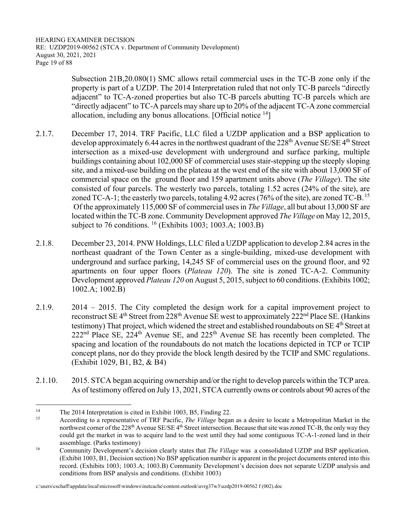HEARING EXAMINER DECISION RE: UZDP2019-00562 (STCA v. Department of Community Development) August 30, 2021, 2021 Page 19 of 88

> Subsection 21B,20.080(1) SMC allows retail commercial uses in the TC-B zone only if the property is part of a UZDP. The 2014 Interpretation ruled that not only TC-B parcels "directly adjacent" to TC-A-zoned properties but also TC-B parcels abutting TC-B parcels which are "directly adjacent" to TC-A parcels may share up to 20% of the adjacent TC-A zone commercial allocation, including any bonus allocations. [Official notice 14]

- 2.1.7. December 17, 2014. TRF Pacific, LLC filed a UZDP application and a BSP application to develop approximately 6.44 acres in the northwest quadrant of the  $228<sup>th</sup>$  Avenue SE/SE 4<sup>th</sup> Street intersection as a mixed-use development with underground and surface parking, multiple buildings containing about 102,000 SF of commercial uses stair-stepping up the steeply sloping site, and a mixed-use building on the plateau at the west end of the site with about 13,000 SF of commercial space on the ground floor and 159 apartment units above (*The Village*). The site consisted of four parcels. The westerly two parcels, totaling 1.52 acres (24% of the site), are zoned TC-A-1; the easterly two parcels, totaling 4.92 acres (76% of the site), are zoned TC-B. <sup>15</sup> Of the approximately 115,000 SF of commercial uses in *The Village*, all but about 13,000 SF are located within the TC-B zone. Community Development approved *The Village* on May 12, 2015, subject to 76 conditions. <sup>16</sup> (Exhibits 1003; 1003.A; 1003.B)
- 2.1.8. December 23, 2014. PNW Holdings, LLC filed a UZDP application to develop 2.84 acres in the northeast quadrant of the Town Center as a single-building, mixed-use development with underground and surface parking, 14,245 SF of commercial uses on the ground floor, and 92 apartments on four upper floors (*Plateau 120*). The site is zoned TC-A-2. Community Development approved *Plateau 120* on August 5, 2015, subject to 60 conditions. (Exhibits 1002; 1002.A; 1002.B)
- 2.1.9. 2014 2015. The City completed the design work for a capital improvement project to reconstruct SE 4<sup>th</sup> Street from 228<sup>th</sup> Avenue SE west to approximately 222<sup>nd</sup> Place SE. (Hankins testimony) That project, which widened the street and established roundabouts on SE 4<sup>th</sup> Street at  $222<sup>nd</sup>$  Place SE,  $224<sup>th</sup>$  Avenue SE, and  $225<sup>th</sup>$  Avenue SE has recently been completed. The spacing and location of the roundabouts do not match the locations depicted in TCP or TCIP concept plans, nor do they provide the block length desired by the TCIP and SMC regulations. (Exhibit 1029, B1, B2, & B4)
- 2.1.10. 2015. STCA began acquiring ownership and/or the right to develop parcels within the TCP area. As of testimony offered on July 13, 2021, STCA currently owns or controls about 90 acres of the

<sup>&</sup>lt;sup>14</sup> The 2014 Interpretation is cited in Exhibit 1003, B5, Finding 22.<br>According to a representative of TRE Pacific. *The Village* because

<sup>15</sup> According to a representative of TRF Pacific, *The Village* began as a desire to locate a Metropolitan Market in the northwest corner of the 228<sup>th</sup> Avenue SE/SE 4<sup>th</sup> Street intersection. Because that site was zoned TC-B, the only way they could get the market in was to acquire land to the west until they had some contiguous TC-A-1-zoned land in their assemblage. (Parks testimony)<br><sup>16</sup> Community Development's decision clearly states that *The Village* was a consolidated UZDP and BSP application.

<sup>(</sup>Exhibit 1003, B1, Decision section) No BSP application number is apparent in the project documents entered into this record. (Exhibits 1003; 1003.A; 1003.B) Community Development's decision does not separate UZDP analysis and conditions from BSP analysis and conditions. (Exhibit 1003)

c:\users\cschaff\appdata\local\microsoft\windows\inetcache\content.outlook\uvrg37w3\uzdp2019-00562 f (002).doc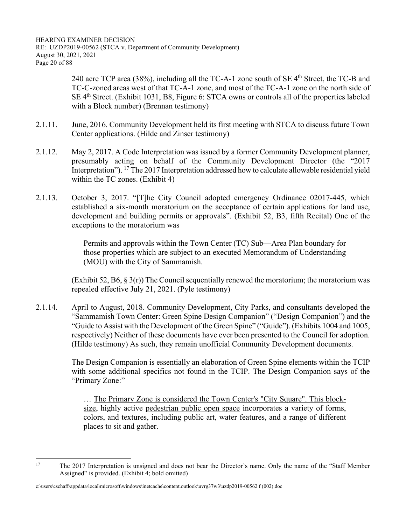HEARING EXAMINER DECISION RE: UZDP2019-00562 (STCA v. Department of Community Development) August 30, 2021, 2021 Page 20 of 88

> 240 acre TCP area (38%), including all the TC-A-1 zone south of SE  $4<sup>th</sup>$  Street, the TC-B and TC-C-zoned areas west of that TC-A-1 zone, and most of the TC-A-1 zone on the north side of  $SE$  4<sup>th</sup> Street. (Exhibit 1031, B8, Figure 6: STCA owns or controls all of the properties labeled with a Block number) (Brennan testimony)

- 2.1.11. June, 2016. Community Development held its first meeting with STCA to discuss future Town Center applications. (Hilde and Zinser testimony)
- 2.1.12. May 2, 2017. A Code Interpretation was issued by a former Community Development planner, presumably acting on behalf of the Community Development Director (the "2017 Interpretation"). <sup>17</sup> The 2017 Interpretation addressed how to calculate allowable residential yield within the TC zones. (Exhibit 4)
- 2.1.13. October 3, 2017. "[T]he City Council adopted emergency Ordinance 02017-445, which established a six-month moratorium on the acceptance of certain applications for land use, development and building permits or approvals". (Exhibit 52, B3, fifth Recital) One of the exceptions to the moratorium was

Permits and approvals within the Town Center (TC) Sub—Area Plan boundary for those properties which are subject to an executed Memorandum of Understanding (MOU) with the City of Sammamish.

(Exhibit 52, B6,  $\S 3(r)$ ) The Council sequentially renewed the moratorium; the moratorium was repealed effective July 21, 2021. (Pyle testimony)

2.1.14. April to August, 2018. Community Development, City Parks, and consultants developed the "Sammamish Town Center: Green Spine Design Companion" ("Design Companion") and the "Guide to Assist with the Development of the Green Spine" ("Guide"). (Exhibits 1004 and 1005, respectively) Neither of these documents have ever been presented to the Council for adoption. (Hilde testimony) As such, they remain unofficial Community Development documents.

> The Design Companion is essentially an elaboration of Green Spine elements within the TCIP with some additional specifics not found in the TCIP. The Design Companion says of the "Primary Zone:"

… The Primary Zone is considered the Town Center's "City Square". This blocksize, highly active pedestrian public open space incorporates a variety of forms, colors, and textures, including public art, water features, and a range of different places to sit and gather.

<sup>&</sup>lt;sup>17</sup> The 2017 Interpretation is unsigned and does not bear the Director's name. Only the name of the "Staff Member" Assigned" is provided. (Exhibit 4; bold omitted)

c:\users\cschaff\appdata\local\microsoft\windows\inetcache\content.outlook\uvrg37w3\uzdp2019-00562 f (002).doc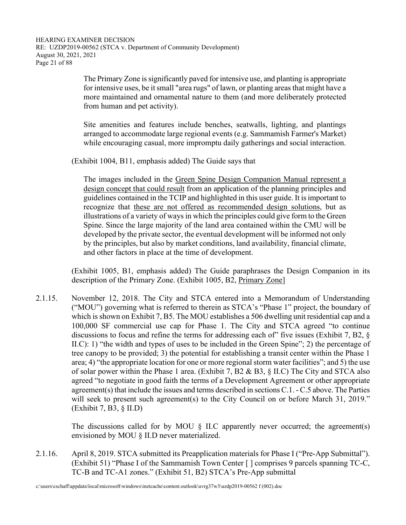The Primary Zone is significantly paved for intensive use, and planting is appropriate for intensive uses, be it small "area rugs" of lawn, or planting areas that might have a more maintained and ornamental nature to them (and more deliberately protected from human and pet activity).

Site amenities and features include benches, seatwalls, lighting, and plantings arranged to accommodate large regional events (e.g. Sammamish Farmer's Market) while encouraging casual, more impromptu daily gatherings and social interaction.

(Exhibit 1004, B11, emphasis added) The Guide says that

The images included in the Green Spine Design Companion Manual represent a design concept that could result from an application of the planning principles and guidelines contained in the TCIP and highlighted in this user guide. It is important to recognize that these are not offered as recommended design solutions, but as illustrations of a variety of ways in which the principles could give form to the Green Spine. Since the large majority of the land area contained within the CMU will be developed by the private sector, the eventual development will be informed not only by the principles, but also by market conditions, land availability, financial climate, and other factors in place at the time of development.

 (Exhibit 1005, B1, emphasis added) The Guide paraphrases the Design Companion in its description of the Primary Zone. (Exhibit 1005, B2, Primary Zone]

2.1.15. November 12, 2018. The City and STCA entered into a Memorandum of Understanding ("MOU") governing what is referred to therein as STCA's "Phase 1" project, the boundary of which is shown on Exhibit 7, B5. The MOU establishes a 506 dwelling unit residential cap and a 100,000 SF commercial use cap for Phase 1. The City and STCA agreed "to continue discussions to focus and refine the terms for addressing each of" five issues (Exhibit 7, B2, § II.C): 1) "the width and types of uses to be included in the Green Spine"; 2) the percentage of tree canopy to be provided; 3) the potential for establishing a transit center within the Phase 1 area; 4) "the appropriate location for one or more regional storm water facilities"; and 5) the use of solar power within the Phase 1 area. (Exhibit 7, B2 & B3, § II.C) The City and STCA also agreed "to negotiate in good faith the terms of a Development Agreement or other appropriate agreement(s) that include the issues and terms described in sections C.1. - C.5 above. The Parties will seek to present such agreement(s) to the City Council on or before March 31, 2019." (Exhibit 7, B3, § II.D)

> The discussions called for by MOU § II.C apparently never occurred; the agreement(s) envisioned by MOU § II.D never materialized.

2.1.16. April 8, 2019. STCA submitted its Preapplication materials for Phase I ("Pre-App Submittal"). (Exhibit 51) "Phase I of the Sammamish Town Center [ ] comprises 9 parcels spanning TC-C, TC-B and TC-A1 zones." (Exhibit 51, B2) STCA's Pre-App submittal

c:\users\cschaff\appdata\local\microsoft\windows\inetcache\content.outlook\uvrg37w3\uzdp2019-00562 f (002).doc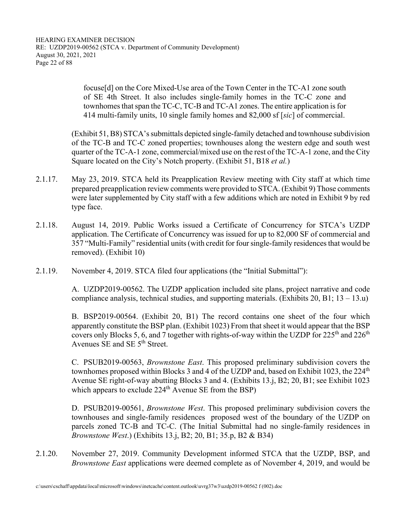focuse[d] on the Core Mixed‐Use area of the Town Center in the TC‐A1 zone south of SE 4th Street. It also includes single‐family homes in the TC‐C zone and townhomes that span the TC‐C, TC‐B and TC‐A1 zones. The entire application is for 414 multi‐family units, 10 single family homes and 82,000 sf [*sic*] of commercial.

 (Exhibit 51, B8) STCA's submittals depicted single-family detached and townhouse subdivision of the TC-B and TC-C zoned properties; townhouses along the western edge and south west quarter of the TC-A-1 zone, commercial/mixed use on the rest of the TC-A-1 zone, and the City Square located on the City's Notch property. (Exhibit 51, B18 *et al.*)

- 2.1.17. May 23, 2019. STCA held its Preapplication Review meeting with City staff at which time prepared preapplication review comments were provided to STCA. (Exhibit 9) Those comments were later supplemented by City staff with a few additions which are noted in Exhibit 9 by red type face.
- 2.1.18. August 14, 2019. Public Works issued a Certificate of Concurrency for STCA's UZDP application. The Certificate of Concurrency was issued for up to 82,000 SF of commercial and 357 "Multi-Family" residential units (with credit for four single-family residences that would be removed). (Exhibit 10)
- 2.1.19. November 4, 2019. STCA filed four applications (the "Initial Submittal"):

 A. UZDP2019-00562. The UZDP application included site plans, project narrative and code compliance analysis, technical studies, and supporting materials. (Exhibits 20, B1;  $13 - 13.u$ )

 B. BSP2019-00564. (Exhibit 20, B1) The record contains one sheet of the four which apparently constitute the BSP plan. (Exhibit 1023) From that sheet it would appear that the BSP covers only Blocks 5, 6, and 7 together with rights-of-way within the UZDP for  $225<sup>th</sup>$  and  $226<sup>th</sup>$ Avenues SE and SE 5<sup>th</sup> Street.

 C. PSUB2019-00563, *Brownstone East*. This proposed preliminary subdivision covers the townhomes proposed within Blocks 3 and 4 of the UZDP and, based on Exhibit 1023, the  $224<sup>th</sup>$ Avenue SE right-of-way abutting Blocks 3 and 4. (Exhibits 13.j, B2; 20, B1; see Exhibit 1023 which appears to exclude  $224<sup>th</sup>$  Avenue SE from the BSP)

 D. PSUB2019-00561, *Brownstone West*. This proposed preliminary subdivision covers the townhouses and single-family residences proposed west of the boundary of the UZDP on parcels zoned TC-B and TC-C. (The Initial Submittal had no single-family residences in *Brownstone West*.) (Exhibits 13.j, B2; 20, B1; 35.p, B2 & B34)

2.1.20. November 27, 2019. Community Development informed STCA that the UZDP, BSP, and *Brownstone East* applications were deemed complete as of November 4, 2019, and would be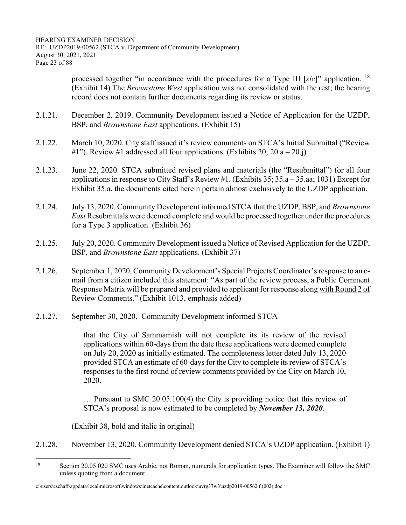processed together "in accordance with the procedures for a Type III [*sic*]" application. <sup>18</sup> (Exhibit 14) The *Brownstone West* application was not consolidated with the rest; the hearing record does not contain further documents regarding its review or status.

- 2.1.21. December 2, 2019. Community Development issued a Notice of Application for the UZDP, BSP, and *Brownstone East* applications. (Exhibit 15)
- 2.1.22. March 10, 2020. City staff issued it's review comments on STCA's Initial Submittal ("Review  $\#1$ "). Review  $\#1$  addressed all four applications. (Exhibits 20; 20.a – 20.j)
- 2.1.23. June 22, 2020. STCA submitted revised plans and materials (the "Resubmittal") for all four applications in response to City Staff's Review #1. (Exhibits 35; 35.a – 35.aa; 1031) Except for Exhibit 35.a, the documents cited herein pertain almost exclusively to the UZDP application.
- 2.1.24. July 13, 2020. Community Development informed STCA that the UZDP, BSP, and *Brownstone East* Resubmittals were deemed complete and would be processed together under the procedures for a Type 3 application. (Exhibit 36)
- 2.1.25. July 20, 2020. Community Development issued a Notice of Revised Application for the UZDP, BSP, and *Brownstone East* applications. (Exhibit 37)
- 2.1.26. September 1, 2020. Community Development's Special Projects Coordinator's response to an email from a citizen included this statement: "As part of the review process, a Public Comment Response Matrix will be prepared and provided to applicant for response along with Round 2 of Review Comments." (Exhibit 1013, emphasis added)
- 2.1.27. September 30, 2020. Community Development informed STCA

that the City of Sammamish will not complete its its review of the revised applications within 60-days from the date these applications were deemed complete on July 20, 2020 as initially estimated. The completeness letter dated July 13, 2020 provided STCA an estimate of 60-days for the City to complete its review of STCA's responses to the first round of review comments provided by the City on March 10, 2020.

… Pursuant to SMC 20.05.100(4) the City is providing notice that this review of STCA's proposal is now estimated to be completed by *November 13, 2020*.

(Exhibit 38, bold and italic in original)

2.1.28. November 13, 2020. Community Development denied STCA's UZDP application. (Exhibit 1)

<sup>&</sup>lt;sup>18</sup> Section 20.05.020 SMC uses Arabic, not Roman, numerals for application types. The Examiner will follow the SMC unless quoting from a document.

c:\users\cschaff\appdata\local\microsoft\windows\inetcache\content.outlook\uvrg37w3\uzdp2019-00562 f (002).doc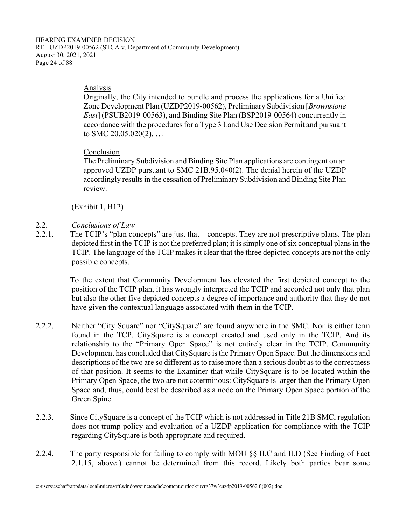### Analysis

Originally, the City intended to bundle and process the applications for a Unified Zone Development Plan (UZDP2019-00562), Preliminary Subdivision [*Brownstone East*] (PSUB2019-00563), and Binding Site Plan (BSP2019-00564) concurrently in accordance with the procedures for a Type 3 Land Use Decision Permit and pursuant to SMC 20.05.020(2). …

## Conclusion

The Preliminary Subdivision and Binding Site Plan applications are contingent on an approved UZDP pursuant to SMC 21B.95.040(2). The denial herein of the UZDP accordingly results in the cessation of Preliminary Subdivision and Binding Site Plan review.

(Exhibit 1, B12)

# 2.2. *Conclusions of Law*

2.2.1. The TCIP's "plan concepts" are just that – concepts. They are not prescriptive plans. The plan depicted first in the TCIP is not the preferred plan; it is simply one of six conceptual plans in the TCIP. The language of the TCIP makes it clear that the three depicted concepts are not the only possible concepts.

> To the extent that Community Development has elevated the first depicted concept to the position of the TCIP plan, it has wrongly interpreted the TCIP and accorded not only that plan but also the other five depicted concepts a degree of importance and authority that they do not have given the contextual language associated with them in the TCIP.

- 2.2.2. Neither "City Square" nor "CitySquare" are found anywhere in the SMC. Nor is either term found in the TCP. CitySquare is a concept created and used only in the TCIP. And its relationship to the "Primary Open Space" is not entirely clear in the TCIP. Community Development has concluded that CitySquare is the Primary Open Space. But the dimensions and descriptions of the two are so different as to raise more than a serious doubt as to the correctness of that position. It seems to the Examiner that while CitySquare is to be located within the Primary Open Space, the two are not coterminous: CitySquare is larger than the Primary Open Space and, thus, could best be described as a node on the Primary Open Space portion of the Green Spine.
- 2.2.3. Since CitySquare is a concept of the TCIP which is not addressed in Title 21B SMC, regulation does not trump policy and evaluation of a UZDP application for compliance with the TCIP regarding CitySquare is both appropriate and required.
- 2.2.4. The party responsible for failing to comply with MOU §§ II.C and II.D (See Finding of Fact 2.1.15, above.) cannot be determined from this record. Likely both parties bear some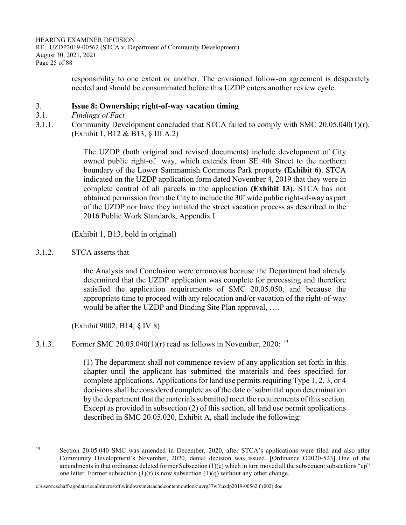HEARING EXAMINER DECISION RE: UZDP2019-00562 (STCA v. Department of Community Development) August 30, 2021, 2021 Page 25 of 88

> responsibility to one extent or another. The envisioned follow-on agreement is desperately needed and should be consummated before this UZDP enters another review cycle.

#### 3. **Issue 8: Ownership; right-of-way vacation timing**

- 3.1. *Findings of Fact*
- 3.1.1. Community Development concluded that STCA failed to comply with SMC 20.05.040(1)(r). (Exhibit 1, B12 & B13, § III.A.2)

The UZDP (both original and revised documents) include development of City owned public right-of way, which extends from SE 4th Street to the northern boundary of the Lower Sammamish Commons Park property **(Exhibit 6)**. STCA indicated on the UZDP application form dated November 4, 2019 that they were in complete control of all parcels in the application **(Exhibit 13)**. STCA has not obtained permission from the City to include the 30' wide public right-of-way as part of the UZDP nor have they initiated the street vacation process as described in the 2016 Public Work Standards, Appendix I.

(Exhibit 1, B13, bold in original)

3.1.2. STCA asserts that

the Analysis and Conclusion were erroneous because the Department had already determined that the UZDP application was complete for processing and therefore satisfied the application requirements of SMC 20.05.050, and because the appropriate time to proceed with any relocation and/or vacation of the right-of-way would be after the UZDP and Binding Site Plan approval, ….

(Exhibit 9002, B14, § IV.8)

3.1.3. Former SMC 20.05.040(1)(r) read as follows in November, 2020: <sup>19</sup>

(1) The department shall not commence review of any application set forth in this chapter until the applicant has submitted the materials and fees specified for complete applications. Applications for land use permits requiring Type 1, 2, 3, or 4 decisions shall be considered complete as of the date of submittal upon determination by the department that the materials submitted meet the requirements of this section. Except as provided in subsection (2) of this section, all land use permit applications described in SMC 20.05.020, Exhibit A, shall include the following:

<sup>&</sup>lt;sup>19</sup> Section 20.05.040 SMC was amended in December, 2020, after STCA's applications were filed and also after Community Development's November, 2020, denial decision was issued. [Ordinance O2020-523] One of the amendments in that ordinance deleted former Subsection  $(1)(e)$  which in turn moved all the subsequent subsections "up" one letter. Former subsection  $(1)(r)$  is now subsection  $(1)(q)$  without any other change.

c:\users\cschaff\appdata\local\microsoft\windows\inetcache\content.outlook\uvrg37w3\uzdp2019-00562 f (002).doc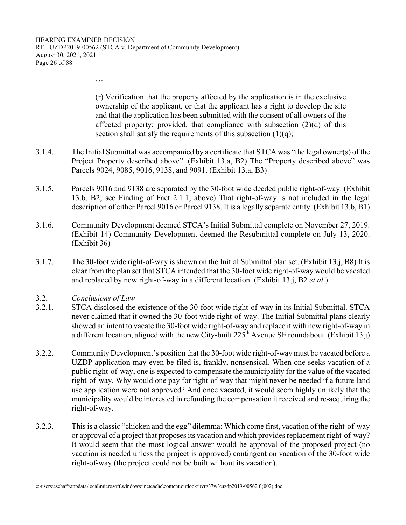…

(r) Verification that the property affected by the application is in the exclusive ownership of the applicant, or that the applicant has a right to develop the site and that the application has been submitted with the consent of all owners of the affected property; provided, that compliance with subsection  $(2)(d)$  of this section shall satisfy the requirements of this subsection  $(1)(q)$ ;

- 3.1.4. The Initial Submittal was accompanied by a certificate that STCA was "the legal owner(s) of the Project Property described above". (Exhibit 13.a, B2) The "Property described above" was Parcels 9024, 9085, 9016, 9138, and 9091. (Exhibit 13.a, B3)
- 3.1.5. Parcels 9016 and 9138 are separated by the 30-foot wide deeded public right-of-way. (Exhibit 13.b, B2; see Finding of Fact 2.1.1, above) That right-of-way is not included in the legal description of either Parcel 9016 or Parcel 9138. It is a legally separate entity. (Exhibit 13.b, B1)
- 3.1.6. Community Development deemed STCA's Initial Submittal complete on November 27, 2019. (Exhibit 14) Community Development deemed the Resubmittal complete on July 13, 2020. (Exhibit 36)
- 3.1.7. The 30-foot wide right-of-way is shown on the Initial Submittal plan set. (Exhibit 13.j, B8) It is clear from the plan set that STCA intended that the 30-foot wide right-of-way would be vacated and replaced by new right-of-way in a different location. (Exhibit 13.j, B2 *et al.*)
- 3.2. *Conclusions of Law*
- 3.2.1. STCA disclosed the existence of the 30-foot wide right-of-way in its Initial Submittal. STCA never claimed that it owned the 30-foot wide right-of-way. The Initial Submittal plans clearly showed an intent to vacate the 30-foot wide right-of-way and replace it with new right-of-way in a different location, aligned with the new City-built  $225<sup>th</sup>$  Avenue SE roundabout. (Exhibit 13.j)
- 3.2.2. Community Development's position that the 30-foot wide right-of-way must be vacated before a UZDP application may even be filed is, frankly, nonsensical. When one seeks vacation of a public right-of-way, one is expected to compensate the municipality for the value of the vacated right-of-way. Why would one pay for right-of-way that might never be needed if a future land use application were not approved? And once vacated, it would seem highly unlikely that the municipality would be interested in refunding the compensation it received and re-acquiring the right-of-way.
- 3.2.3. This is a classic "chicken and the egg" dilemma: Which come first, vacation of the right-of-way or approval of a project that proposes its vacation and which provides replacement right-of-way? It would seem that the most logical answer would be approval of the proposed project (no vacation is needed unless the project is approved) contingent on vacation of the 30-foot wide right-of-way (the project could not be built without its vacation).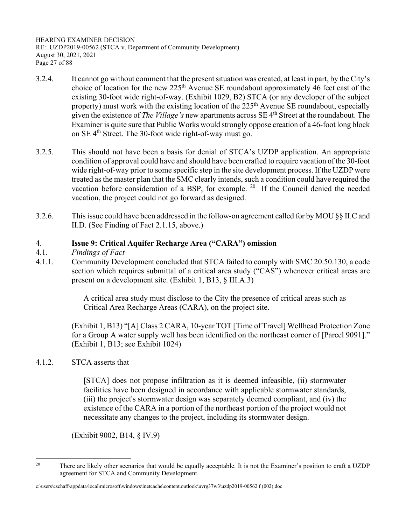HEARING EXAMINER DECISION RE: UZDP2019-00562 (STCA v. Department of Community Development) August 30, 2021, 2021 Page 27 of 88

- 3.2.4. It cannot go without comment that the present situation was created, at least in part, by the City's choice of location for the new 225<sup>th</sup> Avenue SE roundabout approximately 46 feet east of the existing 30-foot wide right-of-way. (Exhibit 1029, B2) STCA (or any developer of the subject property) must work with the existing location of the  $225<sup>th</sup>$  Avenue SE roundabout, especially given the existence of *The Village's* new apartments across SE 4th Street at the roundabout. The Examiner is quite sure that Public Works would strongly oppose creation of a 46-foot long block on SE  $4<sup>th</sup>$  Street. The 30-foot wide right-of-way must go.
- 3.2.5. This should not have been a basis for denial of STCA's UZDP application. An appropriate condition of approval could have and should have been crafted to require vacation of the 30-foot wide right-of-way prior to some specific step in the site development process. If the UZDP were treated as the master plan that the SMC clearly intends, such a condition could have required the vacation before consideration of a BSP, for example. <sup>20</sup> If the Council denied the needed vacation, the project could not go forward as designed.
- 3.2.6. This issue could have been addressed in the follow-on agreement called for by MOU §§ II.C and II.D. (See Finding of Fact 2.1.15, above.)

## 4. **Issue 9: Critical Aquifer Recharge Area ("CARA") omission**

- 4.1. *Findings of Fact*
- 4.1.1. Community Development concluded that STCA failed to comply with SMC 20.50.130, a code section which requires submittal of a critical area study ("CAS") whenever critical areas are present on a development site. (Exhibit 1, B13, § III.A.3)

A critical area study must disclose to the City the presence of critical areas such as Critical Area Recharge Areas (CARA), on the project site.

 (Exhibit 1, B13) "[A] Class 2 CARA, 10-year TOT [Time of Travel] Wellhead Protection Zone for a Group A water supply well has been identified on the northeast corner of [Parcel 9091]." (Exhibit 1, B13; see Exhibit 1024)

4.1.2. STCA asserts that

[STCA] does not propose infiltration as it is deemed infeasible, (ii) stormwater facilities have been designed in accordance with applicable stormwater standards, (iii) the project's stormwater design was separately deemed compliant, and (iv) the existence of the CARA in a portion of the northeast portion of the project would not necessitate any changes to the project, including its stormwater design.

(Exhibit 9002, B14, § IV.9)

<sup>&</sup>lt;sup>20</sup> There are likely other scenarios that would be equally acceptable. It is not the Examiner's position to craft a UZDP agreement for STCA and Community Development.

c:\users\cschaff\appdata\local\microsoft\windows\inetcache\content.outlook\uvrg37w3\uzdp2019-00562 f (002).doc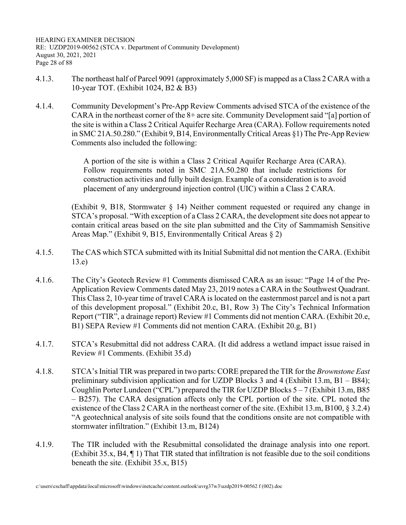- 4.1.3. The northeast half of Parcel 9091 (approximately 5,000 SF) is mapped as a Class 2 CARA with a 10-year TOT. (Exhibit 1024, B2 & B3)
- 4.1.4. Community Development's Pre-App Review Comments advised STCA of the existence of the CARA in the northeast corner of the 8+ acre site. Community Development said "[a] portion of the site is within a Class 2 Critical Aquifer Recharge Area (CARA). Follow requirements noted in SMC 21A.50.280." (Exhibit 9, B14, Environmentally Critical Areas §1) The Pre-App Review Comments also included the following:

A portion of the site is within a Class 2 Critical Aquifer Recharge Area (CARA). Follow requirements noted in SMC 21A.50.280 that include restrictions for construction activities and fully built design. Example of a consideration is to avoid placement of any underground injection control (UIC) within a Class 2 CARA.

 (Exhibit 9, B18, Stormwater § 14) Neither comment requested or required any change in STCA's proposal. "With exception of a Class 2 CARA, the development site does not appear to contain critical areas based on the site plan submitted and the City of Sammamish Sensitive Areas Map." (Exhibit 9, B15, Environmentally Critical Areas § 2)

- 4.1.5. The CAS which STCA submitted with its Initial Submittal did not mention the CARA. (Exhibit 13.e)
- 4.1.6. The City's Geotech Review #1 Comments dismissed CARA as an issue: "Page 14 of the Pre-Application Review Comments dated May 23, 2019 notes a CARA in the Southwest Quadrant. This Class 2, 10-year time of travel CARA is located on the easternmost parcel and is not a part of this development proposal." (Exhibit 20.c, B1, Row 3) The City's Technical Information Report ("TIR", a drainage report) Review #1 Comments did not mention CARA. (Exhibit 20.e, B1) SEPA Review #1 Comments did not mention CARA. (Exhibit 20.g, B1)
- 4.1.7. STCA's Resubmittal did not address CARA. (It did address a wetland impact issue raised in Review #1 Comments. (Exhibit 35.d)
- 4.1.8. STCA's Initial TIR was prepared in two parts: CORE prepared the TIR for the *Brownstone East* preliminary subdivision application and for UZDP Blocks 3 and 4 (Exhibit 13.m, B1 – B84); Coughlin Porter Lundeen ("CPL") prepared the TIR for UZDP Blocks  $5-7$  (Exhibit 13.m, B85 – B257). The CARA designation affects only the CPL portion of the site. CPL noted the existence of the Class 2 CARA in the northeast corner of the site. (Exhibit 13.m, B100, § 3.2.4) "A geotechnical analysis of site soils found that the conditions onsite are not compatible with stormwater infiltration." (Exhibit 13.m, B124)
- 4.1.9. The TIR included with the Resubmittal consolidated the drainage analysis into one report. (Exhibit 35.x, B4, ¶ 1) That TIR stated that infiltration is not feasible due to the soil conditions beneath the site. (Exhibit 35.x, B15)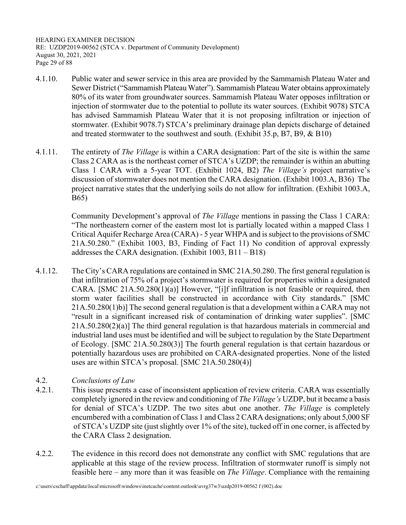HEARING EXAMINER DECISION RE: UZDP2019-00562 (STCA v. Department of Community Development) August 30, 2021, 2021 Page 29 of 88

- 4.1.10. Public water and sewer service in this area are provided by the Sammamish Plateau Water and Sewer District ("Sammamish Plateau Water"). Sammamish Plateau Water obtains approximately 80% of its water from groundwater sources. Sammamish Plateau Water opposes infiltration or injection of stormwater due to the potential to pollute its water sources. (Exhibit 9078) STCA has advised Sammamish Plateau Water that it is not proposing infiltration or injection of stormwater. (Exhibit 9078.7) STCA's preliminary drainage plan depicts discharge of detained and treated stormwater to the southwest and south. (Exhibit 35.p, B7, B9, & B10)
- 4.1.11. The entirety of *The Village* is within a CARA designation: Part of the site is within the same Class 2 CARA as is the northeast corner of STCA's UZDP; the remainder is within an abutting Class 1 CARA with a 5-year TOT. (Exhibit 1024, B2) *The Village's* project narrative's discussion of stormwater does not mention the CARA designation. (Exhibit 1003.A, B36) The project narrative states that the underlying soils do not allow for infiltration. (Exhibit 1003.A, B65)

 Community Development's approval of *The Village* mentions in passing the Class 1 CARA: "The northeastern corner of the eastern most lot is partially located within a mapped Class 1 Critical Aquifer Recharge Area (CARA) - 5 year WHPA and is subject to the provisions of SMC 21A.50.280." (Exhibit 1003, B3, Finding of Fact 11) No condition of approval expressly addresses the CARA designation. (Exhibit 1003, B11 – B18)

- 4.1.12. The City's CARA regulations are contained in SMC 21A.50.280. The first general regulation is that infiltration of 75% of a project's stormwater is required for properties within a designated CARA. [SMC 21A.50.280(1)(a)] However, "[i]f infiltration is not feasible or required, then storm water facilities shall be constructed in accordance with City standards." [SMC 21A.50.280(1)b)] The second general regulation is that a development within a CARA may not "result in a significant increased risk of contamination of drinking water supplies". [SMC 21A.50.280(2)(a)] The third general regulation is that hazardous materials in commercial and industrial land uses must be identified and will be subject to regulation by the State Department of Ecology. [SMC 21A.50.280(3)] The fourth general regulation is that certain hazardous or potentially hazardous uses are prohibited on CARA-designated properties. None of the listed uses are within STCA's proposal. [SMC 21A.50.280(4)]
- 4.2. *Conclusions of Law*
- 4.2.1. This issue presents a case of inconsistent application of review criteria. CARA was essentially completely ignored in the review and conditioning of *The Village's* UZDP, but it became a basis for denial of STCA's UZDP. The two sites abut one another. *The Village* is completely encumbered with a combination of Class 1 and Class 2 CARA designations; only about 5,000 SF of STCA's UZDP site (just slightly over 1% of the site), tucked off in one corner, is affected by the CARA Class 2 designation.
- 4.2.2. The evidence in this record does not demonstrate any conflict with SMC regulations that are applicable at this stage of the review process. Infiltration of stormwater runoff is simply not feasible here – any more than it was feasible on *The Village*. Compliance with the remaining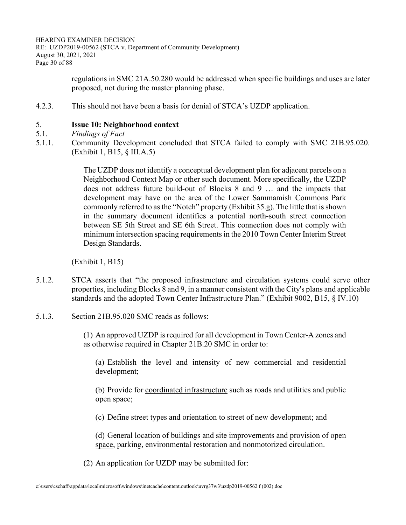HEARING EXAMINER DECISION RE: UZDP2019-00562 (STCA v. Department of Community Development) August 30, 2021, 2021 Page 30 of 88

> regulations in SMC 21A.50.280 would be addressed when specific buildings and uses are later proposed, not during the master planning phase.

4.2.3. This should not have been a basis for denial of STCA's UZDP application.

#### 5. **Issue 10: Neighborhood context**

- 5.1. *Findings of Fact*
- 5.1.1. Community Development concluded that STCA failed to comply with SMC 21B.95.020. (Exhibit 1, B15, § III.A.5)

The UZDP does not identify a conceptual development plan for adjacent parcels on a Neighborhood Context Map or other such document. More specifically, the UZDP does not address future build-out of Blocks 8 and 9 … and the impacts that development may have on the area of the Lower Sammamish Commons Park commonly referred to as the "Notch" property (Exhibit 35.g). The little that is shown in the summary document identifies a potential north-south street connection between SE 5th Street and SE 6th Street. This connection does not comply with minimum intersection spacing requirements in the 2010 Town Center Interim Street Design Standards.

(Exhibit 1, B15)

- 5.1.2. STCA asserts that "the proposed infrastructure and circulation systems could serve other properties, including Blocks 8 and 9, in a manner consistent with the City's plans and applicable standards and the adopted Town Center Infrastructure Plan." (Exhibit 9002, B15, § IV.10)
- 5.1.3. Section 21B.95.020 SMC reads as follows:

(1) An approved UZDP is required for all development in Town Center-A zones and as otherwise required in Chapter 21B.20 SMC in order to:

(a) Establish the level and intensity of new commercial and residential development;

(b) Provide for coordinated infrastructure such as roads and utilities and public open space;

(c) Define street types and orientation to street of new development; and

(d) General location of buildings and site improvements and provision of open space, parking, environmental restoration and nonmotorized circulation.

(2) An application for UZDP may be submitted for: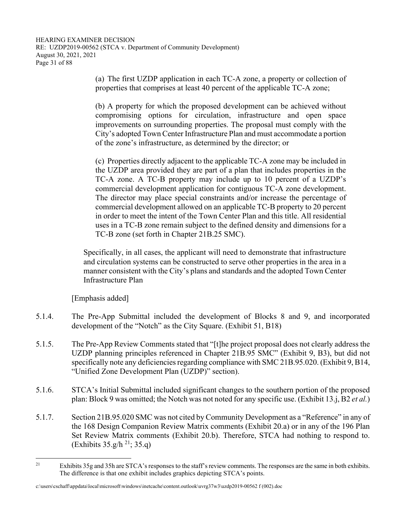(a) The first UZDP application in each TC-A zone, a property or collection of properties that comprises at least 40 percent of the applicable TC-A zone;

(b) A property for which the proposed development can be achieved without compromising options for circulation, infrastructure and open space improvements on surrounding properties. The proposal must comply with the City's adopted Town Center Infrastructure Plan and must accommodate a portion of the zone's infrastructure, as determined by the director; or

(c) Properties directly adjacent to the applicable TC-A zone may be included in the UZDP area provided they are part of a plan that includes properties in the TC-A zone. A TC-B property may include up to 10 percent of a UZDP's commercial development application for contiguous TC-A zone development. The director may place special constraints and/or increase the percentage of commercial development allowed on an applicable TC-B property to 20 percent in order to meet the intent of the Town Center Plan and this title. All residential uses in a TC-B zone remain subject to the defined density and dimensions for a TC-B zone (set forth in Chapter 21B.25 SMC).

Specifically, in all cases, the applicant will need to demonstrate that infrastructure and circulation systems can be constructed to serve other properties in the area in a manner consistent with the City's plans and standards and the adopted Town Center Infrastructure Plan

[Emphasis added]

- 5.1.4. The Pre-App Submittal included the development of Blocks 8 and 9, and incorporated development of the "Notch" as the City Square. (Exhibit 51, B18)
- 5.1.5. The Pre-App Review Comments stated that "[t]he project proposal does not clearly address the UZDP planning principles referenced in Chapter 21B.95 SMC" (Exhibit 9, B3), but did not specifically note any deficiencies regarding compliance with SMC 21B.95.020. (Exhibit 9, B14, "Unified Zone Development Plan (UZDP)" section).
- 5.1.6. STCA's Initial Submittal included significant changes to the southern portion of the proposed plan: Block 9 was omitted; the Notch was not noted for any specific use. (Exhibit 13.j, B2 *et al.*)
- 5.1.7. Section 21B.95.020 SMC was not cited by Community Development as a "Reference" in any of the 168 Design Companion Review Matrix comments (Exhibit 20.a) or in any of the 196 Plan Set Review Matrix comments (Exhibit 20.b). Therefore, STCA had nothing to respond to. (Exhibits  $35.g/h^{21}$ ;  $35.q$ )

<sup>&</sup>lt;sup>21</sup> Exhibits  $35g$  and  $35h$  are STCA's responses to the staff's review comments. The responses are the same in both exhibits. The difference is that one exhibit includes graphics depicting STCA's points.

c:\users\cschaff\appdata\local\microsoft\windows\inetcache\content.outlook\uvrg37w3\uzdp2019-00562 f (002).doc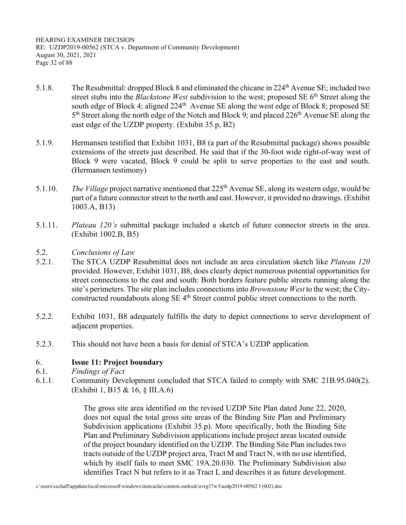HEARING EXAMINER DECISION RE: UZDP2019-00562 (STCA v. Department of Community Development) August 30, 2021, 2021 Page 32 of 88

- 5.1.8. The Resubmittal: dropped Block 8 and eliminated the chicane in 224th Avenue SE; included two street stubs into the *Blackstone West* subdivision to the west; proposed SE 6th Street along the south edge of Block 4; aligned  $224<sup>th</sup>$  Avenue SE along the west edge of Block 8; proposed SE  $5<sup>th</sup> Street along the north edge of the Notch and Block 9; and placed 226<sup>th</sup> Avenue SE along the$ east edge of the UZDP property. (Exhibit 35.p, B2)
- 5.1.9. Hermansen testified that Exhibit 1031, B8 (a part of the Resubmittal package) shows possible extensions of the streets just described. He said that if the 30-foot wide right-of-way west of Block 9 were vacated, Block 9 could be split to serve properties to the east and south. (Hermansen testimony)
- 5.1.10. *The Village* project narrative mentioned that 225th Avenue SE, along its western edge, would be part of a future connector street to the north and east. However, it provided no drawings. (Exhibit 1003.A, B13)
- 5.1.11. *Plateau 120's* submittal package included a sketch of future connector streets in the area. (Exhibit 1002.B, B5)
- 5.2. *Conclusions of Law*
- 5.2.1. The STCA UZDP Resubmittal does not include an area circulation sketch like *Plateau 120* provided. However, Exhibit 1031, B8, does clearly depict numerous potential opportunities for street connections to the east and south: Both borders feature public streets running along the site's perimeters. The site plan includes connections into *Brownstone West* to the west; the Cityconstructed roundabouts along  $SE$  4<sup>th</sup> Street control public street connections to the north.
- 5.2.2. Exhibit 1031, B8 adequately fulfills the duty to depict connections to serve development of adjacent properties.
- 5.2.3. This should not have been a basis for denial of STCA's UZDP application.

#### 6. **Issue 11: Project boundary**

- 6.1. *Findings of Fact*
- 6.1.1. Community Development concluded that STCA failed to comply with SMC 21B.95.040(2). (Exhibit 1, B15 & 16, § III.A.6)

The gross site area identified on the revised UZDP Site Plan dated June 22, 2020, does not equal the total gross site areas of the Binding Site Plan and Preliminary Subdivision applications (Exhibit 35.p). More specifically, both the Binding Site Plan and Preliminary Subdivision applications include project areas located outside of the project boundary identified on the UZDP. The Binding Site Plan includes two tracts outside of the UZDP project area, Tract M and Tract N, with no use identified, which by itself fails to meet SMC 19A.20.030. The Preliminary Subdivision also identifies Tract N but refers to it as Tract L and describes it as future development.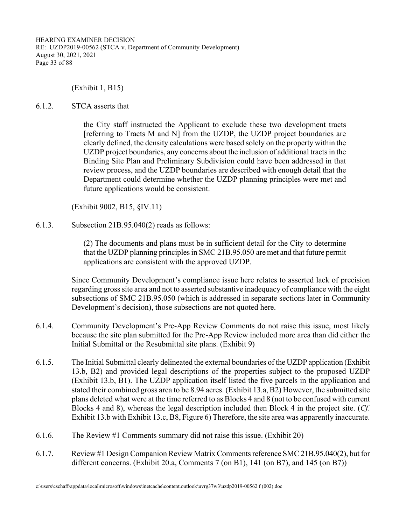HEARING EXAMINER DECISION RE: UZDP2019-00562 (STCA v. Department of Community Development) August 30, 2021, 2021 Page 33 of 88

(Exhibit 1, B15)

#### 6.1.2. STCA asserts that

the City staff instructed the Applicant to exclude these two development tracts [referring to Tracts M and N] from the UZDP, the UZDP project boundaries are clearly defined, the density calculations were based solely on the property within the UZDP project boundaries, any concerns about the inclusion of additional tracts in the Binding Site Plan and Preliminary Subdivision could have been addressed in that review process, and the UZDP boundaries are described with enough detail that the Department could determine whether the UZDP planning principles were met and future applications would be consistent.

(Exhibit 9002, B15, §IV.11)

6.1.3. Subsection 21B.95.040(2) reads as follows:

(2) The documents and plans must be in sufficient detail for the City to determine that the UZDP planning principles in SMC 21B.95.050 are met and that future permit applications are consistent with the approved UZDP.

 Since Community Development's compliance issue here relates to asserted lack of precision regarding gross site area and not to asserted substantive inadequacy of compliance with the eight subsections of SMC 21B.95.050 (which is addressed in separate sections later in Community Development's decision), those subsections are not quoted here.

- 6.1.4. Community Development's Pre-App Review Comments do not raise this issue, most likely because the site plan submitted for the Pre-App Review included more area than did either the Initial Submittal or the Resubmittal site plans. (Exhibit 9)
- 6.1.5. The Initial Submittal clearly delineated the external boundaries of the UZDP application (Exhibit 13.b, B2) and provided legal descriptions of the properties subject to the proposed UZDP (Exhibit 13.b, B1). The UZDP application itself listed the five parcels in the application and stated their combined gross area to be 8.94 acres. (Exhibit 13.a, B2) However, the submitted site plans deleted what were at the time referred to as Blocks 4 and 8 (not to be confused with current Blocks 4 and 8), whereas the legal description included then Block 4 in the project site. (*Cf*. Exhibit 13.b with Exhibit 13.c, B8, Figure 6) Therefore, the site area was apparently inaccurate.
- 6.1.6. The Review #1 Comments summary did not raise this issue. (Exhibit 20)
- 6.1.7. Review #1 Design Companion Review Matrix Comments reference SMC 21B.95.040(2), but for different concerns. (Exhibit 20.a, Comments 7 (on B1), 141 (on B7), and 145 (on B7))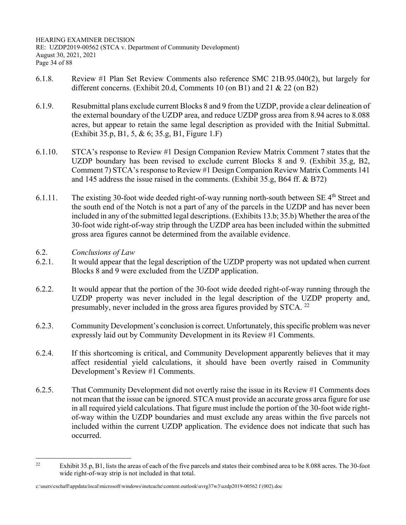- 6.1.8. Review #1 Plan Set Review Comments also reference SMC 21B.95.040(2), but largely for different concerns. (Exhibit 20.d, Comments 10 (on B1) and 21 & 22 (on B2)
- 6.1.9. Resubmittal plans exclude current Blocks 8 and 9 from the UZDP, provide a clear delineation of the external boundary of the UZDP area, and reduce UZDP gross area from 8.94 acres to 8.088 acres, but appear to retain the same legal description as provided with the Initial Submittal. (Exhibit 35.p, B1, 5, & 6; 35.g, B1, Figure 1.F)
- 6.1.10. STCA's response to Review #1 Design Companion Review Matrix Comment 7 states that the UZDP boundary has been revised to exclude current Blocks 8 and 9. (Exhibit 35.g, B2, Comment 7) STCA's response to Review #1 Design Companion Review Matrix Comments 141 and 145 address the issue raised in the comments. (Exhibit 35.g, B64 ff. & B72)
- 6.1.11. The existing 30-foot wide deeded right-of-way running north-south between SE  $4<sup>th</sup>$  Street and the south end of the Notch is not a part of any of the parcels in the UZDP and has never been included in any of the submitted legal descriptions. (Exhibits 13.b; 35.b) Whether the area of the 30-foot wide right-of-way strip through the UZDP area has been included within the submitted gross area figures cannot be determined from the available evidence.
- 6.2. *Conclusions of Law*
- 6.2.1. It would appear that the legal description of the UZDP property was not updated when current Blocks 8 and 9 were excluded from the UZDP application.
- 6.2.2. It would appear that the portion of the 30-foot wide deeded right-of-way running through the UZDP property was never included in the legal description of the UZDP property and, presumably, never included in the gross area figures provided by STCA.  $^{22}$
- 6.2.3. Community Development's conclusion is correct. Unfortunately, this specific problem was never expressly laid out by Community Development in its Review #1 Comments.
- 6.2.4. If this shortcoming is critical, and Community Development apparently believes that it may affect residential yield calculations, it should have been overtly raised in Community Development's Review #1 Comments.
- 6.2.5. That Community Development did not overtly raise the issue in its Review #1 Comments does not mean that the issue can be ignored. STCA must provide an accurate gross area figure for use in all required yield calculations. That figure must include the portion of the 30-foot wide rightof-way within the UZDP boundaries and must exclude any areas within the five parcels not included within the current UZDP application. The evidence does not indicate that such has occurred.

<sup>&</sup>lt;sup>22</sup> Exhibit 35.p, B1, lists the areas of each of the five parcels and states their combined area to be 8.088 acres. The 30-foot wide right-of-way strip is not included in that total.

c:\users\cschaff\appdata\local\microsoft\windows\inetcache\content.outlook\uvrg37w3\uzdp2019-00562 f (002).doc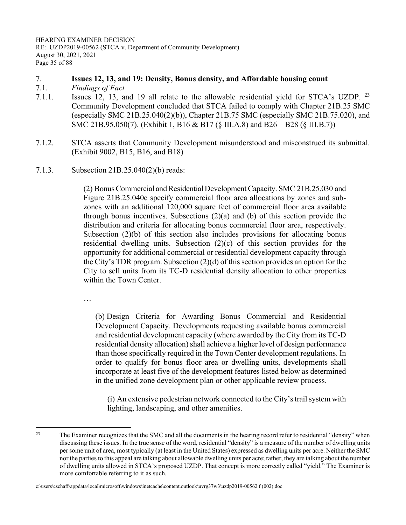HEARING EXAMINER DECISION RE: UZDP2019-00562 (STCA v. Department of Community Development) August 30, 2021, 2021 Page 35 of 88

## 7. **Issues 12, 13, and 19: Density, Bonus density, and Affordable housing count**

- 7.1. *Findings of Fact*
- 7.1.1. Issues 12, 13, and 19 all relate to the allowable residential yield for STCA's UZDP. <sup>23</sup> Community Development concluded that STCA failed to comply with Chapter 21B.25 SMC (especially SMC 21B.25.040(2)(b)), Chapter 21B.75 SMC (especially SMC 21B.75.020), and SMC 21B.95.050(7). (Exhibit 1, B16 & B17 (§ III.A.8) and B26 – B28 (§ III.B.7))
- 7.1.2. STCA asserts that Community Development misunderstood and misconstrued its submittal. (Exhibit 9002, B15, B16, and B18)
- 7.1.3. Subsection 21B.25.040(2)(b) reads:

(2) Bonus Commercial and Residential Development Capacity. SMC 21B.25.030 and Figure 21B.25.040c specify commercial floor area allocations by zones and subzones with an additional 120,000 square feet of commercial floor area available through bonus incentives. Subsections (2)(a) and (b) of this section provide the distribution and criteria for allocating bonus commercial floor area, respectively. Subsection (2)(b) of this section also includes provisions for allocating bonus residential dwelling units. Subsection (2)(c) of this section provides for the opportunity for additional commercial or residential development capacity through the City's TDR program. Subsection (2)(d) of this section provides an option for the City to sell units from its TC-D residential density allocation to other properties within the Town Center.

…

(b) Design Criteria for Awarding Bonus Commercial and Residential Development Capacity. Developments requesting available bonus commercial and residential development capacity (where awarded by the City from its TC-D residential density allocation) shall achieve a higher level of design performance than those specifically required in the Town Center development regulations. In order to qualify for bonus floor area or dwelling units, developments shall incorporate at least five of the development features listed below as determined in the unified zone development plan or other applicable review process.

(i) An extensive pedestrian network connected to the City's trail system with lighting, landscaping, and other amenities.

<sup>&</sup>lt;sup>23</sup> The Examiner recognizes that the SMC and all the documents in the hearing record refer to residential "density" when discussing these issues. In the true sense of the word, residential "density" is a measure of the number of dwelling units per some unit of area, most typically (at least in the United States) expressed as dwelling units per acre. Neither the SMC nor the parties to this appeal are talking about allowable dwelling units per acre; rather, they are talking about the number of dwelling units allowed in STCA's proposed UZDP. That concept is more correctly called "yield." The Examiner is more comfortable referring to it as such.

c:\users\cschaff\appdata\local\microsoft\windows\inetcache\content.outlook\uvrg37w3\uzdp2019-00562 f (002).doc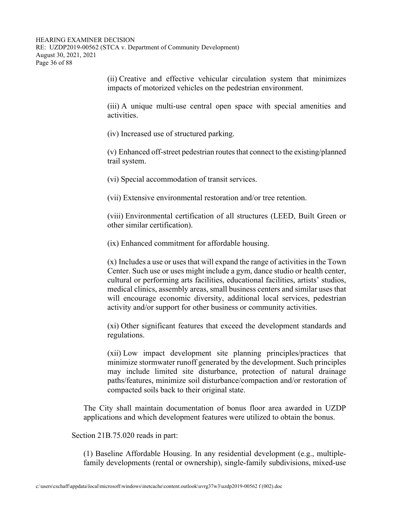(ii) Creative and effective vehicular circulation system that minimizes impacts of motorized vehicles on the pedestrian environment.

(iii) A unique multi-use central open space with special amenities and activities.

(iv) Increased use of structured parking.

(v) Enhanced off-street pedestrian routes that connect to the existing/planned trail system.

(vi) Special accommodation of transit services.

(vii) Extensive environmental restoration and/or tree retention.

(viii) Environmental certification of all structures (LEED, Built Green or other similar certification).

(ix) Enhanced commitment for affordable housing.

(x) Includes a use or uses that will expand the range of activities in the Town Center. Such use or uses might include a gym, dance studio or health center, cultural or performing arts facilities, educational facilities, artists' studios, medical clinics, assembly areas, small business centers and similar uses that will encourage economic diversity, additional local services, pedestrian activity and/or support for other business or community activities.

(xi) Other significant features that exceed the development standards and regulations.

(xii) Low impact development site planning principles/practices that minimize stormwater runoff generated by the development. Such principles may include limited site disturbance, protection of natural drainage paths/features, minimize soil disturbance/compaction and/or restoration of compacted soils back to their original state.

The City shall maintain documentation of bonus floor area awarded in UZDP applications and which development features were utilized to obtain the bonus.

Section 21B.75.020 reads in part:

(1) Baseline Affordable Housing. In any residential development (e.g., multiplefamily developments (rental or ownership), single-family subdivisions, mixed-use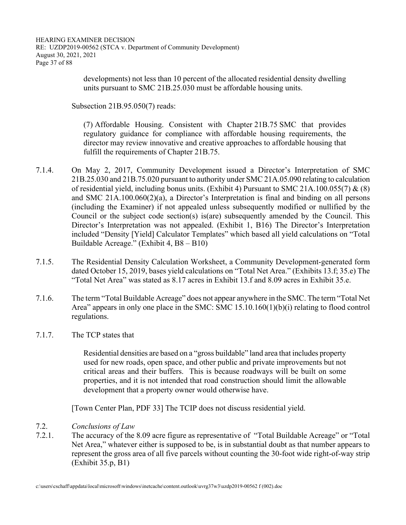developments) not less than 10 percent of the allocated residential density dwelling units pursuant to SMC 21B.25.030 must be affordable housing units.

Subsection 21B.95.050(7) reads:

(7) Affordable Housing. Consistent with Chapter 21B.75 SMC that provides regulatory guidance for compliance with affordable housing requirements, the director may review innovative and creative approaches to affordable housing that fulfill the requirements of Chapter 21B.75.

- 7.1.4. On May 2, 2017, Community Development issued a Director's Interpretation of SMC 21B.25.030 and 21B.75.020 pursuant to authority under SMC 21A.05.090 relating to calculation of residential yield, including bonus units. (Exhibit 4) Pursuant to SMC 21A.100.055(7) & (8) and SMC 21A.100.060(2)(a), a Director's Interpretation is final and binding on all persons (including the Examiner) if not appealed unless subsequently modified or nullified by the Council or the subject code section(s) is(are) subsequently amended by the Council. This Director's Interpretation was not appealed. (Exhibit 1, B16) The Director's Interpretation included "Density [Yield] Calculator Templates" which based all yield calculations on "Total Buildable Acreage." (Exhibit 4, B8 – B10)
- 7.1.5. The Residential Density Calculation Worksheet, a Community Development-generated form dated October 15, 2019, bases yield calculations on "Total Net Area." (Exhibits 13.f; 35.e) The "Total Net Area" was stated as 8.17 acres in Exhibit 13.f and 8.09 acres in Exhibit 35.e.
- 7.1.6. The term "Total Buildable Acreage" does not appear anywhere in the SMC. The term "Total Net Area" appears in only one place in the SMC: SMC 15.10.160(1)(b)(i) relating to flood control regulations.
- 7.1.7. The TCP states that

Residential densities are based on a "gross buildable" land area that includes property used for new roads, open space, and other public and private improvements but not critical areas and their buffers. This is because roadways will be built on some properties, and it is not intended that road construction should limit the allowable development that a property owner would otherwise have.

[Town Center Plan, PDF 33] The TCIP does not discuss residential yield.

- 7.2. *Conclusions of Law*
- 7.2.1. The accuracy of the 8.09 acre figure as representative of "Total Buildable Acreage" or "Total Net Area," whatever either is supposed to be, is in substantial doubt as that number appears to represent the gross area of all five parcels without counting the 30-foot wide right-of-way strip (Exhibit 35.p, B1)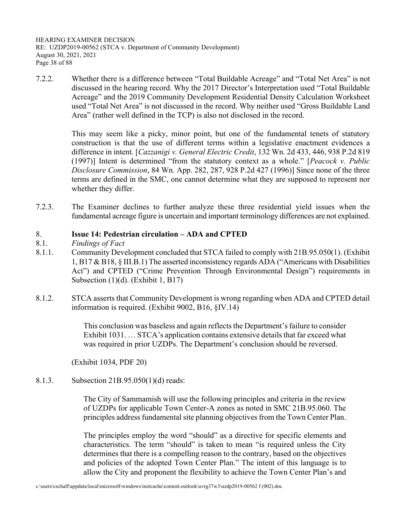HEARING EXAMINER DECISION RE: UZDP2019-00562 (STCA v. Department of Community Development) August 30, 2021, 2021 Page 38 of 88

7.2.2. Whether there is a difference between "Total Buildable Acreage" and "Total Net Area" is not discussed in the hearing record. Why the 2017 Director's Interpretation used "Total Buildable Acreage" and the 2019 Community Development Residential Density Calculation Worksheet used "Total Net Area" is not discussed in the record. Why neither used "Gross Buildable Land Area" (rather well defined in the TCP) is also not disclosed in the record.

> This may seem like a picky, minor point, but one of the fundamental tenets of statutory construction is that the use of different terms within a legislative enactment evidences a difference in intent. [*Cazzanigi v. General Electric Credit*, 132 Wn. 2d 433, 446, 938 P.2d 819 (1997)] Intent is determined "from the statutory context as a whole." [*Peacock v. Public Disclosure Commission*, 84 Wn. App. 282, 287, 928 P.2d 427 (1996)] Since none of the three terms are defined in the SMC, one cannot determine what they are supposed to represent nor whether they differ.

7.2.3. The Examiner declines to further analyze these three residential yield issues when the fundamental acreage figure is uncertain and important terminology differences are not explained.

## 8. **Issue 14: Pedestrian circulation – ADA and CPTED**

- 8.1. *Findings of Fact*
- 8.1.1. Community Development concluded that STCA failed to comply with 21B.95.050(1). (Exhibit 1, B17 & B18, § III.B.1) The asserted inconsistency regards ADA ("Americans with Disabilities Act") and CPTED ("Crime Prevention Through Environmental Design") requirements in Subsection (1)(d). (Exhibit 1, B17)
- 8.1.2. STCA asserts that Community Development is wrong regarding when ADA and CPTED detail information is required. (Exhibit 9002, B16, §IV.14)

This conclusion was baseless and again reflects the Department's failure to consider Exhibit 1031. … STCA's application contains extensive details that far exceed what was required in prior UZDPs. The Department's conclusion should be reversed.

(Exhibit 1034, PDF 20)

8.1.3. Subsection 21B.95.050(1)(d) reads:

The City of Sammamish will use the following principles and criteria in the review of UZDPs for applicable Town Center-A zones as noted in SMC 21B.95.060. The principles address fundamental site planning objectives from the Town Center Plan.

The principles employ the word "should" as a directive for specific elements and characteristics. The term "should" is taken to mean "is required unless the City determines that there is a compelling reason to the contrary, based on the objectives and policies of the adopted Town Center Plan." The intent of this language is to allow the City and proponent the flexibility to achieve the Town Center Plan's and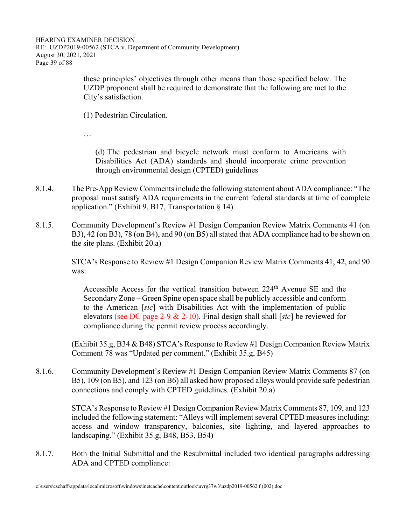these principles' objectives through other means than those specified below. The UZDP proponent shall be required to demonstrate that the following are met to the City's satisfaction.

(1) Pedestrian Circulation.

…

(d) The pedestrian and bicycle network must conform to Americans with Disabilities Act (ADA) standards and should incorporate crime prevention through environmental design (CPTED) guidelines

- 8.1.4. The Pre-App Review Comments include the following statement about ADA compliance: "The proposal must satisfy ADA requirements in the current federal standards at time of complete application." (Exhibit 9, B17, Transportation § 14)
- 8.1.5. Community Development's Review #1 Design Companion Review Matrix Comments 41 (on B3), 42 (on B3), 78 (on B4), and 90 (on B5) all stated that ADA compliance had to be shown on the site plans. (Exhibit 20.a)

 STCA's Response to Review #1 Design Companion Review Matrix Comments 41, 42, and 90 was:

Accessible Access for the vertical transition between  $224<sup>th</sup>$  Avenue SE and the Secondary Zone – Green Spine open space shall be publicly accessible and conform to the American [*sic*] with Disabilities Act with the implementation of public elevators (see DC page 2-9 & 2-10). Final design shall shall [*sic*] be reviewed for compliance during the permit review process accordingly.

 (Exhibit 35.g, B34 & B48) STCA's Response to Review #1 Design Companion Review Matrix Comment 78 was "Updated per comment." (Exhibit 35.g, B45)

8.1.6. Community Development's Review #1 Design Companion Review Matrix Comments 87 (on B5), 109 (on B5), and 123 (on B6) all asked how proposed alleys would provide safe pedestrian connections and comply with CPTED guidelines. (Exhibit 20.a)

> STCA's Response to Review #1 Design Companion Review Matrix Comments 87, 109, and 123 included the following statement: "Alleys will implement several CPTED measures including: access and window transparency, balconies, site lighting, and layered approaches to landscaping." (Exhibit 35.g, B48, B53, B54**)**

8.1.7. Both the Initial Submittal and the Resubmittal included two identical paragraphs addressing ADA and CPTED compliance: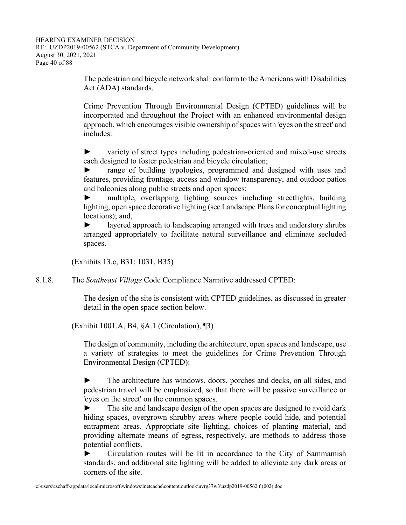The pedestrian and bicycle network shall conform to the Americans with Disabilities Act (ADA) standards.

Crime Prevention Through Environmental Design (CPTED) guidelines will be incorporated and throughout the Project with an enhanced environmental design approach, which encourages visible ownership of spaces with 'eyes on the street' and includes:

► variety of street types including pedestrian-oriented and mixed-use streets each designed to foster pedestrian and bicycle circulation;

range of building typologies, programmed and designed with uses and features, providing frontage, access and window transparency, and outdoor patios and balconies along public streets and open spaces;

► multiple, overlapping lighting sources including streetlights, building lighting, open space decorative lighting (see Landscape Plans for conceptual lighting locations); and,

layered approach to landscaping arranged with trees and understory shrubs arranged appropriately to facilitate natural surveillance and eliminate secluded spaces.

(Exhibits 13.c, B31; 1031, B35)

8.1.8. The *Southeast Village* Code Compliance Narrative addressed CPTED:

The design of the site is consistent with CPTED guidelines, as discussed in greater detail in the open space section below.

(Exhibit 1001.A, B4, §A.1 (Circulation), ¶3)

The design of community, including the architecture, open spaces and landscape, use a variety of strategies to meet the guidelines for Crime Prevention Through Environmental Design (CPTED):

► The architecture has windows, doors, porches and decks, on all sides, and pedestrian travel will be emphasized, so that there will be passive surveillance or 'eyes on the street' on the common spaces.

► The site and landscape design of the open spaces are designed to avoid dark hiding spaces, overgrown shrubby areas where people could hide, and potential entrapment areas. Appropriate site lighting, choices of planting material, and providing alternate means of egress, respectively, are methods to address those potential conflicts.

► Circulation routes will be lit in accordance to the City of Sammamish standards, and additional site lighting will be added to alleviate any dark areas or corners of the site.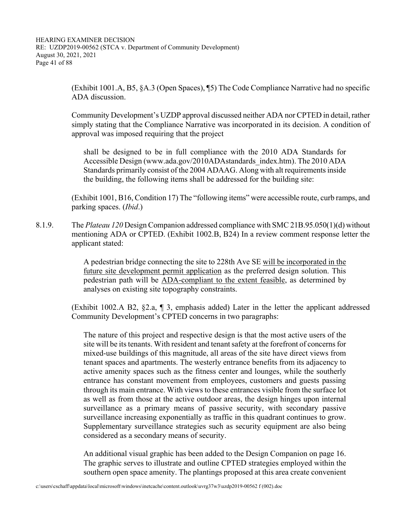(Exhibit 1001.A, B5, §A.3 (Open Spaces), ¶5) The Code Compliance Narrative had no specific ADA discussion.

 Community Development's UZDP approval discussed neither ADA nor CPTED in detail, rather simply stating that the Compliance Narrative was incorporated in its decision. A condition of approval was imposed requiring that the project

shall be designed to be in full compliance with the 2010 ADA Standards for Accessible Design (www.ada.gov/2010ADAstandards\_index.htm). The 2010 ADA Standards primarily consist of the 2004 ADAAG. Along with alt requirements inside the building, the following items shall be addressed for the building site:

 (Exhibit 1001, B16, Condition 17) The "following items" were accessible route, curb ramps, and parking spaces. (*Ibid*.)

8.1.9. The *Plateau 120* Design Companion addressed compliance with SMC 21B.95.050(1)(d) without mentioning ADA or CPTED. (Exhibit 1002.B, B24) In a review comment response letter the applicant stated:

> A pedestrian bridge connecting the site to 228th Ave SE will be incorporated in the future site development permit application as the preferred design solution. This pedestrian path will be ADA-compliant to the extent feasible, as determined by analyses on existing site topography constraints.

 (Exhibit 1002.A B2, §2.a, ¶ 3, emphasis added) Later in the letter the applicant addressed Community Development's CPTED concerns in two paragraphs:

The nature of this project and respective design is that the most active users of the site will be its tenants. With resident and tenant safety at the forefront of concerns for mixed-use buildings of this magnitude, all areas of the site have direct views from tenant spaces and apartments. The westerly entrance benefits from its adjacency to active amenity spaces such as the fitness center and lounges, while the southerly entrance has constant movement from employees, customers and guests passing through its main entrance. With views to these entrances visible from the surface lot as well as from those at the active outdoor areas, the design hinges upon internal surveillance as a primary means of passive security, with secondary passive surveillance increasing exponentially as traffic in this quadrant continues to grow. Supplementary surveillance strategies such as security equipment are also being considered as a secondary means of security.

An additional visual graphic has been added to the Design Companion on page 16. The graphic serves to illustrate and outline CPTED strategies employed within the southern open space amenity. The plantings proposed at this area create convenient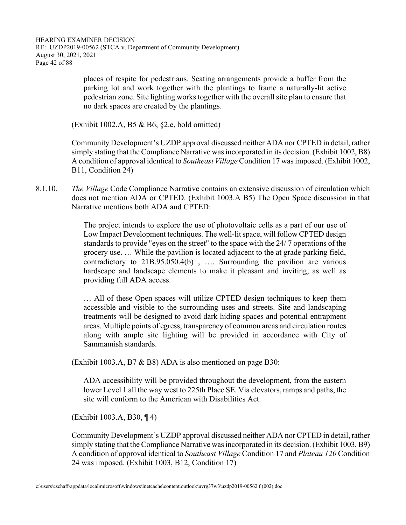places of respite for pedestrians. Seating arrangements provide a buffer from the parking lot and work together with the plantings to frame a naturally-lit active pedestrian zone. Site lighting works together with the overall site plan to ensure that no dark spaces are created by the plantings.

(Exhibit 1002.A, B5 & B6, §2.e, bold omitted)

 Community Development's UZDP approval discussed neither ADA nor CPTED in detail, rather simply stating that the Compliance Narrative was incorporated in its decision. (Exhibit 1002, B8) A condition of approval identical to *Southeast Village* Condition 17 was imposed. (Exhibit 1002, B11, Condition 24)

8.1.10. *The Village* Code Compliance Narrative contains an extensive discussion of circulation which does not mention ADA or CPTED. (Exhibit 1003.A B5) The Open Space discussion in that Narrative mentions both ADA and CPTED:

> The project intends to explore the use of photovoltaic cells as a part of our use of Low Impact Development techniques. The well-lit space, will follow CPTED design standards to provide "eyes on the street" to the space with the 24/ 7 operations of the grocery use. … While the pavilion is located adjacent to the at grade parking field, contradictory to 21B.95.050.4(b) , …. Surrounding the pavilion are various hardscape and landscape elements to make it pleasant and inviting, as well as providing full ADA access.

> … All of these Open spaces will utilize CPTED design techniques to keep them accessible and visible to the surrounding uses and streets. Site and landscaping treatments will be designed to avoid dark hiding spaces and potential entrapment areas. Multiple points of egress, transparency of common areas and circulation routes along with ample site lighting will be provided in accordance with City of Sammamish standards.

(Exhibit 1003.A, B7 & B8) ADA is also mentioned on page B30:

ADA accessibility will be provided throughout the development, from the eastern lower Level 1 all the way west to 225th Place SE. Via elevators, ramps and paths, the site will conform to the American with Disabilities Act.

(Exhibit 1003.A, B30, ¶ 4)

 Community Development's UZDP approval discussed neither ADA nor CPTED in detail, rather simply stating that the Compliance Narrative was incorporated in its decision. (Exhibit 1003, B9) A condition of approval identical to *Southeast Village* Condition 17 and *Plateau 120* Condition 24 was imposed. (Exhibit 1003, B12, Condition 17)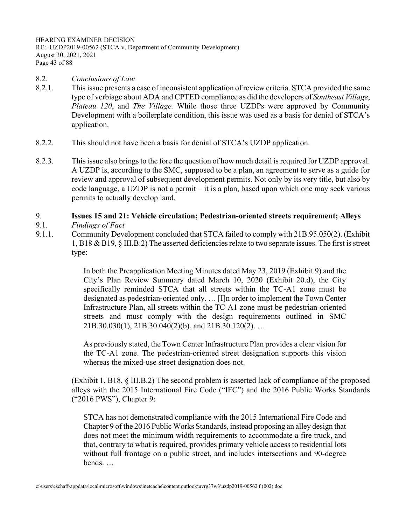HEARING EXAMINER DECISION RE: UZDP2019-00562 (STCA v. Department of Community Development) August 30, 2021, 2021 Page 43 of 88

- 8.2. *Conclusions of Law*
- 8.2.1. This issue presents a case of inconsistent application of review criteria. STCA provided the same type of verbiage about ADA and CPTED compliance as did the developers of *Southeast Village*, *Plateau 120*, and *The Village.* While those three UZDPs were approved by Community Development with a boilerplate condition, this issue was used as a basis for denial of STCA's application.
- 8.2.2. This should not have been a basis for denial of STCA's UZDP application.
- 8.2.3. This issue also brings to the fore the question of how much detail is required for UZDP approval. A UZDP is, according to the SMC, supposed to be a plan, an agreement to serve as a guide for review and approval of subsequent development permits. Not only by its very title, but also by code language, a UZDP is not a permit – it is a plan, based upon which one may seek various permits to actually develop land.

# 9. **Issues 15 and 21: Vehicle circulation; Pedestrian-oriented streets requirement; Alleys**

- 9.1. *Findings of Fact*
- 9.1.1. Community Development concluded that STCA failed to comply with 21B.95.050(2). (Exhibit 1, B18 & B19, § III.B.2) The asserted deficiencies relate to two separate issues. The first is street type:

In both the Preapplication Meeting Minutes dated May 23, 2019 (Exhibit 9) and the City's Plan Review Summary dated March 10, 2020 (Exhibit 20.d), the City specifically reminded STCA that all streets within the TC-A1 zone must be designated as pedestrian-oriented only. … [I]n order to implement the Town Center Infrastructure Plan, all streets within the TC-A1 zone must be pedestrian-oriented streets and must comply with the design requirements outlined in SMC 21B.30.030(1), 21B.30.040(2)(b), and 21B.30.120(2). …

As previously stated, the Town Center Infrastructure Plan provides a clear vision for the TC-A1 zone. The pedestrian-oriented street designation supports this vision whereas the mixed-use street designation does not.

 (Exhibit 1, B18, § III.B.2) The second problem is asserted lack of compliance of the proposed alleys with the 2015 International Fire Code ("IFC") and the 2016 Public Works Standards ("2016 PWS"), Chapter 9:

STCA has not demonstrated compliance with the 2015 International Fire Code and Chapter 9 of the 2016 Public Works Standards, instead proposing an alley design that does not meet the minimum width requirements to accommodate a fire truck, and that, contrary to what is required, provides primary vehicle access to residential lots without full frontage on a public street, and includes intersections and 90-degree bends. …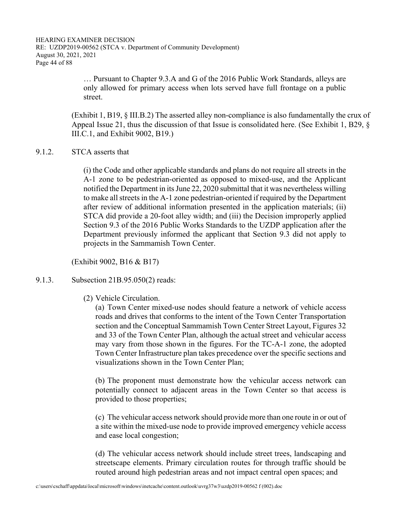HEARING EXAMINER DECISION RE: UZDP2019-00562 (STCA v. Department of Community Development) August 30, 2021, 2021 Page 44 of 88

> … Pursuant to Chapter 9.3.A and G of the 2016 Public Work Standards, alleys are only allowed for primary access when lots served have full frontage on a public street.

 (Exhibit 1, B19, § III.B.2) The asserted alley non-compliance is also fundamentally the crux of Appeal Issue 21, thus the discussion of that Issue is consolidated here. (See Exhibit 1, B29, § III.C.1, and Exhibit 9002, B19.)

#### 9.1.2. STCA asserts that

(i) the Code and other applicable standards and plans do not require all streets in the A-1 zone to be pedestrian-oriented as opposed to mixed-use, and the Applicant notified the Department in its June 22, 2020 submittal that it was nevertheless willing to make all streets in the A-1 zone pedestrian-oriented if required by the Department after review of additional information presented in the application materials; (ii) STCA did provide a 20-foot alley width; and (iii) the Decision improperly applied Section 9.3 of the 2016 Public Works Standards to the UZDP application after the Department previously informed the applicant that Section 9.3 did not apply to projects in the Sammamish Town Center.

(Exhibit 9002, B16 & B17)

## 9.1.3. Subsection 21B.95.050(2) reads:

(2) Vehicle Circulation.

(a) Town Center mixed-use nodes should feature a network of vehicle access roads and drives that conforms to the intent of the Town Center Transportation section and the Conceptual Sammamish Town Center Street Layout, Figures 32 and 33 of the Town Center Plan, although the actual street and vehicular access may vary from those shown in the figures. For the TC-A-1 zone, the adopted Town Center Infrastructure plan takes precedence over the specific sections and visualizations shown in the Town Center Plan;

(b) The proponent must demonstrate how the vehicular access network can potentially connect to adjacent areas in the Town Center so that access is provided to those properties;

(c) The vehicular access network should provide more than one route in or out of a site within the mixed-use node to provide improved emergency vehicle access and ease local congestion;

(d) The vehicular access network should include street trees, landscaping and streetscape elements. Primary circulation routes for through traffic should be routed around high pedestrian areas and not impact central open spaces; and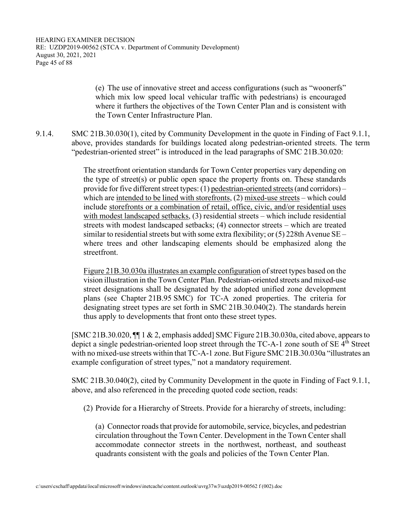(e) The use of innovative street and access configurations (such as "woonerfs" which mix low speed local vehicular traffic with pedestrians) is encouraged where it furthers the objectives of the Town Center Plan and is consistent with the Town Center Infrastructure Plan.

9.1.4. SMC 21B.30.030(1), cited by Community Development in the quote in Finding of Fact 9.1.1, above, provides standards for buildings located along pedestrian-oriented streets. The term "pedestrian-oriented street" is introduced in the lead paragraphs of SMC 21B.30.020:

> The streetfront orientation standards for Town Center properties vary depending on the type of street(s) or public open space the property fronts on. These standards provide for five different street types: (1) pedestrian-oriented streets (and corridors) – which are intended to be lined with storefronts, (2) mixed-use streets – which could include storefronts or a combination of retail, office, civic, and/or residential uses with modest landscaped setbacks, (3) residential streets – which include residential streets with modest landscaped setbacks; (4) connector streets – which are treated similar to residential streets but with some extra flexibility; or  $(5)$  228th Avenue SE – where trees and other landscaping elements should be emphasized along the streetfront.

> Figure 21B.30.030a illustrates an example configuration of street types based on the vision illustration in the Town Center Plan. Pedestrian-oriented streets and mixed-use street designations shall be designated by the adopted unified zone development plans (see Chapter 21B.95 SMC) for TC-A zoned properties. The criteria for designating street types are set forth in SMC 21B.30.040(2). The standards herein thus apply to developments that front onto these street types.

 [SMC 21B.30.020, ¶¶ 1 & 2, emphasis added] SMC Figure 21B.30.030a, cited above, appears to depict a single pedestrian-oriented loop street through the TC-A-1 zone south of SE 4<sup>th</sup> Street with no mixed-use streets within that TC-A-1 zone. But Figure SMC 21B.30.030a "illustrates an example configuration of street types," not a mandatory requirement.

 SMC 21B.30.040(2), cited by Community Development in the quote in Finding of Fact 9.1.1, above, and also referenced in the preceding quoted code section, reads:

(2) Provide for a Hierarchy of Streets. Provide for a hierarchy of streets, including:

(a) Connector roads that provide for automobile, service, bicycles, and pedestrian circulation throughout the Town Center. Development in the Town Center shall accommodate connector streets in the northwest, northeast, and southeast quadrants consistent with the goals and policies of the Town Center Plan.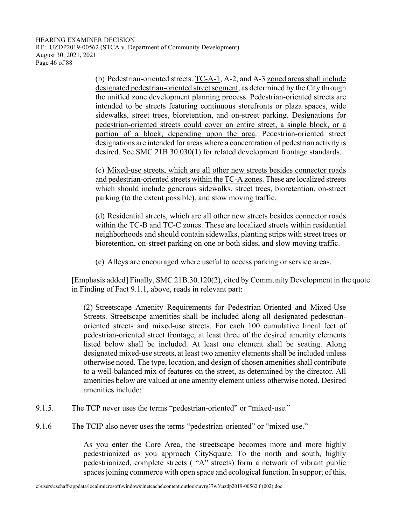(b) Pedestrian-oriented streets. TC-A-1, A-2, and A-3 zoned areas shall include designated pedestrian-oriented street segment, as determined by the City through the unified zone development planning process. Pedestrian-oriented streets are intended to be streets featuring continuous storefronts or plaza spaces, wide sidewalks, street trees, bioretention, and on-street parking. Designations for pedestrian-oriented streets could cover an entire street, a single block, or a portion of a block, depending upon the area. Pedestrian-oriented street designations are intended for areas where a concentration of pedestrian activity is desired. See SMC 21B.30.030(1) for related development frontage standards.

(c) Mixed-use streets, which are all other new streets besides connector roads and pedestrian-oriented streets within the TC-A zones. These are localized streets which should include generous sidewalks, street trees, bioretention, on-street parking (to the extent possible), and slow moving traffic.

(d) Residential streets, which are all other new streets besides connector roads within the TC-B and TC-C zones. These are localized streets within residential neighborhoods and should contain sidewalks, planting strips with street trees or bioretention, on-street parking on one or both sides, and slow moving traffic.

(e) Alleys are encouraged where useful to access parking or service areas.

 [Emphasis added] Finally, SMC 21B.30.120(2), cited by Community Development in the quote in Finding of Fact 9.1.1, above, reads in relevant part:

(2) Streetscape Amenity Requirements for Pedestrian-Oriented and Mixed-Use Streets. Streetscape amenities shall be included along all designated pedestrianoriented streets and mixed-use streets. For each 100 cumulative lineal feet of pedestrian-oriented street frontage, at least three of the desired amenity elements listed below shall be included. At least one element shall be seating. Along designated mixed-use streets, at least two amenity elements shall be included unless otherwise noted. The type, location, and design of chosen amenities shall contribute to a well-balanced mix of features on the street, as determined by the director. All amenities below are valued at one amenity element unless otherwise noted. Desired amenities include:

- 9.1.5. The TCP never uses the terms "pedestrian-oriented" or "mixed-use."
- 9.1.6 The TCIP also never uses the terms "pedestrian-oriented" or "mixed-use."

As you enter the Core Area, the streetscape becomes more and more highly pedestrianized as you approach CitySquare. To the north and south, highly pedestrianized, complete streets ( "A" streets) form a network of vibrant public spaces joining commerce with open space and ecological function. In support of this,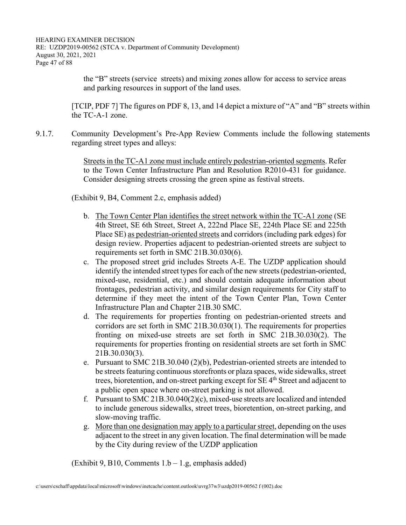HEARING EXAMINER DECISION RE: UZDP2019-00562 (STCA v. Department of Community Development) August 30, 2021, 2021 Page 47 of 88

> the "B" streets (service streets) and mixing zones allow for access to service areas and parking resources in support of the land uses.

[TCIP, PDF 7] The figures on PDF 8, 13, and 14 depict a mixture of "A" and "B" streets within the TC-A-1 zone.

9.1.7. Community Development's Pre-App Review Comments include the following statements regarding street types and alleys:

> Streets in the TC-A1 zone must include entirely pedestrian-oriented segments. Refer to the Town Center Infrastructure Plan and Resolution R2010-431 for guidance. Consider designing streets crossing the green spine as festival streets.

(Exhibit 9, B4, Comment 2.c, emphasis added)

- b. The Town Center Plan identifies the street network within the TC-A1 zone (SE 4th Street, SE 6th Street, Street A, 222nd Place SE, 224th Place SE and 225th Place SE) as pedestrian-oriented streets and corridors (including park edges) for design review. Properties adjacent to pedestrian-oriented streets are subject to requirements set forth in SMC 21B.30.030(6).
- c. The proposed street grid includes Streets A-E. The UZDP application should identify the intended street types for each of the new streets (pedestrian-oriented, mixed-use, residential, etc.) and should contain adequate information about frontages, pedestrian activity, and similar design requirements for City staff to determine if they meet the intent of the Town Center Plan, Town Center Infrastructure Plan and Chapter 21B.30 SMC.
- d. The requirements for properties fronting on pedestrian-oriented streets and corridors are set forth in SMC 21B.30.030(1). The requirements for properties fronting on mixed-use streets are set forth in SMC 21B.30.030(2). The requirements for properties fronting on residential streets are set forth in SMC 21B.30.030(3).
- e. Pursuant to SMC 21B.30.040 (2)(b), Pedestrian-oriented streets are intended to be streets featuring continuous storefronts or plaza spaces, wide sidewalks, street trees, bioretention, and on-street parking except for SE 4<sup>th</sup> Street and adjacent to a public open space where on-street parking is not allowed.
- f. Pursuant to SMC 21B.30.040(2)(c), mixed-use streets are localized and intended to include generous sidewalks, street trees, bioretention, on-street parking, and slow-moving traffic.
- g. More than one designation may apply to a particular street, depending on the uses adjacent to the street in any given location. The final determination will be made by the City during review of the UZDP application

 $(Exhibit 9, B10, Comments 1.b - 1.g, emphasis added)$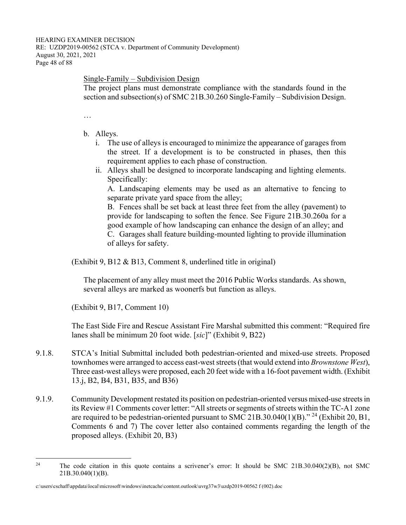#### Single-Family – Subdivision Design

The project plans must demonstrate compliance with the standards found in the section and subsection(s) of SMC 21B.30.260 Single-Family – Subdivision Design.

…

- b. Alleys.
	- i. The use of alleys is encouraged to minimize the appearance of garages from the street. If a development is to be constructed in phases, then this requirement applies to each phase of construction.
	- ii. Alleys shall be designed to incorporate landscaping and lighting elements. Specifically:

A. Landscaping elements may be used as an alternative to fencing to separate private yard space from the alley;

B. Fences shall be set back at least three feet from the alley (pavement) to provide for landscaping to soften the fence. See Figure 21B.30.260a for a good example of how landscaping can enhance the design of an alley; and C. Garages shall feature building-mounted lighting to provide illumination of alleys for safety.

(Exhibit 9, B12 & B13, Comment 8, underlined title in original)

The placement of any alley must meet the 2016 Public Works standards. As shown, several alleys are marked as woonerfs but function as alleys.

(Exhibit 9, B17, Comment 10)

 The East Side Fire and Rescue Assistant Fire Marshal submitted this comment: "Required fire lanes shall be minimum 20 foot wide. [*sic*]" (Exhibit 9, B22)

- 9.1.8. STCA's Initial Submittal included both pedestrian-oriented and mixed-use streets. Proposed townhomes were arranged to access east-west streets (that would extend into *Brownstone West*), Three east-west alleys were proposed, each 20 feet wide with a 16-foot pavement width. (Exhibit 13.j, B2, B4, B31, B35, and B36)
- 9.1.9. Community Development restated its position on pedestrian-oriented versus mixed-use streets in its Review #1 Comments cover letter: "All streets or segments of streets within the TC-A1 zone are required to be pedestrian-oriented pursuant to SMC 21B.30.040(1)(B)." <sup>24</sup> (Exhibit 20, B1, Comments 6 and 7) The cover letter also contained comments regarding the length of the proposed alleys. (Exhibit 20, B3)

<sup>&</sup>lt;sup>24</sup> The code citation in this quote contains a scrivener's error: It should be SMC 21B.30.040(2)(B), not SMC 21B.30.040(1)(B).

c:\users\cschaff\appdata\local\microsoft\windows\inetcache\content.outlook\uvrg37w3\uzdp2019-00562 f (002).doc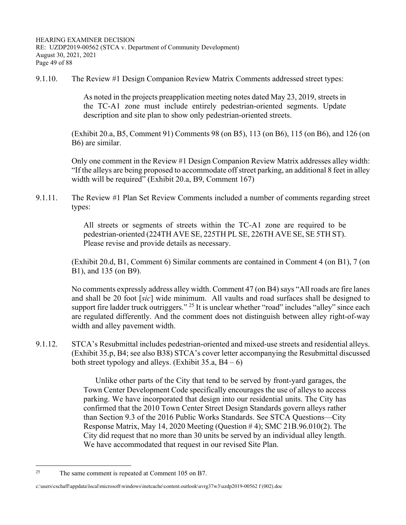9.1.10. The Review #1 Design Companion Review Matrix Comments addressed street types:

As noted in the projects preapplication meeting notes dated May 23, 2019, streets in the TC-A1 zone must include entirely pedestrian-oriented segments. Update description and site plan to show only pedestrian-oriented streets.

 (Exhibit 20.a, B5, Comment 91) Comments 98 (on B5), 113 (on B6), 115 (on B6), and 126 (on B6) are similar.

 Only one comment in the Review #1 Design Companion Review Matrix addresses alley width: "If the alleys are being proposed to accommodate off street parking, an additional 8 feet in alley width will be required" (Exhibit 20.a, B9, Comment 167)

9.1.11. The Review #1 Plan Set Review Comments included a number of comments regarding street types:

> All streets or segments of streets within the TC-A1 zone are required to be pedestrian-oriented (224TH AVE SE, 225TH PL SE, 226TH AVE SE, SE 5TH ST). Please revise and provide details as necessary.

 (Exhibit 20.d, B1, Comment 6) Similar comments are contained in Comment 4 (on B1), 7 (on B1), and 135 (on B9).

 No comments expressly address alley width. Comment 47 (on B4) says "All roads are fire lanes and shall be 20 foot [*sic*] wide minimum. All vaults and road surfaces shall be designed to support fire ladder truck outriggers." <sup>25</sup> It is unclear whether "road" includes "alley" since each are regulated differently. And the comment does not distinguish between alley right-of-way width and alley pavement width.

9.1.12. STCA's Resubmittal includes pedestrian-oriented and mixed-use streets and residential alleys. (Exhibit 35.p, B4; see also B38) STCA's cover letter accompanying the Resubmittal discussed both street typology and alleys. (Exhibit  $35.a, B4-6$ )

> Unlike other parts of the City that tend to be served by front-yard garages, the Town Center Development Code specifically encourages the use of alleys to access parking. We have incorporated that design into our residential units. The City has confirmed that the 2010 Town Center Street Design Standards govern alleys rather than Section 9.3 of the 2016 Public Works Standards. See STCA Questions—City Response Matrix, May 14, 2020 Meeting (Question # 4); SMC 21B.96.010(2). The City did request that no more than 30 units be served by an individual alley length. We have accommodated that request in our revised Site Plan.

<sup>25</sup> The same comment is repeated at Comment 105 on B7.

c:\users\cschaff\appdata\local\microsoft\windows\inetcache\content.outlook\uvrg37w3\uzdp2019-00562 f (002).doc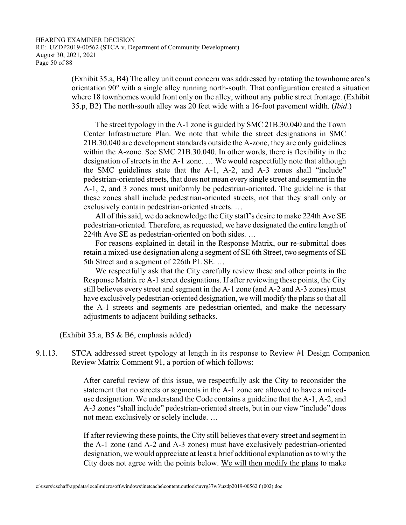(Exhibit 35.a, B4) The alley unit count concern was addressed by rotating the townhome area's orientation 90° with a single alley running north-south. That configuration created a situation where 18 townhomes would front only on the alley, without any public street frontage. (Exhibit 35.p, B2) The north-south alley was 20 feet wide with a 16-foot pavement width. (*Ibid*.)

 The street typology in the A-1 zone is guided by SMC 21B.30.040 and the Town Center Infrastructure Plan. We note that while the street designations in SMC 21B.30.040 are development standards outside the A-zone, they are only guidelines within the A-zone. See SMC 21B.30.040. In other words, there is flexibility in the designation of streets in the A-1 zone. … We would respectfully note that although the SMC guidelines state that the A-1, A-2, and A-3 zones shall "include" pedestrian-oriented streets, that does not mean every single street and segment in the A-1, 2, and 3 zones must uniformly be pedestrian-oriented. The guideline is that these zones shall include pedestrian-oriented streets, not that they shall only or exclusively contain pedestrian-oriented streets. …

 All of this said, we do acknowledge the City staff's desire to make 224th Ave SE pedestrian-oriented. Therefore, as requested, we have designated the entire length of 224th Ave SE as pedestrian-oriented on both sides. …

 For reasons explained in detail in the Response Matrix, our re-submittal does retain a mixed-use designation along a segment of SE 6th Street, two segments of SE 5th Street and a segment of 226th PL SE. …

 We respectfully ask that the City carefully review these and other points in the Response Matrix re A-1 street designations. If after reviewing these points, the City still believes every street and segment in the A-1 zone (and A-2 and A-3 zones) must have exclusively pedestrian-oriented designation, we will modify the plans so that all the A-1 streets and segments are pedestrian-oriented, and make the necessary adjustments to adjacent building setbacks.

(Exhibit 35.a, B5 & B6, emphasis added)

9.1.13. STCA addressed street typology at length in its response to Review #1 Design Companion Review Matrix Comment 91, a portion of which follows:

> After careful review of this issue, we respectfully ask the City to reconsider the statement that no streets or segments in the A-1 zone are allowed to have a mixeduse designation. We understand the Code contains a guideline that the A-1, A-2, and A-3 zones "shall include" pedestrian-oriented streets, but in our view "include" does not mean exclusively or solely include. …

> If after reviewing these points, the City still believes that every street and segment in the A-1 zone (and A-2 and A-3 zones) must have exclusively pedestrian-oriented designation, we would appreciate at least a brief additional explanation as to why the City does not agree with the points below. We will then modify the plans to make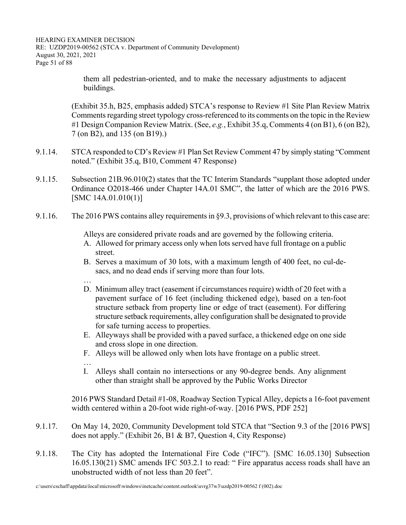HEARING EXAMINER DECISION RE: UZDP2019-00562 (STCA v. Department of Community Development) August 30, 2021, 2021 Page 51 of 88

> them all pedestrian-oriented, and to make the necessary adjustments to adjacent buildings.

 (Exhibit 35.h, B25, emphasis added) STCA's response to Review #1 Site Plan Review Matrix Comments regarding street typology cross-referenced to its comments on the topic in the Review #1 Design Companion Review Matrix. (See, *e.g.*, Exhibit 35.q, Comments 4 (on B1), 6 (on B2), 7 (on B2), and 135 (on B19).)

- 9.1.14. STCA responded to CD's Review #1 Plan Set Review Comment 47 by simply stating "Comment noted." (Exhibit 35.q, B10, Comment 47 Response)
- 9.1.15. Subsection 21B.96.010(2) states that the TC Interim Standards "supplant those adopted under Ordinance O2018-466 under Chapter 14A.01 SMC", the latter of which are the 2016 PWS. [SMC 14A.01.010(1)]
- 9.1.16. The 2016 PWS contains alley requirements in §9.3, provisions of which relevant to this case are:

Alleys are considered private roads and are governed by the following criteria.

- A. Allowed for primary access only when lots served have full frontage on a public street.
- B. Serves a maximum of 30 lots, with a maximum length of 400 feet, no cul-desacs, and no dead ends if serving more than four lots.
- …
- D. Minimum alley tract (easement if circumstances require) width of 20 feet with a pavement surface of 16 feet (including thickened edge), based on a ten-foot structure setback from property line or edge of tract (easement). For differing structure setback requirements, alley configuration shall be designated to provide for safe turning access to properties.
- E. Alleyways shall be provided with a paved surface, a thickened edge on one side and cross slope in one direction.
- F. Alleys will be allowed only when lots have frontage on a public street.
- …
- I. Alleys shall contain no intersections or any 90-degree bends. Any alignment other than straight shall be approved by the Public Works Director

 2016 PWS Standard Detail #1-08, Roadway Section Typical Alley, depicts a 16-foot pavement width centered within a 20-foot wide right-of-way. [2016 PWS, PDF 252]

- 9.1.17. On May 14, 2020, Community Development told STCA that "Section 9.3 of the [2016 PWS] does not apply." (Exhibit 26, B1 & B7, Question 4, City Response)
- 9.1.18. The City has adopted the International Fire Code ("IFC"). [SMC 16.05.130] Subsection 16.05.130(21) SMC amends IFC 503.2.1 to read: " Fire apparatus access roads shall have an unobstructed width of not less than 20 feet".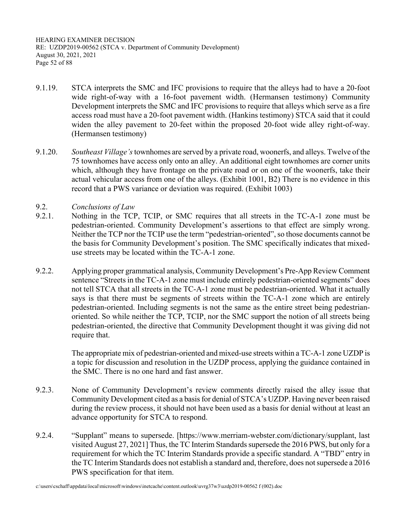HEARING EXAMINER DECISION RE: UZDP2019-00562 (STCA v. Department of Community Development) August 30, 2021, 2021 Page 52 of 88

- 9.1.19. STCA interprets the SMC and IFC provisions to require that the alleys had to have a 20-foot wide right-of-way with a 16-foot pavement width. (Hermansen testimony) Community Development interprets the SMC and IFC provisions to require that alleys which serve as a fire access road must have a 20-foot pavement width. (Hankins testimony) STCA said that it could widen the alley pavement to 20-feet within the proposed 20-foot wide alley right-of-way. (Hermansen testimony)
- 9.1.20. *Southeast Village's* townhomes are served by a private road, woonerfs, and alleys. Twelve of the 75 townhomes have access only onto an alley. An additional eight townhomes are corner units which, although they have frontage on the private road or on one of the woonerfs, take their actual vehicular access from one of the alleys. (Exhibit 1001, B2) There is no evidence in this record that a PWS variance or deviation was required. (Exhibit 1003)
- 9.2. *Conclusions of Law*
- 9.2.1. Nothing in the TCP, TCIP, or SMC requires that all streets in the TC-A-1 zone must be pedestrian-oriented. Community Development's assertions to that effect are simply wrong. Neither the TCP nor the TCIP use the term "pedestrian-oriented", so those documents cannot be the basis for Community Development's position. The SMC specifically indicates that mixeduse streets may be located within the TC-A-1 zone.
- 9.2.2. Applying proper grammatical analysis, Community Development's Pre-App Review Comment sentence "Streets in the TC-A-1 zone must include entirely pedestrian-oriented segments" does not tell STCA that all streets in the TC-A-1 zone must be pedestrian-oriented. What it actually says is that there must be segments of streets within the TC-A-1 zone which are entirely pedestrian-oriented. Including segments is not the same as the entire street being pedestrianoriented. So while neither the TCP, TCIP, nor the SMC support the notion of all streets being pedestrian-oriented, the directive that Community Development thought it was giving did not require that.

 The appropriate mix of pedestrian-oriented and mixed-use streets within a TC-A-1 zone UZDP is a topic for discussion and resolution in the UZDP process, applying the guidance contained in the SMC. There is no one hard and fast answer.

- 9.2.3. None of Community Development's review comments directly raised the alley issue that Community Development cited as a basis for denial of STCA's UZDP. Having never been raised during the review process, it should not have been used as a basis for denial without at least an advance opportunity for STCA to respond.
- 9.2.4. "Supplant" means to supersede. [https://www.merriam-webster.com/dictionary/supplant, last visited August 27, 2021] Thus, the TC Interim Standards supersede the 2016 PWS, but only for a requirement for which the TC Interim Standards provide a specific standard. A "TBD" entry in the TC Interim Standards does not establish a standard and, therefore, does not supersede a 2016 PWS specification for that item.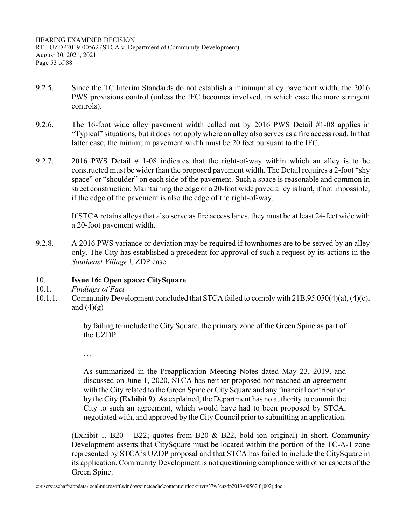HEARING EXAMINER DECISION RE: UZDP2019-00562 (STCA v. Department of Community Development) August 30, 2021, 2021 Page 53 of 88

- 9.2.5. Since the TC Interim Standards do not establish a minimum alley pavement width, the 2016 PWS provisions control (unless the IFC becomes involved, in which case the more stringent controls).
- 9.2.6. The 16-foot wide alley pavement width called out by 2016 PWS Detail #1-08 applies in "Typical" situations, but it does not apply where an alley also serves as a fire access road. In that latter case, the minimum pavement width must be 20 feet pursuant to the IFC.
- 9.2.7. 2016 PWS Detail # 1-08 indicates that the right-of-way within which an alley is to be constructed must be wider than the proposed pavement width. The Detail requires a 2-foot "shy space" or "shoulder" on each side of the pavement. Such a space is reasonable and common in street construction: Maintaining the edge of a 20-foot wide paved alley is hard, if not impossible, if the edge of the pavement is also the edge of the right-of-way.

 If STCA retains alleys that also serve as fire access lanes, they must be at least 24-feet wide with a 20-foot pavement width.

9.2.8. A 2016 PWS variance or deviation may be required if townhomes are to be served by an alley only. The City has established a precedent for approval of such a request by its actions in the *Southeast Village* UZDP case.

## 10. **Issue 16: Open space: CitySquare**

- 10.1. *Findings of Fact*
- 10.1.1. Community Development concluded that STCA failed to comply with 21B.95.050(4)(a), (4)(c), and  $(4)(g)$

by failing to include the City Square, the primary zone of the Green Spine as part of the UZDP.

…

As summarized in the Preapplication Meeting Notes dated May 23, 2019, and discussed on June 1, 2020, STCA has neither proposed nor reached an agreement with the City related to the Green Spine or City Square and any financial contribution by the City **(Exhibit 9)**. As explained, the Department has no authority to commit the City to such an agreement, which would have had to been proposed by STCA, negotiated with, and approved by the City Council prior to submitting an application.

(Exhibit 1, B20 – B22; quotes from B20 & B22, bold ion original) In short, Community Development asserts that CitySquare must be located within the portion of the TC-A-1 zone represented by STCA's UZDP proposal and that STCA has failed to include the CitySquare in its application. Community Development is not questioning compliance with other aspects of the Green Spine.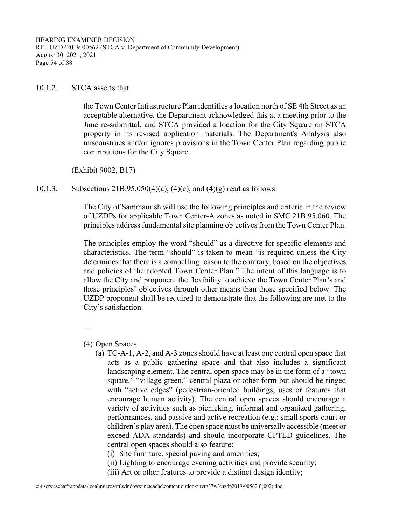HEARING EXAMINER DECISION RE: UZDP2019-00562 (STCA v. Department of Community Development) August 30, 2021, 2021 Page 54 of 88

#### 10.1.2. STCA asserts that

the Town Center Infrastructure Plan identifies a location north of SE 4th Street as an acceptable alternative, the Department acknowledged this at a meeting prior to the June re-submittal, and STCA provided a location for the City Square on STCA property in its revised application materials. The Department's Analysis also misconstrues and/or ignores provisions in the Town Center Plan regarding public contributions for the City Square.

(Exhibit 9002, B17)

10.1.3. Subsections 21B.95.050(4)(a), (4)(c), and (4)(g) read as follows:

The City of Sammamish will use the following principles and criteria in the review of UZDPs for applicable Town Center-A zones as noted in SMC 21B.95.060. The principles address fundamental site planning objectives from the Town Center Plan.

The principles employ the word "should" as a directive for specific elements and characteristics. The term "should" is taken to mean "is required unless the City determines that there is a compelling reason to the contrary, based on the objectives and policies of the adopted Town Center Plan." The intent of this language is to allow the City and proponent the flexibility to achieve the Town Center Plan's and these principles' objectives through other means than those specified below. The UZDP proponent shall be required to demonstrate that the following are met to the City's satisfaction.

…

(4) Open Spaces.

(a) TC-A-1, A-2, and A-3 zones should have at least one central open space that acts as a public gathering space and that also includes a significant landscaping element. The central open space may be in the form of a "town square," "village green," central plaza or other form but should be ringed with "active edges" (pedestrian-oriented buildings, uses or features that encourage human activity). The central open spaces should encourage a variety of activities such as picnicking, informal and organized gathering, performances, and passive and active recreation (e.g.: small sports court or children's play area). The open space must be universally accessible (meet or exceed ADA standards) and should incorporate CPTED guidelines. The central open spaces should also feature:

(i) Site furniture, special paving and amenities;

- (ii) Lighting to encourage evening activities and provide security;
- (iii) Art or other features to provide a distinct design identity;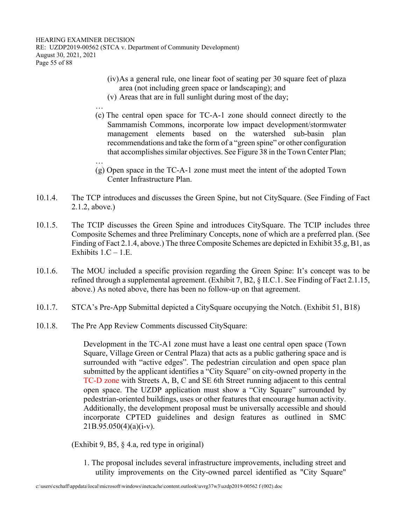…

- (iv) As a general rule, one linear foot of seating per 30 square feet of plaza area (not including green space or landscaping); and
- (v) Areas that are in full sunlight during most of the day;
- … (c) The central open space for TC-A-1 zone should connect directly to the Sammamish Commons, incorporate low impact development/stormwater management elements based on the watershed sub-basin plan recommendations and take the form of a "green spine" or other configuration that accomplishes similar objectives. See Figure 38 in the Town Center Plan;
- (g) Open space in the TC-A-1 zone must meet the intent of the adopted Town Center Infrastructure Plan.
- 10.1.4. The TCP introduces and discusses the Green Spine, but not CitySquare. (See Finding of Fact 2.1.2, above.)
- 10.1.5. The TCIP discusses the Green Spine and introduces CitySquare. The TCIP includes three Composite Schemes and three Preliminary Concepts, none of which are a preferred plan. (See Finding of Fact 2.1.4, above.) The three Composite Schemes are depicted in Exhibit 35.g, B1, as Exhibits  $1.C - 1.E$ .
- 10.1.6. The MOU included a specific provision regarding the Green Spine: It's concept was to be refined through a supplemental agreement. (Exhibit 7, B2, § II.C.1. See Finding of Fact 2.1.15, above.) As noted above, there has been no follow-up on that agreement.
- 10.1.7. STCA's Pre-App Submittal depicted a CitySquare occupying the Notch. (Exhibit 51, B18)
- 10.1.8. The Pre App Review Comments discussed CitySquare:

Development in the TC-A1 zone must have a least one central open space (Town Square, Village Green or Central Plaza) that acts as a public gathering space and is surrounded with "active edges". The pedestrian circulation and open space plan submitted by the applicant identifies a "City Square" on city-owned property in the TC-D zone with Streets A, B, C and SE 6th Street running adjacent to this central open space. The UZDP application must show a "City Square" surrounded by pedestrian-oriented buildings, uses or other features that encourage human activity. Additionally, the development proposal must be universally accessible and should incorporate CPTED guidelines and design features as outlined in SMC  $21B.95.050(4)(a)(i-v)$ .

(Exhibit 9, B5, § 4.a, red type in original)

1. The proposal includes several infrastructure improvements, including street and utility improvements on the City-owned parcel identified as "City Square"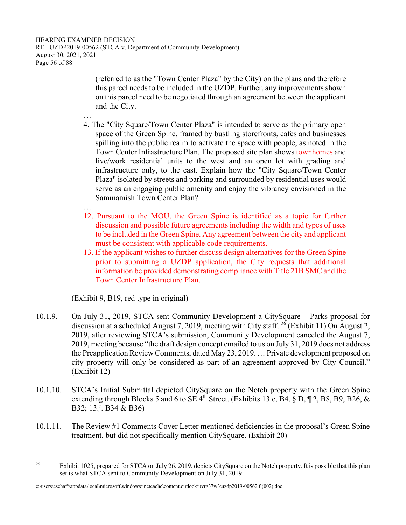HEARING EXAMINER DECISION RE: UZDP2019-00562 (STCA v. Department of Community Development) August 30, 2021, 2021 Page 56 of 88

> (referred to as the "Town Center Plaza" by the City) on the plans and therefore this parcel needs to be included in the UZDP. Further, any improvements shown on this parcel need to be negotiated through an agreement between the applicant and the City.

- …
- 4. The "City Square/Town Center Plaza" is intended to serve as the primary open space of the Green Spine, framed by bustling storefronts, cafes and businesses spilling into the public realm to activate the space with people, as noted in the Town Center Infrastructure Plan. The proposed site plan shows townhomes and live/work residential units to the west and an open lot with grading and infrastructure only, to the east. Explain how the "City Square/Town Center Plaza" isolated by streets and parking and surrounded by residential uses would serve as an engaging public amenity and enjoy the vibrancy envisioned in the Sammamish Town Center Plan?
- …
- 12. Pursuant to the MOU, the Green Spine is identified as a topic for further discussion and possible future agreements including the width and types of uses to be included in the Green Spine. Any agreement between the city and applicant must be consistent with applicable code requirements.
- 13. If the applicant wishes to further discuss design alternatives for the Green Spine prior to submitting a UZDP application, the City requests that additional information be provided demonstrating compliance with Title 21B SMC and the Town Center Infrastructure Plan.

(Exhibit 9, B19, red type in original)

- 10.1.9. On July 31, 2019, STCA sent Community Development a CitySquare Parks proposal for discussion at a scheduled August 7, 2019, meeting with City staff.  $^{26}$  (Exhibit 11) On August 2, 2019, after reviewing STCA's submission, Community Development canceled the August 7, 2019, meeting because "the draft design concept emailed to us on July 31, 2019 does not address the Preapplication Review Comments, dated May 23, 2019. … Private development proposed on city property will only be considered as part of an agreement approved by City Council." (Exhibit 12)
- 10.1.10. STCA's Initial Submittal depicted CitySquare on the Notch property with the Green Spine extending through Blocks 5 and 6 to SE  $4^{th}$  Street. (Exhibits 13.c, B4, § D, ¶ 2, B8, B9, B26, & B32; 13.j. B34 & B36)
- 10.1.11. The Review #1 Comments Cover Letter mentioned deficiencies in the proposal's Green Spine treatment, but did not specifically mention CitySquare. (Exhibit 20)

<sup>&</sup>lt;sup>26</sup> Exhibit 1025, prepared for STCA on July 26, 2019, depicts CitySquare on the Notch property. It is possible that this plan set is what STCA sent to Community Development on July 31, 2019.

c:\users\cschaff\appdata\local\microsoft\windows\inetcache\content.outlook\uvrg37w3\uzdp2019-00562 f (002).doc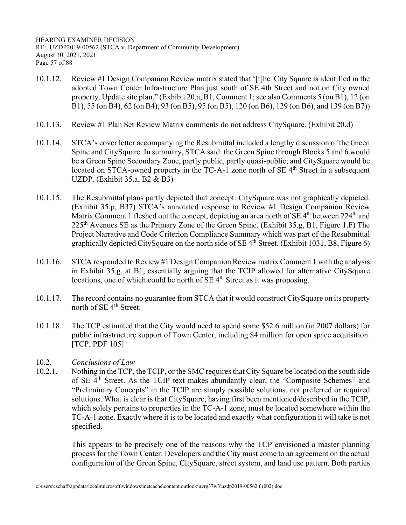HEARING EXAMINER DECISION RE: UZDP2019-00562 (STCA v. Department of Community Development) August 30, 2021, 2021 Page 57 of 88

- 10.1.12. Review #1 Design Companion Review matrix stated that '[t]he City Square is identified in the adopted Town Center Infrastructure Plan just south of SE 4th Street and not on City owned property. Update site plan." (Exhibit 20.a, B1, Comment 1; see also Comments 5 (on B1), 12 (on B1), 55 (on B4), 62 (on B4), 93 (on B5), 95 (on B5), 120 (on B6), 129 (on B6), and 139 (on B7))
- 10.1.13. Review #1 Plan Set Review Matrix comments do not address CitySquare. (Exhibit 20.d)
- 10.1.14. STCA's cover letter accompanying the Resubmittal included a lengthy discussion of the Green Spine and CitySquare. In summary, STCA said: the Green Spine through Blocks 5 and 6 would be a Green Spine Secondary Zone, partly public, partly quasi-public; and CitySquare would be located on STCA-owned property in the TC-A-1 zone north of  $SE$  4<sup>th</sup> Street in a subsequent UZDP. (Exhibit 35.a, B2 & B3)
- 10.1.15. The Resubmittal plans partly depicted that concept: CitySquare was not graphically depicted. (Exhibit 35.p, B37) STCA's annotated response to Review #1 Design Companion Review Matrix Comment 1 fleshed out the concept, depicting an area north of SE  $4<sup>th</sup>$  between 224<sup>th</sup> and  $225<sup>th</sup>$  Avenues SE as the Primary Zone of the Green Spine. (Exhibit 35.g, B1, Figure 1.F) The Project Narrative and Code Criterion Compliance Summary which was part of the Resubmittal graphically depicted CitySquare on the north side of SE  $4<sup>th</sup>$  Street. (Exhibit 1031, B8, Figure 6)
- 10.1.16. STCA responded to Review #1 Design Companion Review matrix Comment 1 with the analysis in Exhibit 35.g, at B1, essentially arguing that the TCIP allowed for alternative CitySquare locations, one of which could be north of SE 4<sup>th</sup> Street as it was proposing.
- 10.1.17. The record contains no guarantee from STCA that it would construct CitySquare on its property north of SE 4<sup>th</sup> Street.
- 10.1.18. The TCP estimated that the City would need to spend some \$52.6 million (in 2007 dollars) for public infrastructure support of Town Center, including \$4 million for open space acquisition. [TCP, PDF 105]
- 10.2. *Conclusions of Law*
- 10.2.1. Nothing in the TCP, the TCIP, or the SMC requires that City Square be located on the south side of SE 4<sup>th</sup> Street. As the TCIP text makes abundantly clear, the "Composite Schemes" and "Preliminary Concepts" in the TCIP are simply possible solutions, not preferred or required solutions. What is clear is that CitySquare, having first been mentioned/described in the TCIP, which solely pertains to properties in the TC-A-1 zone, must be located somewhere within the TC-A-1 zone. Exactly where it is to be located and exactly what configuration it will take is not specified.

 This appears to be precisely one of the reasons why the TCP envisioned a master planning process for the Town Center: Developers and the City must come to an agreement on the actual configuration of the Green Spine, CitySquare, street system, and land use pattern. Both parties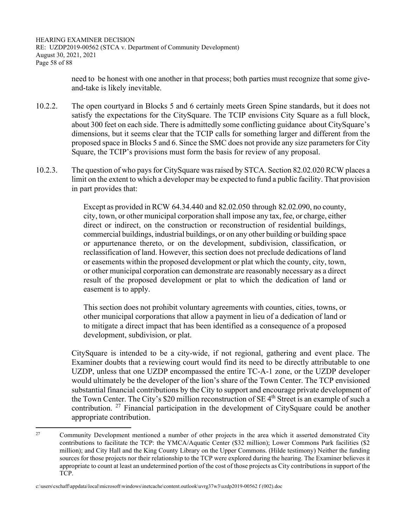HEARING EXAMINER DECISION RE: UZDP2019-00562 (STCA v. Department of Community Development) August 30, 2021, 2021 Page 58 of 88

> need to be honest with one another in that process; both parties must recognize that some giveand-take is likely inevitable.

- 10.2.2. The open courtyard in Blocks 5 and 6 certainly meets Green Spine standards, but it does not satisfy the expectations for the CitySquare. The TCIP envisions City Square as a full block, about 300 feet on each side. There is admittedly some conflicting guidance about CitySquare's dimensions, but it seems clear that the TCIP calls for something larger and different from the proposed space in Blocks 5 and 6. Since the SMC does not provide any size parameters for City Square, the TCIP's provisions must form the basis for review of any proposal.
- 10.2.3. The question of who pays for CitySquare was raised by STCA. Section 82.02.020 RCW places a limit on the extent to which a developer may be expected to fund a public facility. That provision in part provides that:

Except as provided in RCW 64.34.440 and 82.02.050 through 82.02.090, no county, city, town, or other municipal corporation shall impose any tax, fee, or charge, either direct or indirect, on the construction or reconstruction of residential buildings, commercial buildings, industrial buildings, or on any other building or building space or appurtenance thereto, or on the development, subdivision, classification, or reclassification of land. However, this section does not preclude dedications of land or easements within the proposed development or plat which the county, city, town, or other municipal corporation can demonstrate are reasonably necessary as a direct result of the proposed development or plat to which the dedication of land or easement is to apply.

This section does not prohibit voluntary agreements with counties, cities, towns, or other municipal corporations that allow a payment in lieu of a dedication of land or to mitigate a direct impact that has been identified as a consequence of a proposed development, subdivision, or plat.

 CitySquare is intended to be a city-wide, if not regional, gathering and event place. The Examiner doubts that a reviewing court would find its need to be directly attributable to one UZDP, unless that one UZDP encompassed the entire TC-A-1 zone, or the UZDP developer would ultimately be the developer of the lion's share of the Town Center. The TCP envisioned substantial financial contributions by the City to support and encourage private development of the Town Center. The City's \$20 million reconstruction of SE 4<sup>th</sup> Street is an example of such a contribution. <sup>27</sup> Financial participation in the development of CitySquare could be another appropriate contribution.

<sup>&</sup>lt;sup>27</sup> Community Development mentioned a number of other projects in the area which it asserted demonstrated City contributions to facilitate the TCP: the YMCA/Aquatic Center (\$32 million); Lower Commons Park facilities (\$2 million); and City Hall and the King County Library on the Upper Commons. (Hilde testimony) Neither the funding sources for those projects nor their relationship to the TCP were explored during the hearing. The Examiner believes it appropriate to count at least an undetermined portion of the cost of those projects as City contributions in support of the TCP.

c:\users\cschaff\appdata\local\microsoft\windows\inetcache\content.outlook\uvrg37w3\uzdp2019-00562 f (002).doc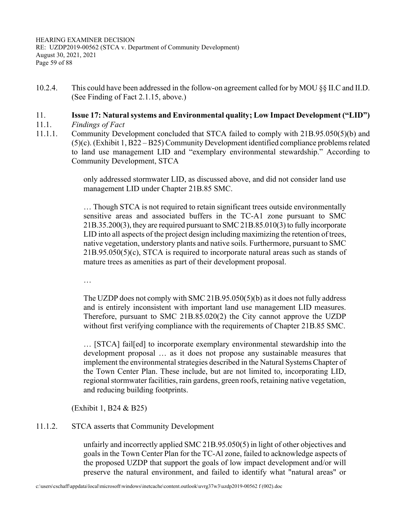HEARING EXAMINER DECISION RE: UZDP2019-00562 (STCA v. Department of Community Development) August 30, 2021, 2021 Page 59 of 88

10.2.4. This could have been addressed in the follow-on agreement called for by MOU §§ II.C and II.D. (See Finding of Fact 2.1.15, above.)

#### 11. **Issue 17: Natural systems and Environmental quality; Low Impact Development ("LID")**

- 11.1. *Findings of Fact*
- 11.1.1. Community Development concluded that STCA failed to comply with 21B.95.050(5)(b) and (5)(c). (Exhibit 1, B22 – B25) Community Development identified compliance problems related to land use management LID and "exemplary environmental stewardship." According to Community Development, STCA

only addressed stormwater LID, as discussed above, and did not consider land use management LID under Chapter 21B.85 SMC.

… Though STCA is not required to retain significant trees outside environmentally sensitive areas and associated buffers in the TC-A1 zone pursuant to SMC 21B.35.200(3), they are required pursuant to SMC 21B.85.010(3) to fully incorporate LID into all aspects of the project design including maximizing the retention of trees, native vegetation, understory plants and native soils. Furthermore, pursuant to SMC 21B.95.050(5)(c), STCA is required to incorporate natural areas such as stands of mature trees as amenities as part of their development proposal.

…

The UZDP does not comply with SMC 21B.95.050(5)(b) as it does not fully address and is entirely inconsistent with important land use management LID measures. Therefore, pursuant to SMC 21B.85.020(2) the City cannot approve the UZDP without first verifying compliance with the requirements of Chapter 21B.85 SMC.

… [STCA] fail[ed] to incorporate exemplary environmental stewardship into the development proposal … as it does not propose any sustainable measures that implement the environmental strategies described in the Natural Systems Chapter of the Town Center Plan. These include, but are not limited to, incorporating LID, regional stormwater facilities, rain gardens, green roofs, retaining native vegetation, and reducing building footprints.

(Exhibit 1, B24 & B25)

## 11.1.2. STCA asserts that Community Development

unfairly and incorrectly applied SMC 21B.95.050(5) in light of other objectives and goals in the Town Center Plan for the TC-Al zone, failed to acknowledge aspects of the proposed UZDP that support the goals of low impact development and/or will preserve the natural environment, and failed to identify what "natural areas" or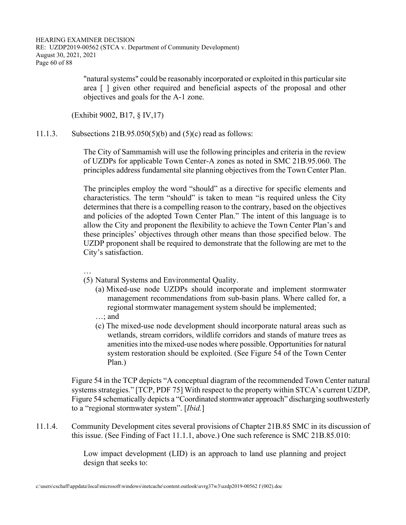"natural systems" could be reasonably incorporated or exploited in this particular site area [ ] given other required and beneficial aspects of the proposal and other objectives and goals for the A-1 zone.

(Exhibit 9002, B17, § IV,17)

11.1.3. Subsections 21B.95.050(5)(b) and (5)(c) read as follows:

The City of Sammamish will use the following principles and criteria in the review of UZDPs for applicable Town Center-A zones as noted in SMC 21B.95.060. The principles address fundamental site planning objectives from the Town Center Plan.

The principles employ the word "should" as a directive for specific elements and characteristics. The term "should" is taken to mean "is required unless the City determines that there is a compelling reason to the contrary, based on the objectives and policies of the adopted Town Center Plan." The intent of this language is to allow the City and proponent the flexibility to achieve the Town Center Plan's and these principles' objectives through other means than those specified below. The UZDP proponent shall be required to demonstrate that the following are met to the City's satisfaction.

- …
- (5) Natural Systems and Environmental Quality.
	- (a) Mixed-use node UZDPs should incorporate and implement stormwater management recommendations from sub-basin plans. Where called for, a regional stormwater management system should be implemented;
	- …; and
	- (c) The mixed-use node development should incorporate natural areas such as wetlands, stream corridors, wildlife corridors and stands of mature trees as amenities into the mixed-use nodes where possible. Opportunities for natural system restoration should be exploited. (See Figure 54 of the Town Center Plan.)

 Figure 54 in the TCP depicts "A conceptual diagram of the recommended Town Center natural systems strategies." [TCP, PDF 75] With respect to the property within STCA's current UZDP, Figure 54 schematically depicts a "Coordinated stormwater approach" discharging southwesterly to a "regional stormwater system". [*Ibid.*]

11.1.4. Community Development cites several provisions of Chapter 21B.85 SMC in its discussion of this issue. (See Finding of Fact 11.1.1, above.) One such reference is SMC 21B.85.010:

> Low impact development (LID) is an approach to land use planning and project design that seeks to: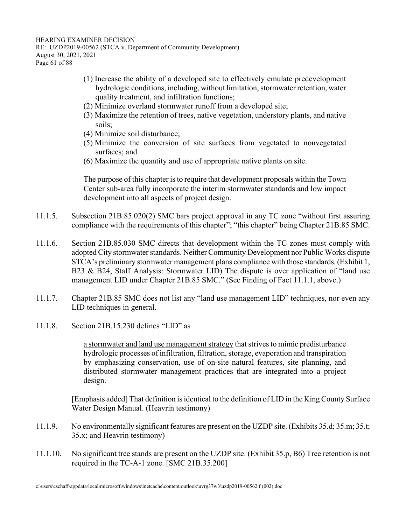HEARING EXAMINER DECISION RE: UZDP2019-00562 (STCA v. Department of Community Development) August 30, 2021, 2021 Page 61 of 88

- (1) Increase the ability of a developed site to effectively emulate predevelopment hydrologic conditions, including, without limitation, stormwater retention, water quality treatment, and infiltration functions;
- (2) Minimize overland stormwater runoff from a developed site;
- (3) Maximize the retention of trees, native vegetation, understory plants, and native soils;
- (4) Minimize soil disturbance;
- (5) Minimize the conversion of site surfaces from vegetated to nonvegetated surfaces; and
- (6) Maximize the quantity and use of appropriate native plants on site.

The purpose of this chapter is to require that development proposals within the Town Center sub-area fully incorporate the interim stormwater standards and low impact development into all aspects of project design.

- 11.1.5. Subsection 21B.85.020(2) SMC bars project approval in any TC zone "without first assuring compliance with the requirements of this chapter"; "this chapter" being Chapter 21B.85 SMC.
- 11.1.6. Section 21B.85.030 SMC directs that development within the TC zones must comply with adopted City stormwater standards. Neither Community Development nor Public Works dispute STCA's preliminary stormwater management plans compliance with those standards. (Exhibit 1, B23 & B24, Staff Analysis: Stormwater LID) The dispute is over application of "land use management LID under Chapter 21B.85 SMC." (See Finding of Fact 11.1.1, above.)
- 11.1.7. Chapter 21B.85 SMC does not list any "land use management LID" techniques, nor even any LID techniques in general.
- 11.1.8. Section 21B.15.230 defines "LID" as

a stormwater and land use management strategy that strives to mimic predisturbance hydrologic processes of infiltration, filtration, storage, evaporation and transpiration by emphasizing conservation, use of on-site natural features, site planning, and distributed stormwater management practices that are integrated into a project design.

 [Emphasis added] That definition is identical to the definition of LID in the King County Surface Water Design Manual. (Heavrin testimony)

- 11.1.9. No environmentally significant features are present on the UZDP site. (Exhibits 35.d; 35.m; 35.t; 35.x; and Heavrin testimony)
- 11.1.10. No significant tree stands are present on the UZDP site. (Exhibit 35.p, B6) Tree retention is not required in the TC-A-1 zone. [SMC 21B.35.200]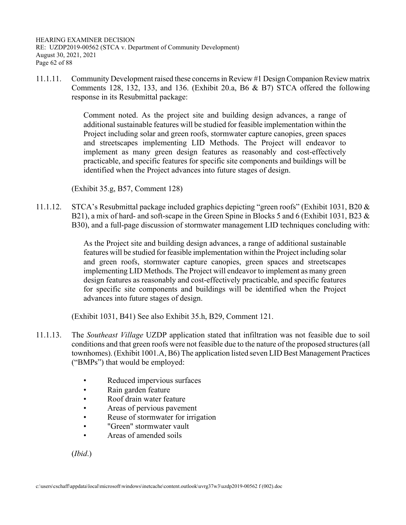HEARING EXAMINER DECISION RE: UZDP2019-00562 (STCA v. Department of Community Development) August 30, 2021, 2021 Page 62 of 88

11.1.11. Community Development raised these concerns in Review #1 Design Companion Review matrix Comments 128, 132, 133, and 136. (Exhibit 20.a, B6 & B7) STCA offered the following response in its Resubmittal package:

> Comment noted. As the project site and building design advances, a range of additional sustainable features will be studied for feasible implementation within the Project including solar and green roofs, stormwater capture canopies, green spaces and streetscapes implementing LID Methods. The Project will endeavor to implement as many green design features as reasonably and cost-effectively practicable, and specific features for specific site components and buildings will be identified when the Project advances into future stages of design.

(Exhibit 35.g, B57, Comment 128)

11.1.12. STCA's Resubmittal package included graphics depicting "green roofs" (Exhibit 1031, B20 & B21), a mix of hard- and soft-scape in the Green Spine in Blocks 5 and 6 (Exhibit 1031, B23 & B30), and a full-page discussion of stormwater management LID techniques concluding with:

> As the Project site and building design advances, a range of additional sustainable features will be studied for feasible implementation within the Project including solar and green roofs, stormwater capture canopies, green spaces and streetscapes implementing LID Methods. The Project will endeavor to implement as many green design features as reasonably and cost-effectively practicable, and specific features for specific site components and buildings will be identified when the Project advances into future stages of design.

(Exhibit 1031, B41) See also Exhibit 35.h, B29, Comment 121.

- 11.1.13. The *Southeast Village* UZDP application stated that infiltration was not feasible due to soil conditions and that green roofs were not feasible due to the nature of the proposed structures (all townhomes). (Exhibit 1001.A, B6) The application listed seven LID Best Management Practices ("BMPs") that would be employed:
	- Reduced impervious surfaces
	- Rain garden feature
	- Roof drain water feature
	- Areas of pervious pavement
	- Reuse of stormwater for irrigation
	- "Green" stormwater vault
	- Areas of amended soils

(*Ibid*.)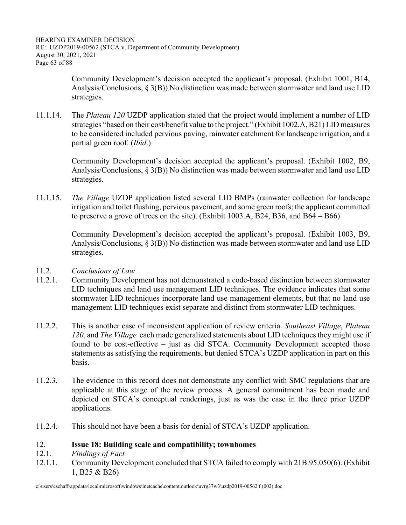HEARING EXAMINER DECISION RE: UZDP2019-00562 (STCA v. Department of Community Development) August 30, 2021, 2021 Page 63 of 88

> Community Development's decision accepted the applicant's proposal. (Exhibit 1001, B14, Analysis/Conclusions,  $\S 3(B)$ ) No distinction was made between stormwater and land use LID strategies.

11.1.14. The *Plateau 120* UZDP application stated that the project would implement a number of LID strategies "based on their cost/benefit value to the project." (Exhibit 1002.A, B21) LID measures to be considered included pervious paving, rainwater catchment for landscape irrigation, and a partial green roof. (*Ibid*.)

> Community Development's decision accepted the applicant's proposal. (Exhibit 1002, B9, Analysis/Conclusions,  $\S$  3(B)) No distinction was made between stormwater and land use LID strategies.

11.1.15. *The Village* UZDP application listed several LID BMPs (rainwater collection for landscape irrigation and toilet flushing, pervious pavement, and some green roofs; the applicant committed to preserve a grove of trees on the site). (Exhibit 1003.A, B24, B36, and B64 – B66)

> Community Development's decision accepted the applicant's proposal. (Exhibit 1003, B9, Analysis/Conclusions,  $\S 3(B)$ ) No distinction was made between stormwater and land use LID strategies.

- 11.2. *Conclusions of Law*
- 11.2.1. Community Development has not demonstrated a code-based distinction between stormwater LID techniques and land use management LID techniques. The evidence indicates that some stormwater LID techniques incorporate land use management elements, but that no land use management LID techniques exist separate and distinct from stormwater LID techniques.
- 11.2.2. This is another case of inconsistent application of review criteria. *Southeast Village*, *Plateau 120*, and *The Village* each made generalized statements about LID techniques they might use if found to be cost-effective – just as did STCA. Community Development accepted those statements as satisfying the requirements, but denied STCA's UZDP application in part on this basis.
- 11.2.3. The evidence in this record does not demonstrate any conflict with SMC regulations that are applicable at this stage of the review process. A general commitment has been made and depicted on STCA's conceptual renderings, just as was the case in the three prior UZDP applications.
- 11.2.4. This should not have been a basis for denial of STCA's UZDP application.

## 12. **Issue 18: Building scale and compatibility; townhomes**

- 12.1. *Findings of Fact*
- 12.1.1. Community Development concluded that STCA failed to comply with 21B.95.050(6). (Exhibit 1, B25 & B26)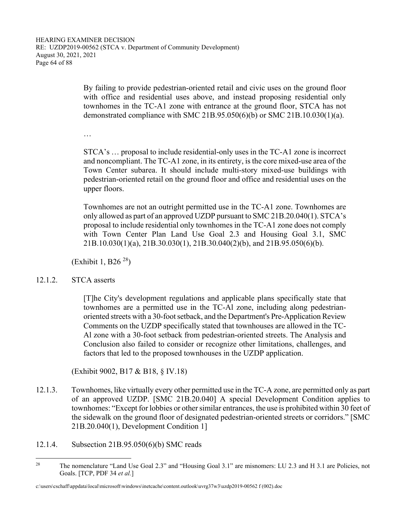By failing to provide pedestrian-oriented retail and civic uses on the ground floor with office and residential uses above, and instead proposing residential only townhomes in the TC-A1 zone with entrance at the ground floor, STCA has not demonstrated compliance with SMC 21B.95.050(6)(b) or SMC 21B.10.030(1)(a).

…

STCA's … proposal to include residential-only uses in the TC-A1 zone is incorrect and noncompliant. The TC-A1 zone, in its entirety, is the core mixed-use area of the Town Center subarea. It should include multi-story mixed-use buildings with pedestrian-oriented retail on the ground floor and office and residential uses on the upper floors.

Townhomes are not an outright permitted use in the TC-A1 zone. Townhomes are only allowed as part of an approved UZDP pursuant to SMC 21B.20.040(1). STCA's proposal to include residential only townhomes in the TC-A1 zone does not comply with Town Center Plan Land Use Goal 2.3 and Housing Goal 3.1, SMC 21B.10.030(1)(a), 21B.30.030(1), 21B.30.040(2)(b), and 21B.95.050(6)(b).

(Exhibit 1, B26<sup> $28$ </sup>)

12.1.2. STCA asserts

[T]he City's development regulations and applicable plans specifically state that townhomes are a permitted use in the TC-Al zone, including along pedestrianoriented streets with a 30-foot setback, and the Department's Pre-Application Review Comments on the UZDP specifically stated that townhouses are allowed in the TC-Al zone with a 30-foot setback from pedestrian-oriented streets. The Analysis and Conclusion also failed to consider or recognize other limitations, challenges, and factors that led to the proposed townhouses in the UZDP application.

(Exhibit 9002, B17 & B18, § IV.18)

- 12.1.3. Townhomes, like virtually every other permitted use in the TC-A zone, are permitted only as part of an approved UZDP. [SMC 21B.20.040] A special Development Condition applies to townhomes: "Except for lobbies or other similar entrances, the use is prohibited within 30 feet of the sidewalk on the ground floor of designated pedestrian-oriented streets or corridors." [SMC 21B.20.040(1), Development Condition 1]
- 12.1.4. Subsection 21B.95.050(6)(b) SMC reads

<sup>&</sup>lt;sup>28</sup> The nomenclature "Land Use Goal 2.3" and "Housing Goal 3.1" are misnomers: LU 2.3 and H 3.1 are Policies, not Goals. [TCP, PDF 34 *et al.*]

c:\users\cschaff\appdata\local\microsoft\windows\inetcache\content.outlook\uvrg37w3\uzdp2019-00562 f (002).doc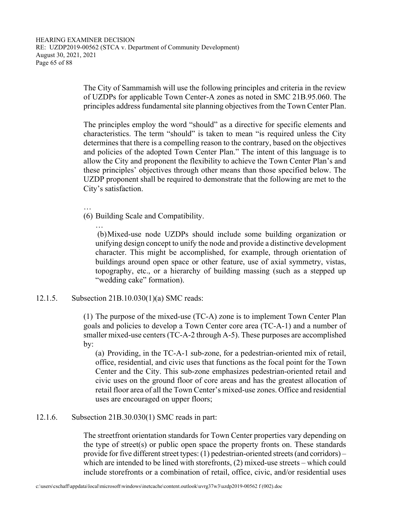The City of Sammamish will use the following principles and criteria in the review of UZDPs for applicable Town Center-A zones as noted in SMC 21B.95.060. The principles address fundamental site planning objectives from the Town Center Plan.

The principles employ the word "should" as a directive for specific elements and characteristics. The term "should" is taken to mean "is required unless the City determines that there is a compelling reason to the contrary, based on the objectives and policies of the adopted Town Center Plan." The intent of this language is to allow the City and proponent the flexibility to achieve the Town Center Plan's and these principles' objectives through other means than those specified below. The UZDP proponent shall be required to demonstrate that the following are met to the City's satisfaction.

…

- (6) Building Scale and Compatibility.
	- … (b) Mixed-use node UZDPs should include some building organization or unifying design concept to unify the node and provide a distinctive development character. This might be accomplished, for example, through orientation of buildings around open space or other feature, use of axial symmetry, vistas, topography, etc., or a hierarchy of building massing (such as a stepped up "wedding cake" formation).

## 12.1.5. Subsection 21B.10.030(1)(a) SMC reads:

(1) The purpose of the mixed-use (TC-A) zone is to implement Town Center Plan goals and policies to develop a Town Center core area (TC-A-1) and a number of smaller mixed-use centers (TC-A-2 through A-5). These purposes are accomplished by:

(a) Providing, in the TC-A-1 sub-zone, for a pedestrian-oriented mix of retail, office, residential, and civic uses that functions as the focal point for the Town Center and the City. This sub-zone emphasizes pedestrian-oriented retail and civic uses on the ground floor of core areas and has the greatest allocation of retail floor area of all the Town Center's mixed-use zones. Office and residential uses are encouraged on upper floors;

## 12.1.6. Subsection 21B.30.030(1) SMC reads in part:

The streetfront orientation standards for Town Center properties vary depending on the type of street(s) or public open space the property fronts on. These standards provide for five different street types: (1) pedestrian-oriented streets (and corridors) – which are intended to be lined with storefronts, (2) mixed-use streets – which could include storefronts or a combination of retail, office, civic, and/or residential uses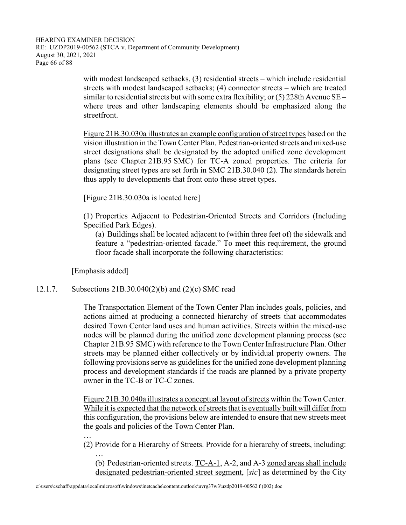HEARING EXAMINER DECISION RE: UZDP2019-00562 (STCA v. Department of Community Development) August 30, 2021, 2021 Page 66 of 88

> with modest landscaped setbacks, (3) residential streets – which include residential streets with modest landscaped setbacks; (4) connector streets – which are treated similar to residential streets but with some extra flexibility; or  $(5)$  228th Avenue SE – where trees and other landscaping elements should be emphasized along the streetfront.

> Figure 21B.30.030a illustrates an example configuration of street types based on the vision illustration in the Town Center Plan. Pedestrian-oriented streets and mixed-use street designations shall be designated by the adopted unified zone development plans (see Chapter 21B.95 SMC) for TC-A zoned properties. The criteria for designating street types are set forth in SMC 21B.30.040 (2). The standards herein thus apply to developments that front onto these street types.

[Figure 21B.30.030a is located here]

(1) Properties Adjacent to Pedestrian-Oriented Streets and Corridors (Including Specified Park Edges).

(a) Buildings shall be located adjacent to (within three feet of) the sidewalk and feature a "pedestrian-oriented facade." To meet this requirement, the ground floor facade shall incorporate the following characteristics:

[Emphasis added]

…

## 12.1.7. Subsections 21B.30.040(2)(b) and (2)(c) SMC read

The Transportation Element of the Town Center Plan includes goals, policies, and actions aimed at producing a connected hierarchy of streets that accommodates desired Town Center land uses and human activities. Streets within the mixed-use nodes will be planned during the unified zone development planning process (see Chapter 21B.95 SMC) with reference to the Town Center Infrastructure Plan. Other streets may be planned either collectively or by individual property owners. The following provisions serve as guidelines for the unified zone development planning process and development standards if the roads are planned by a private property owner in the TC-B or TC-C zones.

Figure 21B.30.040a illustrates a conceptual layout of streets within the Town Center. While it is expected that the network of streets that is eventually built will differ from this configuration, the provisions below are intended to ensure that new streets meet the goals and policies of the Town Center Plan.

(2) Provide for a Hierarchy of Streets. Provide for a hierarchy of streets, including:

… (b) Pedestrian-oriented streets. TC-A-1, A-2, and A-3 zoned areas shall include designated pedestrian-oriented street segment, [*sic*] as determined by the City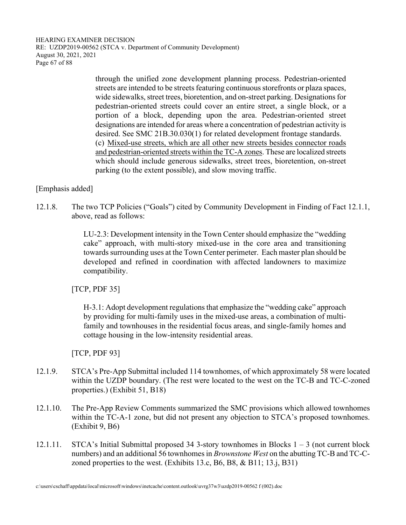HEARING EXAMINER DECISION RE: UZDP2019-00562 (STCA v. Department of Community Development) August 30, 2021, 2021 Page 67 of 88

> through the unified zone development planning process. Pedestrian-oriented streets are intended to be streets featuring continuous storefronts or plaza spaces, wide sidewalks, street trees, bioretention, and on-street parking. Designations for pedestrian-oriented streets could cover an entire street, a single block, or a portion of a block, depending upon the area. Pedestrian-oriented street designations are intended for areas where a concentration of pedestrian activity is desired. See SMC 21B.30.030(1) for related development frontage standards. (c) Mixed-use streets, which are all other new streets besides connector roads and pedestrian-oriented streets within the TC-A zones. These are localized streets which should include generous sidewalks, street trees, bioretention, on-street parking (to the extent possible), and slow moving traffic.

[Emphasis added]

12.1.8. The two TCP Policies ("Goals") cited by Community Development in Finding of Fact 12.1.1, above, read as follows:

> LU-2.3: Development intensity in the Town Center should emphasize the "wedding cake" approach, with multi-story mixed-use in the core area and transitioning towards surrounding uses at the Town Center perimeter. Each master plan should be developed and refined in coordination with affected landowners to maximize compatibility.

[TCP, PDF 35]

H-3.1: Adopt development regulations that emphasize the "wedding cake" approach by providing for multi-family uses in the mixed-use areas, a combination of multifamily and townhouses in the residential focus areas, and single-family homes and cottage housing in the low-intensity residential areas.

[TCP, PDF 93]

- 12.1.9. STCA's Pre-App Submittal included 114 townhomes, of which approximately 58 were located within the UZDP boundary. (The rest were located to the west on the TC-B and TC-C-zoned properties.) (Exhibit 51, B18)
- 12.1.10. The Pre-App Review Comments summarized the SMC provisions which allowed townhomes within the TC-A-1 zone, but did not present any objection to STCA's proposed townhomes. (Exhibit 9, B6)
- 12.1.11. STCA's Initial Submittal proposed 34 3-story townhomes in Blocks 1 3 (not current block numbers) and an additional 56 townhomes in *Brownstone West* on the abutting TC-B and TC-Czoned properties to the west. (Exhibits 13.c, B6, B8, & B11; 13.j, B31)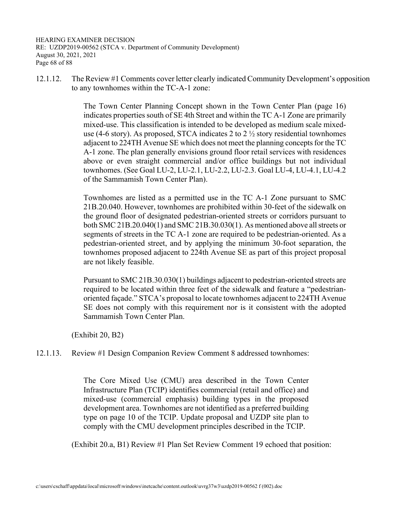HEARING EXAMINER DECISION RE: UZDP2019-00562 (STCA v. Department of Community Development) August 30, 2021, 2021 Page 68 of 88

12.1.12. The Review #1 Comments cover letter clearly indicated Community Development's opposition to any townhomes within the TC-A-1 zone:

> The Town Center Planning Concept shown in the Town Center Plan (page 16) indicates properties south of SE 4th Street and within the TC A-1 Zone are primarily mixed-use. This classification is intended to be developed as medium scale mixeduse (4-6 story). As proposed, STCA indicates 2 to 2  $\frac{1}{2}$  story residential townhomes adjacent to 224TH Avenue SE which does not meet the planning concepts for the TC A-1 zone. The plan generally envisions ground floor retail services with residences above or even straight commercial and/or office buildings but not individual townhomes. (See Goal LU-2, LU-2.1, LU-2.2, LU-2.3. Goal LU-4, LU-4.1, LU-4.2 of the Sammamish Town Center Plan).

> Townhomes are listed as a permitted use in the TC A-1 Zone pursuant to SMC 21B.20.040. However, townhomes are prohibited within 30-feet of the sidewalk on the ground floor of designated pedestrian-oriented streets or corridors pursuant to both SMC 21B.20.040(1) and SMC 21B.30.030(1). As mentioned above all streets or segments of streets in the TC A-1 zone are required to be pedestrian-oriented. As a pedestrian-oriented street, and by applying the minimum 30-foot separation, the townhomes proposed adjacent to 224th Avenue SE as part of this project proposal are not likely feasible.

> Pursuant to SMC 21B.30.030(1) buildings adjacent to pedestrian-oriented streets are required to be located within three feet of the sidewalk and feature a "pedestrianoriented façade." STCA's proposal to locate townhomes adjacent to 224TH Avenue SE does not comply with this requirement nor is it consistent with the adopted Sammamish Town Center Plan.

(Exhibit 20, B2)

# 12.1.13. Review #1 Design Companion Review Comment 8 addressed townhomes:

The Core Mixed Use (CMU) area described in the Town Center Infrastructure Plan (TCIP) identifies commercial (retail and office) and mixed-use (commercial emphasis) building types in the proposed development area. Townhomes are not identified as a preferred building type on page 10 of the TCIP. Update proposal and UZDP site plan to comply with the CMU development principles described in the TCIP.

(Exhibit 20.a, B1) Review #1 Plan Set Review Comment 19 echoed that position: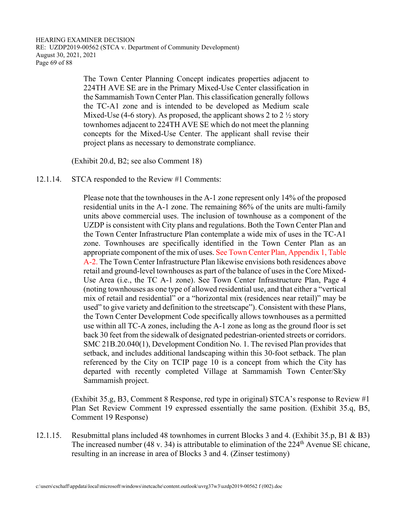The Town Center Planning Concept indicates properties adjacent to 224TH AVE SE are in the Primary Mixed-Use Center classification in the Sammamish Town Center Plan. This classification generally follows the TC-A1 zone and is intended to be developed as Medium scale Mixed-Use (4-6 story). As proposed, the applicant shows 2 to 2  $\frac{1}{2}$  story townhomes adjacent to 224TH AVE SE which do not meet the planning concepts for the Mixed-Use Center. The applicant shall revise their project plans as necessary to demonstrate compliance.

(Exhibit 20.d, B2; see also Comment 18)

#### 12.1.14. STCA responded to the Review #1 Comments:

Please note that the townhouses in the A-1 zone represent only 14% of the proposed residential units in the A-1 zone. The remaining 86% of the units are multi-family units above commercial uses. The inclusion of townhouse as a component of the UZDP is consistent with City plans and regulations. Both the Town Center Plan and the Town Center Infrastructure Plan contemplate a wide mix of uses in the TC-A1 zone. Townhouses are specifically identified in the Town Center Plan as an appropriate component of the mix of uses. See Town Center Plan, Appendix 1, Table A-2. The Town Center Infrastructure Plan likewise envisions both residences above retail and ground-level townhouses as part of the balance of uses in the Core Mixed-Use Area (i.e., the TC A-1 zone). See Town Center Infrastructure Plan, Page 4 (noting townhouses as one type of allowed residential use, and that either a "vertical mix of retail and residential" or a "horizontal mix (residences near retail)" may be used" to give variety and definition to the streetscape"). Consistent with these Plans, the Town Center Development Code specifically allows townhouses as a permitted use within all TC-A zones, including the A-1 zone as long as the ground floor is set back 30 feet from the sidewalk of designated pedestrian-oriented streets or corridors. SMC 21B.20.040(1), Development Condition No. 1. The revised Plan provides that setback, and includes additional landscaping within this 30-foot setback. The plan referenced by the City on TCIP page 10 is a concept from which the City has departed with recently completed Village at Sammamish Town Center/Sky Sammamish project.

 (Exhibit 35.g, B3, Comment 8 Response, red type in original) STCA's response to Review #1 Plan Set Review Comment 19 expressed essentially the same position. (Exhibit 35.q, B5, Comment 19 Response)

12.1.15. Resubmittal plans included 48 townhomes in current Blocks 3 and 4. (Exhibit 35.p, B1 & B3) The increased number (48 v. 34) is attributable to elimination of the  $224<sup>th</sup>$  Avenue SE chicane, resulting in an increase in area of Blocks 3 and 4. (Zinser testimony)

c:\users\cschaff\appdata\local\microsoft\windows\inetcache\content.outlook\uvrg37w3\uzdp2019-00562 f (002).doc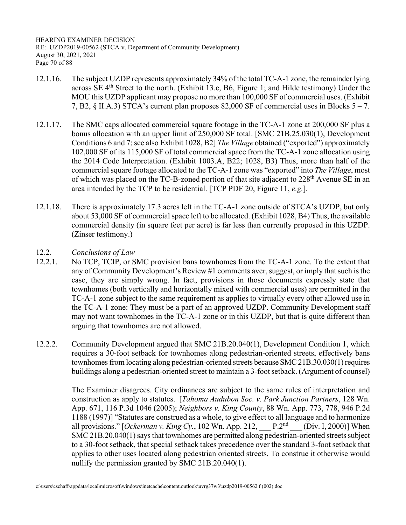HEARING EXAMINER DECISION RE: UZDP2019-00562 (STCA v. Department of Community Development) August 30, 2021, 2021 Page 70 of 88

- 12.1.16. The subject UZDP represents approximately 34% of the total TC-A-1 zone, the remainder lying across SE  $4<sup>th</sup>$  Street to the north. (Exhibit 13.c, B6, Figure 1; and Hilde testimony) Under the MOU this UZDP applicant may propose no more than 100,000 SF of commercial uses. (Exhibit 7, B2, § II.A.3) STCA's current plan proposes 82,000 SF of commercial uses in Blocks 5 – 7.
- 12.1.17. The SMC caps allocated commercial square footage in the TC-A-1 zone at 200,000 SF plus a bonus allocation with an upper limit of 250,000 SF total. [SMC 21B.25.030(1), Development Conditions 6 and 7; see also Exhibit 1028, B2] *The Village* obtained ("exported") approximately 102,000 SF of its 115,000 SF of total commercial space from the TC-A-1 zone allocation using the 2014 Code Interpretation. (Exhibit 1003.A, B22; 1028, B3) Thus, more than half of the commercial square footage allocated to the TC-A-1 zone was "exported" into *The Village*, most of which was placed on the TC-B-zoned portion of that site adjacent to 228<sup>th</sup> Avenue SE in an area intended by the TCP to be residential. [TCP PDF 20, Figure 11, *e.g.*].
- 12.1.18. There is approximately 17.3 acres left in the TC-A-1 zone outside of STCA's UZDP, but only about 53,000 SF of commercial space left to be allocated. (Exhibit 1028, B4) Thus, the available commercial density (in square feet per acre) is far less than currently proposed in this UZDP. (Zinser testimony.)
- 12.2. *Conclusions of Law*
- 12.2.1. No TCP, TCIP, or SMC provision bans townhomes from the TC-A-1 zone. To the extent that any of Community Development's Review #1 comments aver, suggest, or imply that such is the case, they are simply wrong. In fact, provisions in those documents expressly state that townhomes (both vertically and horizontally mixed with commercial uses) are permitted in the TC-A-1 zone subject to the same requirement as applies to virtually every other allowed use in the TC-A-1 zone: They must be a part of an approved UZDP. Community Development staff may not want townhomes in the TC-A-1 zone or in this UZDP, but that is quite different than arguing that townhomes are not allowed.
- 12.2.2. Community Development argued that SMC 21B.20.040(1), Development Condition 1, which requires a 30-foot setback for townhomes along pedestrian-oriented streets, effectively bans townhomes from locating along pedestrian-oriented streets because SMC 21B.30.030(1) requires buildings along a pedestrian-oriented street to maintain a 3-foot setback. (Argument of counsel)

 The Examiner disagrees. City ordinances are subject to the same rules of interpretation and construction as apply to statutes. [*Tahoma Audubon Soc. v. Park Junction Partners*, 128 Wn. App. 671, 116 P.3d 1046 (2005); *Neighbors v. King County*, 88 Wn. App. 773, 778, 946 P.2d 1188 (1997)] "Statutes are construed as a whole, to give effect to all language and to harmonize all provisions." [Ockerman v. King Cy., 102 Wn. App. 212,  $P \cdot 2^{nd}$  (Div. I, 2000)] When SMC 21B.20.040(1) says that townhomes are permitted along pedestrian-oriented streets subject to a 30-foot setback, that special setback takes precedence over the standard 3-foot setback that applies to other uses located along pedestrian oriented streets. To construe it otherwise would nullify the permission granted by SMC 21B.20.040(1).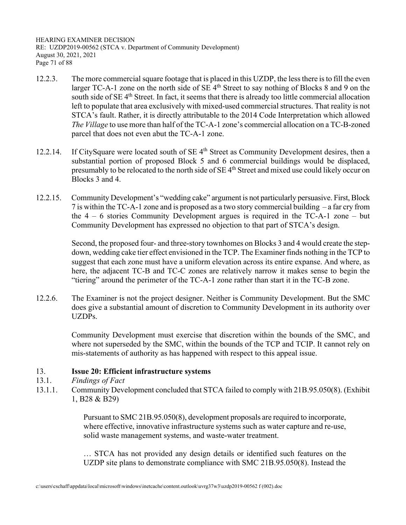HEARING EXAMINER DECISION RE: UZDP2019-00562 (STCA v. Department of Community Development) August 30, 2021, 2021 Page 71 of 88

- 12.2.3. The more commercial square footage that is placed in this UZDP, the less there is to fill the even larger TC-A-1 zone on the north side of SE 4<sup>th</sup> Street to say nothing of Blocks 8 and 9 on the south side of SE 4<sup>th</sup> Street. In fact, it seems that there is already too little commercial allocation left to populate that area exclusively with mixed-used commercial structures. That reality is not STCA's fault. Rather, it is directly attributable to the 2014 Code Interpretation which allowed *The Village* to use more than half of the TC-A-1 zone's commercial allocation on a TC-B-zoned parcel that does not even abut the TC-A-1 zone.
- 12.2.14. If CitySquare were located south of SE 4<sup>th</sup> Street as Community Development desires, then a substantial portion of proposed Block 5 and 6 commercial buildings would be displaced, presumably to be relocated to the north side of SE 4th Street and mixed use could likely occur on Blocks 3 and 4.
- 12.2.15. Community Development's "wedding cake" argument is not particularly persuasive. First, Block 7 is within the TC-A-1 zone and is proposed as a two story commercial building – a far cry from the 4 – 6 stories Community Development argues is required in the TC-A-1 zone – but Community Development has expressed no objection to that part of STCA's design.

 Second, the proposed four- and three-story townhomes on Blocks 3 and 4 would create the stepdown, wedding cake tier effect envisioned in the TCP. The Examiner finds nothing in the TCP to suggest that each zone must have a uniform elevation across its entire expanse. And where, as here, the adjacent TC-B and TC-C zones are relatively narrow it makes sense to begin the "tiering" around the perimeter of the TC-A-1 zone rather than start it in the TC-B zone.

12.2.6. The Examiner is not the project designer. Neither is Community Development. But the SMC does give a substantial amount of discretion to Community Development in its authority over UZDPs.

> Community Development must exercise that discretion within the bounds of the SMC, and where not superseded by the SMC, within the bounds of the TCP and TCIP. It cannot rely on mis-statements of authority as has happened with respect to this appeal issue.

# 13. **Issue 20: Efficient infrastructure systems**

- 13.1. *Findings of Fact*
- 13.1.1. Community Development concluded that STCA failed to comply with 21B.95.050(8). (Exhibit 1, B28 & B29)

Pursuant to SMC 21B.95.050(8), development proposals are required to incorporate, where effective, innovative infrastructure systems such as water capture and re-use, solid waste management systems, and waste-water treatment.

… STCA has not provided any design details or identified such features on the UZDP site plans to demonstrate compliance with SMC 21B.95.050(8). Instead the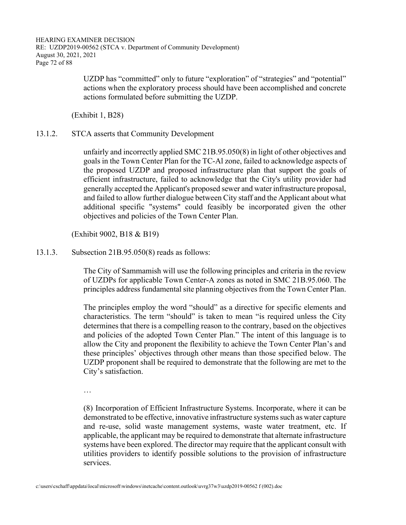HEARING EXAMINER DECISION RE: UZDP2019-00562 (STCA v. Department of Community Development) August 30, 2021, 2021 Page 72 of 88

> UZDP has "committed" only to future "exploration" of "strategies" and "potential" actions when the exploratory process should have been accomplished and concrete actions formulated before submitting the UZDP.

(Exhibit 1, B28)

#### 13.1.2. STCA asserts that Community Development

unfairly and incorrectly applied SMC 21B.95.050(8) in light of other objectives and goals in the Town Center Plan for the TC-Al zone, failed to acknowledge aspects of the proposed UZDP and proposed infrastructure plan that support the goals of efficient infrastructure, failed to acknowledge that the City's utility provider had generally accepted the Applicant's proposed sewer and water infrastructure proposal, and failed to allow further dialogue between City staff and the Applicant about what additional specific "systems" could feasibly be incorporated given the other objectives and policies of the Town Center Plan.

(Exhibit 9002, B18 & B19)

13.1.3. Subsection 21B.95.050(8) reads as follows:

The City of Sammamish will use the following principles and criteria in the review of UZDPs for applicable Town Center-A zones as noted in SMC 21B.95.060. The principles address fundamental site planning objectives from the Town Center Plan.

The principles employ the word "should" as a directive for specific elements and characteristics. The term "should" is taken to mean "is required unless the City determines that there is a compelling reason to the contrary, based on the objectives and policies of the adopted Town Center Plan." The intent of this language is to allow the City and proponent the flexibility to achieve the Town Center Plan's and these principles' objectives through other means than those specified below. The UZDP proponent shall be required to demonstrate that the following are met to the City's satisfaction.

…

(8) Incorporation of Efficient Infrastructure Systems. Incorporate, where it can be demonstrated to be effective, innovative infrastructure systems such as water capture and re-use, solid waste management systems, waste water treatment, etc. If applicable, the applicant may be required to demonstrate that alternate infrastructure systems have been explored. The director may require that the applicant consult with utilities providers to identify possible solutions to the provision of infrastructure services.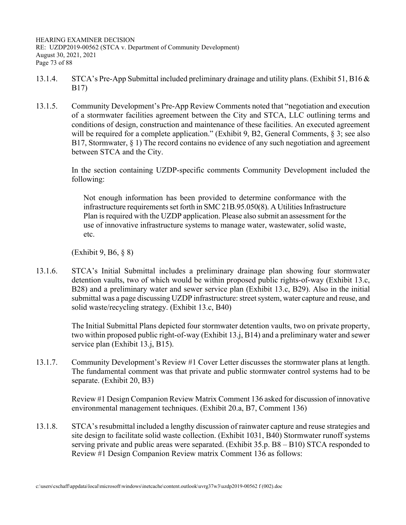HEARING EXAMINER DECISION RE: UZDP2019-00562 (STCA v. Department of Community Development) August 30, 2021, 2021 Page 73 of 88

- 13.1.4. STCA's Pre-App Submittal included preliminary drainage and utility plans. (Exhibit 51, B16 & B17)
- 13.1.5. Community Development's Pre-App Review Comments noted that "negotiation and execution of a stormwater facilities agreement between the City and STCA, LLC outlining terms and conditions of design, construction and maintenance of these facilities. An executed agreement will be required for a complete application." (Exhibit 9, B2, General Comments, § 3; see also B17, Stormwater, § 1) The record contains no evidence of any such negotiation and agreement between STCA and the City.

 In the section containing UZDP-specific comments Community Development included the following:

Not enough information has been provided to determine conformance with the infrastructure requirements set forth in SMC 21B.95.050(8). A Utilities Infrastructure Plan is required with the UZDP application. Please also submit an assessment for the use of innovative infrastructure systems to manage water, wastewater, solid waste, etc.

(Exhibit 9, B6, § 8)

13.1.6. STCA's Initial Submittal includes a preliminary drainage plan showing four stormwater detention vaults, two of which would be within proposed public rights-of-way (Exhibit 13.c, B28) and a preliminary water and sewer service plan (Exhibit 13.c, B29). Also in the initial submittal was a page discussing UZDP infrastructure: street system, water capture and reuse, and solid waste/recycling strategy. (Exhibit 13.c, B40)

> The Initial Submittal Plans depicted four stormwater detention vaults, two on private property, two within proposed public right-of-way (Exhibit 13.j, B14) and a preliminary water and sewer service plan (Exhibit 13.j, B15).

13.1.7. Community Development's Review #1 Cover Letter discusses the stormwater plans at length. The fundamental comment was that private and public stormwater control systems had to be separate. (Exhibit 20, B3)

> Review #1 Design Companion Review Matrix Comment 136 asked for discussion of innovative environmental management techniques. (Exhibit 20.a, B7, Comment 136)

13.1.8. STCA's resubmittal included a lengthy discussion of rainwater capture and reuse strategies and site design to facilitate solid waste collection. (Exhibit 1031, B40) Stormwater runoff systems serving private and public areas were separated. (Exhibit 35.p. B8 – B10) STCA responded to Review #1 Design Companion Review matrix Comment 136 as follows: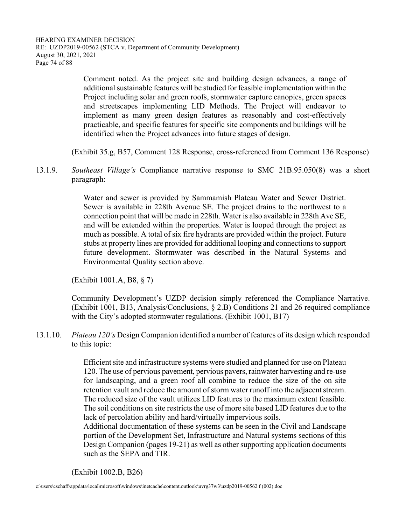HEARING EXAMINER DECISION RE: UZDP2019-00562 (STCA v. Department of Community Development) August 30, 2021, 2021 Page 74 of 88

> Comment noted. As the project site and building design advances, a range of additional sustainable features will be studied for feasible implementation within the Project including solar and green roofs, stormwater capture canopies, green spaces and streetscapes implementing LID Methods. The Project will endeavor to implement as many green design features as reasonably and cost-effectively practicable, and specific features for specific site components and buildings will be identified when the Project advances into future stages of design.

(Exhibit 35.g, B57, Comment 128 Response, cross-referenced from Comment 136 Response)

13.1.9. *Southeast Village's* Compliance narrative response to SMC 21B.95.050(8) was a short paragraph:

> Water and sewer is provided by Sammamish Plateau Water and Sewer District. Sewer is available in 228th Avenue SE. The project drains to the northwest to a connection point that will be made in 228th. Water is also available in 228th Ave SE, and will be extended within the properties. Water is looped through the project as much as possible. A total of six fire hydrants are provided within the project. Future stubs at property lines are provided for additional looping and connections to support future development. Stormwater was described in the Natural Systems and Environmental Quality section above.

(Exhibit 1001.A, B8, § 7)

 Community Development's UZDP decision simply referenced the Compliance Narrative. (Exhibit 1001, B13, Analysis/Conclusions, § 2.B) Conditions 21 and 26 required compliance with the City's adopted stormwater regulations. (Exhibit 1001, B17)

13.1.10. *Plateau 120's* Design Companion identified a number of features of its design which responded to this topic:

> Efficient site and infrastructure systems were studied and planned for use on Plateau 120. The use of pervious pavement, pervious pavers, rainwater harvesting and re-use for landscaping, and a green roof all combine to reduce the size of the on site retention vault and reduce the amount of storm water runoff into the adjacent stream. The reduced size of the vault utilizes LID features to the maximum extent feasible. The soil conditions on site restricts the use of more site based LID features due to the lack of percolation ability and hard/virtually impervious soils.

> Additional documentation of these systems can be seen in the Civil and Landscape portion of the Development Set, Infrastructure and Natural systems sections of this Design Companion (pages 19-21) as well as other supporting application documents such as the SEPA and TIR.

(Exhibit 1002.B, B26)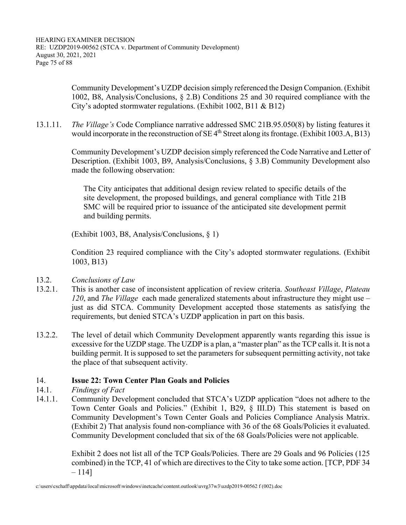Community Development's UZDP decision simply referenced the Design Companion. (Exhibit 1002, B8, Analysis/Conclusions, § 2.B) Conditions 25 and 30 required compliance with the City's adopted stormwater regulations. (Exhibit 1002, B11 & B12)

13.1.11. *The Village's* Code Compliance narrative addressed SMC 21B.95.050(8) by listing features it would incorporate in the reconstruction of SE 4<sup>th</sup> Street along its frontage. (Exhibit 1003.A, B13)

> Community Development's UZDP decision simply referenced the Code Narrative and Letter of Description. (Exhibit 1003, B9, Analysis/Conclusions, § 3.B) Community Development also made the following observation:

The City anticipates that additional design review related to specific details of the site development, the proposed buildings, and general compliance with Title 21B SMC will be required prior to issuance of the anticipated site development permit and building permits.

(Exhibit 1003, B8, Analysis/Conclusions, § 1)

 Condition 23 required compliance with the City's adopted stormwater regulations. (Exhibit 1003, B13)

- 13.2. *Conclusions of Law*
- 13.2.1. This is another case of inconsistent application of review criteria. *Southeast Village*, *Plateau 120*, and *The Village* each made generalized statements about infrastructure they might use – just as did STCA. Community Development accepted those statements as satisfying the requirements, but denied STCA's UZDP application in part on this basis.
- 13.2.2. The level of detail which Community Development apparently wants regarding this issue is excessive for the UZDP stage. The UZDP is a plan, a "master plan" as the TCP calls it. It is not a building permit. It is supposed to set the parameters for subsequent permitting activity, not take the place of that subsequent activity.

## 14. **Issue 22: Town Center Plan Goals and Policies**

- 14.1. *Findings of Fact*
- 14.1.1. Community Development concluded that STCA's UZDP application "does not adhere to the Town Center Goals and Policies." (Exhibit 1, B29, § III.D) This statement is based on Community Development's Town Center Goals and Policies Compliance Analysis Matrix. (Exhibit 2) That analysis found non-compliance with 36 of the 68 Goals/Policies it evaluated. Community Development concluded that six of the 68 Goals/Policies were not applicable.

 Exhibit 2 does not list all of the TCP Goals/Policies. There are 29 Goals and 96 Policies (125 combined) in the TCP, 41 of which are directives to the City to take some action. [TCP, PDF 34 – 114]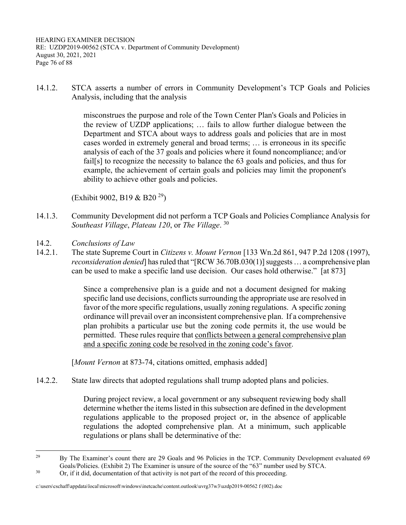HEARING EXAMINER DECISION RE: UZDP2019-00562 (STCA v. Department of Community Development) August 30, 2021, 2021 Page 76 of 88

14.1.2. STCA asserts a number of errors in Community Development's TCP Goals and Policies Analysis, including that the analysis

> misconstrues the purpose and role of the Town Center Plan's Goals and Policies in the review of UZDP applications; … fails to allow further dialogue between the Department and STCA about ways to address goals and policies that are in most cases worded in extremely general and broad terms; … is erroneous in its specific analysis of each of the 37 goals and policies where it found noncompliance; and/or fail[s] to recognize the necessity to balance the 63 goals and policies, and thus for example, the achievement of certain goals and policies may limit the proponent's ability to achieve other goals and policies.

(Exhibit 9002, B19 & B20 29)

- 14.1.3. Community Development did not perform a TCP Goals and Policies Compliance Analysis for *Southeast Village*, *Plateau 120*, or *The Village*. 30
- 14.2. *Conclusions of Law*
- 14.2.1. The state Supreme Court in *Citizens v. Mount Vernon* [133 Wn.2d 861, 947 P.2d 1208 (1997), *reconsideration denied*] has ruled that "[RCW 36.70B.030(1)] suggests ... a comprehensive plan can be used to make a specific land use decision. Our cases hold otherwise." [at 873]

Since a comprehensive plan is a guide and not a document designed for making specific land use decisions, conflicts surrounding the appropriate use are resolved in favor of the more specific regulations, usually zoning regulations. A specific zoning ordinance will prevail over an inconsistent comprehensive plan. If a comprehensive plan prohibits a particular use but the zoning code permits it, the use would be permitted. These rules require that conflicts between a general comprehensive plan and a specific zoning code be resolved in the zoning code's favor.

[Mount Vernon at 873-74, citations omitted, emphasis added]

14.2.2. State law directs that adopted regulations shall trump adopted plans and policies.

During project review, a local government or any subsequent reviewing body shall determine whether the items listed in this subsection are defined in the development regulations applicable to the proposed project or, in the absence of applicable regulations the adopted comprehensive plan. At a minimum, such applicable regulations or plans shall be determinative of the:

<sup>&</sup>lt;sup>29</sup> By The Examiner's count there are 29 Goals and 96 Policies in the TCP. Community Development evaluated 69 Goals/Policies. (Exhibit 2) The Examiner is unsure of the source of the "63" number used by STCA.<br>30 Or, if it did, documentation of that activity is not part of the record of this proceeding.

c:\users\cschaff\appdata\local\microsoft\windows\inetcache\content.outlook\uvrg37w3\uzdp2019-00562 f (002).doc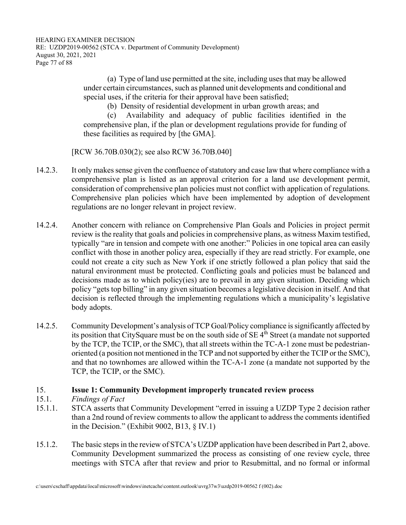HEARING EXAMINER DECISION RE: UZDP2019-00562 (STCA v. Department of Community Development) August 30, 2021, 2021 Page 77 of 88

> (a) Type of land use permitted at the site, including uses that may be allowed under certain circumstances, such as planned unit developments and conditional and special uses, if the criteria for their approval have been satisfied;

(b) Density of residential development in urban growth areas; and

 (c) Availability and adequacy of public facilities identified in the comprehensive plan, if the plan or development regulations provide for funding of these facilities as required by [the GMA].

[RCW 36.70B.030(2); see also RCW 36.70B.040]

- 14.2.3. It only makes sense given the confluence of statutory and case law that where compliance with a comprehensive plan is listed as an approval criterion for a land use development permit, consideration of comprehensive plan policies must not conflict with application of regulations. Comprehensive plan policies which have been implemented by adoption of development regulations are no longer relevant in project review.
- 14.2.4. Another concern with reliance on Comprehensive Plan Goals and Policies in project permit review is the reality that goals and policies in comprehensive plans, as witness Maxim testified, typically "are in tension and compete with one another:" Policies in one topical area can easily conflict with those in another policy area, especially if they are read strictly. For example, one could not create a city such as New York if one strictly followed a plan policy that said the natural environment must be protected. Conflicting goals and policies must be balanced and decisions made as to which policy(ies) are to prevail in any given situation. Deciding which policy "gets top billing" in any given situation becomes a legislative decision in itself. And that decision is reflected through the implementing regulations which a municipality's legislative body adopts.
- 14.2.5. Community Development's analysis of TCP Goal/Policy compliance is significantly affected by its position that CitySquare must be on the south side of  $SE$  4<sup>th</sup> Street (a mandate not supported by the TCP, the TCIP, or the SMC), that all streets within the TC-A-1 zone must be pedestrianoriented (a position not mentioned in the TCP and not supported by either the TCIP or the SMC), and that no townhomes are allowed within the TC-A-1 zone (a mandate not supported by the TCP, the TCIP, or the SMC).

## 15. **Issue 1: Community Development improperly truncated review process**

- 15.1. *Findings of Fact*
- 15.1.1. STCA asserts that Community Development "erred in issuing a UZDP Type 2 decision rather than a 2nd round of review comments to allow the applicant to address the comments identified in the Decision." (Exhibit 9002, B13, § IV.1)
- 15.1.2. The basic steps in the review of STCA's UZDP application have been described in Part 2, above. Community Development summarized the process as consisting of one review cycle, three meetings with STCA after that review and prior to Resubmittal, and no formal or informal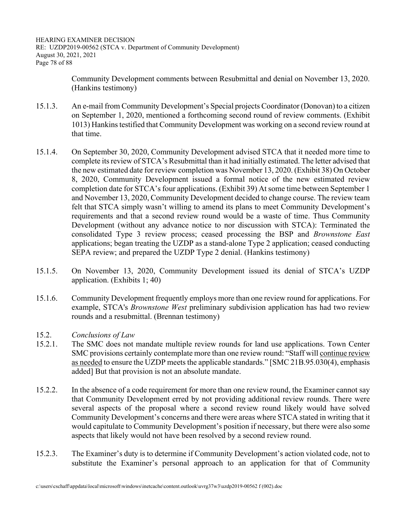HEARING EXAMINER DECISION RE: UZDP2019-00562 (STCA v. Department of Community Development) August 30, 2021, 2021 Page 78 of 88

> Community Development comments between Resubmittal and denial on November 13, 2020. (Hankins testimony)

- 15.1.3. An e-mail from Community Development's Special projects Coordinator (Donovan) to a citizen on September 1, 2020, mentioned a forthcoming second round of review comments. (Exhibit 1013) Hankins testified that Community Development was working on a second review round at that time.
- 15.1.4. On September 30, 2020, Community Development advised STCA that it needed more time to complete its review of STCA's Resubmittal than it had initially estimated. The letter advised that the new estimated date for review completion was November 13, 2020. (Exhibit 38) On October 8, 2020, Community Development issued a formal notice of the new estimated review completion date for STCA's four applications. (Exhibit 39) At some time between September 1 and November 13, 2020, Community Development decided to change course. The review team felt that STCA simply wasn't willing to amend its plans to meet Community Development's requirements and that a second review round would be a waste of time. Thus Community Development (without any advance notice to nor discussion with STCA): Terminated the consolidated Type 3 review process; ceased processing the BSP and *Brownstone East* applications; began treating the UZDP as a stand-alone Type 2 application; ceased conducting SEPA review; and prepared the UZDP Type 2 denial. (Hankins testimony)
- 15.1.5. On November 13, 2020, Community Development issued its denial of STCA's UZDP application. (Exhibits 1; 40)
- 15.1.6. Community Development frequently employs more than one review round for applications. For example, STCA's *Brownstone West* preliminary subdivision application has had two review rounds and a resubmittal. (Brennan testimony)
- 15.2. *Conclusions of Law*
- 15.2.1. The SMC does not mandate multiple review rounds for land use applications. Town Center SMC provisions certainly contemplate more than one review round: "Staff will continue review as needed to ensure the UZDP meets the applicable standards." [SMC 21B.95.030(4), emphasis added] But that provision is not an absolute mandate.
- 15.2.2. In the absence of a code requirement for more than one review round, the Examiner cannot say that Community Development erred by not providing additional review rounds. There were several aspects of the proposal where a second review round likely would have solved Community Development's concerns and there were areas where STCA stated in writing that it would capitulate to Community Development's position if necessary, but there were also some aspects that likely would not have been resolved by a second review round.
- 15.2.3. The Examiner's duty is to determine if Community Development's action violated code, not to substitute the Examiner's personal approach to an application for that of Community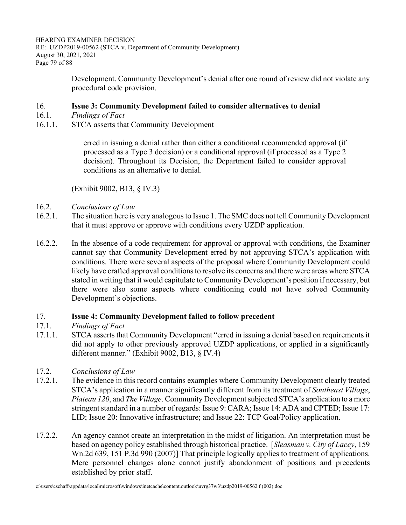HEARING EXAMINER DECISION RE: UZDP2019-00562 (STCA v. Department of Community Development) August 30, 2021, 2021 Page 79 of 88

> Development. Community Development's denial after one round of review did not violate any procedural code provision.

### 16. **Issue 3: Community Development failed to consider alternatives to denial**

- 16.1. *Findings of Fact*
- 16.1.1. STCA asserts that Community Development

erred in issuing a denial rather than either a conditional recommended approval (if processed as a Type 3 decision) or a conditional approval (if processed as a Type 2 decision). Throughout its Decision, the Department failed to consider approval conditions as an alternative to denial.

(Exhibit 9002, B13, § IV.3)

- 16.2. *Conclusions of Law*
- 16.2.1. The situation here is very analogous to Issue 1. The SMC does not tell Community Development that it must approve or approve with conditions every UZDP application.
- 16.2.2. In the absence of a code requirement for approval or approval with conditions, the Examiner cannot say that Community Development erred by not approving STCA's application with conditions. There were several aspects of the proposal where Community Development could likely have crafted approval conditions to resolve its concerns and there were areas where STCA stated in writing that it would capitulate to Community Development's position if necessary, but there were also some aspects where conditioning could not have solved Community Development's objections.

# 17. **Issue 4: Community Development failed to follow precedent**

#### *Findings of Fact*

- 17.1.1. STCA asserts that Community Development "erred in issuing a denial based on requirements it did not apply to other previously approved UZDP applications, or applied in a significantly different manner." (Exhibit 9002, B13, § IV.4)
- 17.2. *Conclusions of Law*
- 17.2.1. The evidence in this record contains examples where Community Development clearly treated STCA's application in a manner significantly different from its treatment of *Southeast Village*, *Plateau 120*, and *The Village*. Community Development subjected STCA's application to a more stringent standard in a number of regards: Issue 9: CARA; Issue 14: ADA and CPTED; Issue 17: LID; Issue 20: Innovative infrastructure; and Issue 22: TCP Goal/Policy application.
- 17.2.2. An agency cannot create an interpretation in the midst of litigation. An interpretation must be based on agency policy established through historical practice. [*Sleasman v. City of Lacey*, 159 Wn.2d 639, 151 P.3d 990 (2007)] That principle logically applies to treatment of applications. Mere personnel changes alone cannot justify abandonment of positions and precedents established by prior staff.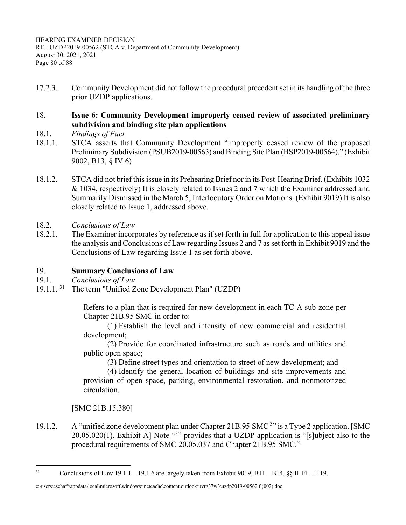17.2.3. Community Development did not follow the procedural precedent set in its handling of the three prior UZDP applications.

# 18. **Issue 6: Community Development improperly ceased review of associated preliminary subdivision and binding site plan applications**

- 18.1. *Findings of Fact*
- 18.1.1. STCA asserts that Community Development "improperly ceased review of the proposed Preliminary Subdivision (PSUB2019-00563) and Binding Site Plan (BSP2019-00564)." (Exhibit 9002, B13, § IV.6)
- 18.1.2. STCA did not brief this issue in its Prehearing Brief nor in its Post-Hearing Brief. (Exhibits 1032 & 1034, respectively) It is closely related to Issues 2 and 7 which the Examiner addressed and Summarily Dismissed in the March 5, Interlocutory Order on Motions. (Exhibit 9019) It is also closely related to Issue 1, addressed above.
- 18.2. *Conclusions of Law*
- 18.2.1. The Examiner incorporates by reference as if set forth in full for application to this appeal issue the analysis and Conclusions of Law regarding Issues 2 and 7 as set forth in Exhibit 9019 and the Conclusions of Law regarding Issue 1 as set forth above.

## 19. **Summary Conclusions of Law**

- 19.1. *Conclusions of Law*
- 19.1.1.<sup>31</sup> The term "Unified Zone Development Plan" (UZDP)

Refers to a plan that is required for new development in each TC-A sub-zone per Chapter 21B.95 SMC in order to:

 (1) Establish the level and intensity of new commercial and residential development;

 (2) Provide for coordinated infrastructure such as roads and utilities and public open space;

(3) Define street types and orientation to street of new development; and

 (4) Identify the general location of buildings and site improvements and provision of open space, parking, environmental restoration, and nonmotorized circulation.

[SMC 21B.15.380]

19.1.2. A "unified zone development plan under Chapter 21B.95 SMC<sup>3</sup>" is a Type 2 application. [SMC]  $20.05.020(1)$ , Exhibit A] Note  $\cdot^{3}$  provides that a UZDP application is "[s]ubject also to the procedural requirements of SMC 20.05.037 and Chapter 21B.95 SMC."

<sup>&</sup>lt;sup>31</sup> Conclusions of Law 19.1.1 – 19.1.6 are largely taken from Exhibit 9019, B11 – B14, §§ II.14 – II.19.

c:\users\cschaff\appdata\local\microsoft\windows\inetcache\content.outlook\uvrg37w3\uzdp2019-00562 f (002).doc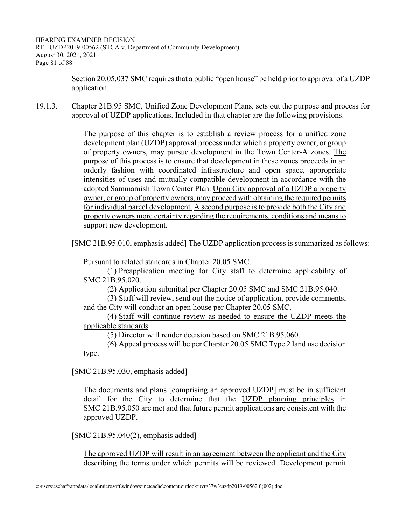HEARING EXAMINER DECISION RE: UZDP2019-00562 (STCA v. Department of Community Development) August 30, 2021, 2021 Page 81 of 88

> Section 20.05.037 SMC requires that a public "open house" be held prior to approval of a UZDP application.

19.1.3. Chapter 21B.95 SMC, Unified Zone Development Plans, sets out the purpose and process for approval of UZDP applications. Included in that chapter are the following provisions.

> The purpose of this chapter is to establish a review process for a unified zone development plan (UZDP) approval process under which a property owner, or group of property owners, may pursue development in the Town Center-A zones. The purpose of this process is to ensure that development in these zones proceeds in an orderly fashion with coordinated infrastructure and open space, appropriate intensities of uses and mutually compatible development in accordance with the adopted Sammamish Town Center Plan. Upon City approval of a UZDP a property owner, or group of property owners, may proceed with obtaining the required permits for individual parcel development. A second purpose is to provide both the City and property owners more certainty regarding the requirements, conditions and means to support new development.

[SMC 21B.95.010, emphasis added] The UZDP application process is summarized as follows:

Pursuant to related standards in Chapter 20.05 SMC.

 (1) Preapplication meeting for City staff to determine applicability of SMC 21B.95.020.

(2) Application submittal per Chapter 20.05 SMC and SMC 21B.95.040.

 (3) Staff will review, send out the notice of application, provide comments, and the City will conduct an open house per Chapter 20.05 SMC.

 (4) Staff will continue review as needed to ensure the UZDP meets the applicable standards.

(5) Director will render decision based on SMC 21B.95.060.

 (6) Appeal process will be per Chapter 20.05 SMC Type 2 land use decision type.

[SMC 21B.95.030, emphasis added]

The documents and plans [comprising an approved UZDP] must be in sufficient detail for the City to determine that the UZDP planning principles in SMC 21B.95.050 are met and that future permit applications are consistent with the approved UZDP.

[SMC 21B.95.040(2), emphasis added]

The approved UZDP will result in an agreement between the applicant and the City describing the terms under which permits will be reviewed. Development permit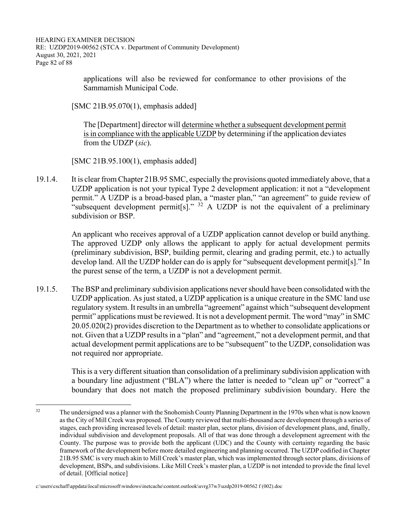HEARING EXAMINER DECISION RE: UZDP2019-00562 (STCA v. Department of Community Development) August 30, 2021, 2021 Page 82 of 88

> applications will also be reviewed for conformance to other provisions of the Sammamish Municipal Code.

[SMC 21B.95.070(1), emphasis added]

The [Department] director will determine whether a subsequent development permit is in compliance with the applicable UZDP by determining if the application deviates from the UDZP (*sic*).

[SMC 21B.95.100(1), emphasis added]

19.1.4. It is clear from Chapter 21B.95 SMC, especially the provisions quoted immediately above, that a UZDP application is not your typical Type 2 development application: it not a "development permit." A UZDP is a broad-based plan, a "master plan," "an agreement" to guide review of "subsequent development permit[s]."  $3^2$  A UZDP is not the equivalent of a preliminary subdivision or BSP.

> An applicant who receives approval of a UZDP application cannot develop or build anything. The approved UZDP only allows the applicant to apply for actual development permits (preliminary subdivision, BSP, building permit, clearing and grading permit, etc.) to actually develop land. All the UZDP holder can do is apply for "subsequent development permit[s]." In the purest sense of the term, a UZDP is not a development permit.

19.1.5. The BSP and preliminary subdivision applications never should have been consolidated with the UZDP application. As just stated, a UZDP application is a unique creature in the SMC land use regulatory system. It results in an umbrella "agreement" against which "subsequent development permit" applications must be reviewed. It is not a development permit. The word "may" in SMC 20.05.020(2) provides discretion to the Department as to whether to consolidate applications or not. Given that a UZDP results in a "plan" and "agreement," not a development permit, and that actual development permit applications are to be "subsequent" to the UZDP, consolidation was not required nor appropriate.

> This is a very different situation than consolidation of a preliminary subdivision application with a boundary line adjustment ("BLA") where the latter is needed to "clean up" or "correct" a boundary that does not match the proposed preliminary subdivision boundary. Here the

<sup>&</sup>lt;sup>32</sup> The undersigned was a planner with the Snohomish County Planning Department in the 1970s when what is now known as the City of Mill Creek was proposed. The County reviewed that multi-thousand acre development through a series of stages, each providing increased levels of detail: master plan, sector plans, division of development plans, and, finally, individual subdivision and development proposals. All of that was done through a development agreement with the County. The purpose was to provide both the applicant (UDC) and the County with certainty regarding the basic framework of the development before more detailed engineering and planning occurred. The UZDP codified in Chapter 21B.95 SMC is very much akin to Mill Creek's master plan, which was implemented through sector plans, divisions of development, BSPs, and subdivisions. Like Mill Creek's master plan, a UZDP is not intended to provide the final level of detail. [Official notice]

c:\users\cschaff\appdata\local\microsoft\windows\inetcache\content.outlook\uvrg37w3\uzdp2019-00562 f (002).doc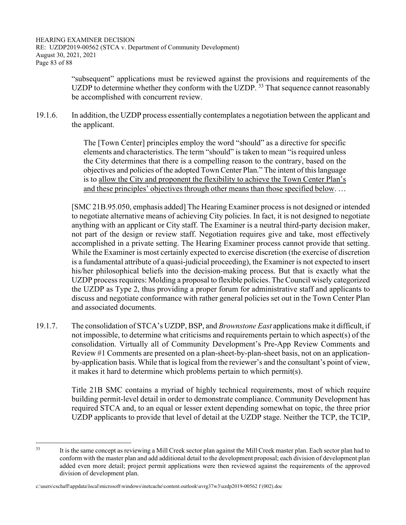HEARING EXAMINER DECISION RE: UZDP2019-00562 (STCA v. Department of Community Development) August 30, 2021, 2021 Page 83 of 88

> "subsequent" applications must be reviewed against the provisions and requirements of the UZDP to determine whether they conform with the UZDP.<sup>33</sup> That sequence cannot reasonably be accomplished with concurrent review.

19.1.6. In addition, the UZDP process essentially contemplates a negotiation between the applicant and the applicant.

> The [Town Center] principles employ the word "should" as a directive for specific elements and characteristics. The term "should" is taken to mean "is required unless the City determines that there is a compelling reason to the contrary, based on the objectives and policies of the adopted Town Center Plan." The intent of this language is to allow the City and proponent the flexibility to achieve the Town Center Plan's and these principles' objectives through other means than those specified below. …

[SMC 21B.95.050, emphasis added] The Hearing Examiner process is not designed or intended to negotiate alternative means of achieving City policies. In fact, it is not designed to negotiate anything with an applicant or City staff. The Examiner is a neutral third-party decision maker, not part of the design or review staff. Negotiation requires give and take, most effectively accomplished in a private setting. The Hearing Examiner process cannot provide that setting. While the Examiner is most certainly expected to exercise discretion (the exercise of discretion is a fundamental attribute of a quasi-judicial proceeding), the Examiner is not expected to insert his/her philosophical beliefs into the decision-making process. But that is exactly what the UZDP process requires: Molding a proposal to flexible policies. The Council wisely categorized the UZDP as Type 2, thus providing a proper forum for administrative staff and applicants to discuss and negotiate conformance with rather general policies set out in the Town Center Plan and associated documents.

19.1.7. The consolidation of STCA's UZDP, BSP, and *Brownstone East* applications make it difficult, if not impossible, to determine what criticisms and requirements pertain to which aspect(s) of the consolidation. Virtually all of Community Development's Pre-App Review Comments and Review #1 Comments are presented on a plan-sheet-by-plan-sheet basis, not on an applicationby-application basis. While that is logical from the reviewer's and the consultant's point of view, it makes it hard to determine which problems pertain to which permit(s).

> Title 21B SMC contains a myriad of highly technical requirements, most of which require building permit-level detail in order to demonstrate compliance. Community Development has required STCA and, to an equal or lesser extent depending somewhat on topic, the three prior UZDP applicants to provide that level of detail at the UZDP stage. Neither the TCP, the TCIP,

<sup>&</sup>lt;sup>33</sup> It is the same concept as reviewing a Mill Creek sector plan against the Mill Creek master plan. Each sector plan had to conform with the master plan and add additional detail to the development proposal; each division of development plan added even more detail; project permit applications were then reviewed against the requirements of the approved division of development plan.

c:\users\cschaff\appdata\local\microsoft\windows\inetcache\content.outlook\uvrg37w3\uzdp2019-00562 f (002).doc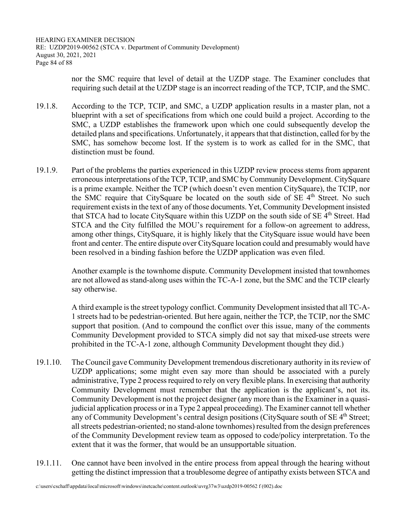HEARING EXAMINER DECISION RE: UZDP2019-00562 (STCA v. Department of Community Development) August 30, 2021, 2021 Page 84 of 88

> nor the SMC require that level of detail at the UZDP stage. The Examiner concludes that requiring such detail at the UZDP stage is an incorrect reading of the TCP, TCIP, and the SMC.

- 19.1.8. According to the TCP, TCIP, and SMC, a UZDP application results in a master plan, not a blueprint with a set of specifications from which one could build a project. According to the SMC, a UZDP establishes the framework upon which one could subsequently develop the detailed plans and specifications. Unfortunately, it appears that that distinction, called for by the SMC, has somehow become lost. If the system is to work as called for in the SMC, that distinction must be found.
- 19.1.9. Part of the problems the parties experienced in this UZDP review process stems from apparent erroneous interpretations of the TCP, TCIP, and SMC by Community Development. CitySquare is a prime example. Neither the TCP (which doesn't even mention CitySquare), the TCIP, nor the SMC require that CitySquare be located on the south side of SE 4<sup>th</sup> Street. No such requirement exists in the text of any of those documents. Yet, Community Development insisted that STCA had to locate CitySquare within this UZDP on the south side of SE 4<sup>th</sup> Street. Had STCA and the City fulfilled the MOU's requirement for a follow-on agreement to address, among other things, CitySquare, it is highly likely that the CitySquare issue would have been front and center. The entire dispute over CitySquare location could and presumably would have been resolved in a binding fashion before the UZDP application was even filed.

 Another example is the townhome dispute. Community Development insisted that townhomes are not allowed as stand-along uses within the TC-A-1 zone, but the SMC and the TCIP clearly say otherwise.

 A third example is the street typology conflict. Community Development insisted that all TC-A-1 streets had to be pedestrian-oriented. But here again, neither the TCP, the TCIP, nor the SMC support that position. (And to compound the conflict over this issue, many of the comments Community Development provided to STCA simply did not say that mixed-use streets were prohibited in the TC-A-1 zone, although Community Development thought they did.)

- 19.1.10. The Council gave Community Development tremendous discretionary authority in its review of UZDP applications; some might even say more than should be associated with a purely administrative, Type 2 process required to rely on very flexible plans. In exercising that authority Community Development must remember that the application is the applicant's, not its. Community Development is not the project designer (any more than is the Examiner in a quasijudicial application process or in a Type 2 appeal proceeding). The Examiner cannot tell whether any of Community Development's central design positions (CitySquare south of SE 4<sup>th</sup> Street; all streets pedestrian-oriented; no stand-alone townhomes) resulted from the design preferences of the Community Development review team as opposed to code/policy interpretation. To the extent that it was the former, that would be an unsupportable situation.
- 19.1.11. One cannot have been involved in the entire process from appeal through the hearing without getting the distinct impression that a troublesome degree of antipathy exists between STCA and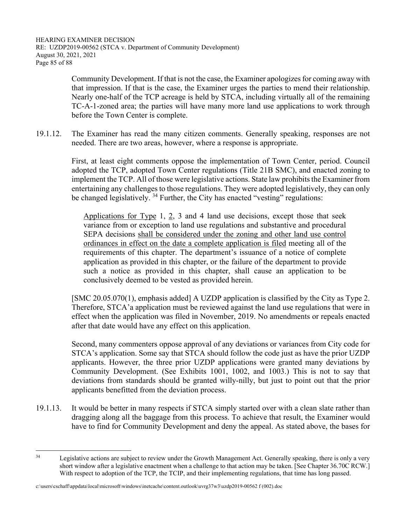Community Development. If that is not the case, the Examiner apologizes for coming away with that impression. If that is the case, the Examiner urges the parties to mend their relationship. Nearly one-half of the TCP acreage is held by STCA, including virtually all of the remaining TC-A-1-zoned area; the parties will have many more land use applications to work through before the Town Center is complete.

19.1.12. The Examiner has read the many citizen comments. Generally speaking, responses are not needed. There are two areas, however, where a response is appropriate.

> First, at least eight comments oppose the implementation of Town Center, period. Council adopted the TCP, adopted Town Center regulations (Title 21B SMC), and enacted zoning to implement the TCP. All of those were legislative actions. State law prohibits the Examiner from entertaining any challenges to those regulations. They were adopted legislatively, they can only be changed legislatively.  $34$  Further, the City has enacted "vesting" regulations:

Applications for Type 1, 2, 3 and 4 land use decisions, except those that seek variance from or exception to land use regulations and substantive and procedural SEPA decisions shall be considered under the zoning and other land use control ordinances in effect on the date a complete application is filed meeting all of the requirements of this chapter. The department's issuance of a notice of complete application as provided in this chapter, or the failure of the department to provide such a notice as provided in this chapter, shall cause an application to be conclusively deemed to be vested as provided herein.

 [SMC 20.05.070(1), emphasis added] A UZDP application is classified by the City as Type 2. Therefore, STCA'a application must be reviewed against the land use regulations that were in effect when the application was filed in November, 2019. No amendments or repeals enacted after that date would have any effect on this application.

 Second, many commenters oppose approval of any deviations or variances from City code for STCA's application. Some say that STCA should follow the code just as have the prior UZDP applicants. However, the three prior UZDP applications were granted many deviations by Community Development. (See Exhibits 1001, 1002, and 1003.) This is not to say that deviations from standards should be granted willy-nilly, but just to point out that the prior applicants benefitted from the deviation process.

19.1.13. It would be better in many respects if STCA simply started over with a clean slate rather than dragging along all the baggage from this process. To achieve that result, the Examiner would have to find for Community Development and deny the appeal. As stated above, the bases for

<sup>&</sup>lt;sup>34</sup> Legislative actions are subject to review under the Growth Management Act. Generally speaking, there is only a very short window after a legislative enactment when a challenge to that action may be taken. [See Chapter 36.70C RCW.] With respect to adoption of the TCP, the TCIP, and their implementing regulations, that time has long passed.

c:\users\cschaff\appdata\local\microsoft\windows\inetcache\content.outlook\uvrg37w3\uzdp2019-00562 f (002).doc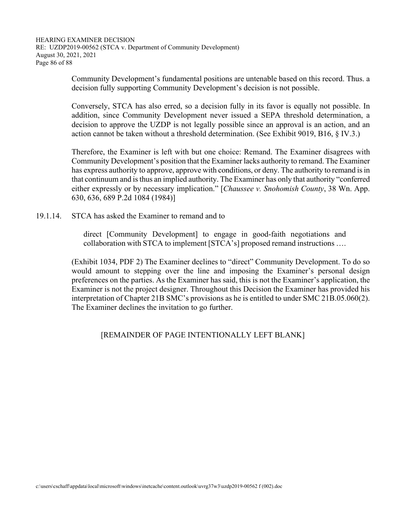Community Development's fundamental positions are untenable based on this record. Thus. a decision fully supporting Community Development's decision is not possible.

 Conversely, STCA has also erred, so a decision fully in its favor is equally not possible. In addition, since Community Development never issued a SEPA threshold determination, a decision to approve the UZDP is not legally possible since an approval is an action, and an action cannot be taken without a threshold determination. (See Exhibit 9019, B16, § IV.3.)

 Therefore, the Examiner is left with but one choice: Remand. The Examiner disagrees with Community Development's position that the Examiner lacks authority to remand. The Examiner has express authority to approve, approve with conditions, or deny. The authority to remand is in that continuum and is thus an implied authority. The Examiner has only that authority "conferred either expressly or by necessary implication." [*Chaussee v. Snohomish County*, 38 Wn. App. 630, 636, 689 P.2d 1084 (1984)]

19.1.14. STCA has asked the Examiner to remand and to

direct [Community Development] to engage in good-faith negotiations and collaboration with STCA to implement [STCA's] proposed remand instructions ….

 (Exhibit 1034, PDF 2) The Examiner declines to "direct" Community Development. To do so would amount to stepping over the line and imposing the Examiner's personal design preferences on the parties. As the Examiner has said, this is not the Examiner's application, the Examiner is not the project designer. Throughout this Decision the Examiner has provided his interpretation of Chapter 21B SMC's provisions as he is entitled to under SMC 21B.05.060(2). The Examiner declines the invitation to go further.

#### [REMAINDER OF PAGE INTENTIONALLY LEFT BLANK]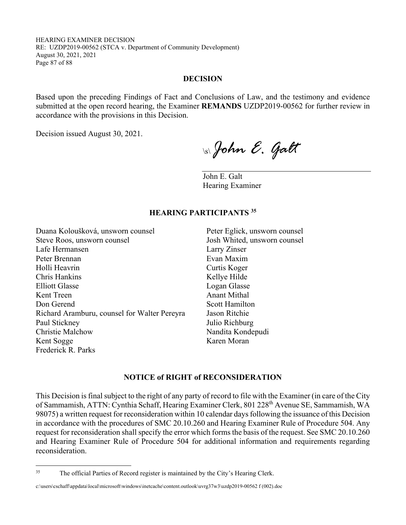HEARING EXAMINER DECISION RE: UZDP2019-00562 (STCA v. Department of Community Development) August 30, 2021, 2021 Page 87 of 88

#### **DECISION**

Based upon the preceding Findings of Fact and Conclusions of Law, and the testimony and evidence submitted at the open record hearing, the Examiner **REMANDS** UZDP2019-00562 for further review in accordance with the provisions in this Decision.

Decision issued August 30, 2021.

\s\ *John E. Galt* 

John E. Galt Hearing Examiner

#### **HEARING PARTICIPANTS 35**

Duana Koloušková, unsworn counsel Peter Eglick, unsworn counsel Steve Roos, unsworn counsel Josh Whited, unsworn counsel Lafe Hermansen Larry Zinser Peter Brennan Evan Maxim Holli Heavrin Curtis Koger Chris Hankins Kellye Hilde Elliott Glasse Logan Glasse Kent Treen Anant Mithal Don Gerend Scott Hamilton Richard Aramburu, counsel for Walter Pereyra Jason Ritchie Paul Stickney Julio Richburg Christie Malchow Nandita Kondepudi Kent Sogge Karen Moran Frederick R. Parks

#### **NOTICE of RIGHT of RECONSIDERATION**

This Decision is final subject to the right of any party of record to file with the Examiner (in care of the City of Sammamish, ATTN: Cynthia Schaff, Hearing Examiner Clerk, 801 228<sup>th</sup> Avenue SE, Sammamish, WA 98075) a written request for reconsideration within 10 calendar days following the issuance of this Decision in accordance with the procedures of SMC 20.10.260 and Hearing Examiner Rule of Procedure 504. Any request for reconsideration shall specify the error which forms the basis of the request. See SMC 20.10.260 and Hearing Examiner Rule of Procedure 504 for additional information and requirements regarding reconsideration.

<sup>&</sup>lt;sup>35</sup> The official Parties of Record register is maintained by the City's Hearing Clerk.

c:\users\cschaff\appdata\local\microsoft\windows\inetcache\content.outlook\uvrg37w3\uzdp2019-00562 f (002).doc